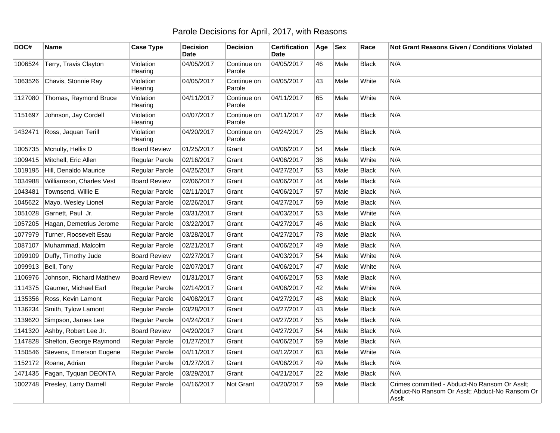## Parole Decisions for April, 2017, with Reasons

| DOC#    | <b>Name</b>              | <b>Case Type</b>     | <b>Decision</b><br>Date | <b>Decision</b>       | Certification<br>Date | Age | <b>Sex</b> | Race         | Not Grant Reasons Given / Conditions Violated                                                            |
|---------|--------------------------|----------------------|-------------------------|-----------------------|-----------------------|-----|------------|--------------|----------------------------------------------------------------------------------------------------------|
| 1006524 | Terry, Travis Clayton    | Violation<br>Hearing | 04/05/2017              | Continue on<br>Parole | 04/05/2017            | 46  | Male       | <b>Black</b> | N/A                                                                                                      |
| 1063526 | Chavis, Stonnie Ray      | Violation<br>Hearing | 04/05/2017              | Continue on<br>Parole | 04/05/2017            | 43  | Male       | White        | N/A                                                                                                      |
| 1127080 | Thomas, Raymond Bruce    | Violation<br>Hearing | 04/11/2017              | Continue on<br>Parole | 04/11/2017            | 65  | Male       | White        | N/A                                                                                                      |
| 1151697 | Johnson, Jay Cordell     | Violation<br>Hearing | 04/07/2017              | Continue on<br>Parole | 04/11/2017            | 47  | Male       | Black        | N/A                                                                                                      |
| 1432471 | Ross, Jaquan Terill      | Violation<br>Hearing | 04/20/2017              | Continue on<br>Parole | 04/24/2017            | 25  | Male       | <b>Black</b> | N/A                                                                                                      |
| 1005735 | Mcnulty, Hellis D        | <b>Board Review</b>  | 01/25/2017              | Grant                 | 04/06/2017            | 54  | Male       | <b>Black</b> | N/A                                                                                                      |
| 1009415 | Mitchell, Eric Allen     | Regular Parole       | 02/16/2017              | Grant                 | 04/06/2017            | 36  | Male       | White        | N/A                                                                                                      |
| 1019195 | Hill, Denaldo Maurice    | Regular Parole       | 04/25/2017              | Grant                 | 04/27/2017            | 53  | Male       | <b>Black</b> | N/A                                                                                                      |
| 1034988 | Williamson, Charles Vest | <b>Board Review</b>  | 02/06/2017              | Grant                 | 04/06/2017            | 44  | Male       | Black        | N/A                                                                                                      |
| 1043481 | Townsend, Willie E       | Regular Parole       | 02/11/2017              | Grant                 | 04/06/2017            | 57  | Male       | <b>Black</b> | N/A                                                                                                      |
| 1045622 | Mayo, Wesley Lionel      | Regular Parole       | 02/26/2017              | Grant                 | 04/27/2017            | 59  | Male       | <b>Black</b> | N/A                                                                                                      |
| 1051028 | Garnett, Paul Jr.        | Regular Parole       | 03/31/2017              | Grant                 | 04/03/2017            | 53  | Male       | White        | N/A                                                                                                      |
| 1057205 | Hagan, Demetrius Jerome  | Regular Parole       | 03/22/2017              | Grant                 | 04/27/2017            | 46  | Male       | <b>Black</b> | N/A                                                                                                      |
| 1077979 | Turner, Roosevelt Esau   | Regular Parole       | 03/28/2017              | Grant                 | 04/27/2017            | 78  | Male       | Black        | N/A                                                                                                      |
| 1087107 | Muhammad, Malcolm        | Regular Parole       | 02/21/2017              | Grant                 | 04/06/2017            | 49  | Male       | <b>Black</b> | N/A                                                                                                      |
| 1099109 | Duffy, Timothy Jude      | <b>Board Review</b>  | 02/27/2017              | Grant                 | 04/03/2017            | 54  | Male       | White        | N/A                                                                                                      |
| 1099913 | Bell, Tony               | Regular Parole       | 02/07/2017              | Grant                 | 04/06/2017            | 47  | Male       | White        | N/A                                                                                                      |
| 1106976 | Johnson, Richard Matthew | <b>Board Review</b>  | 01/31/2017              | Grant                 | 04/06/2017            | 53  | Male       | Black        | N/A                                                                                                      |
| 1114375 | Gaumer, Michael Earl     | Regular Parole       | 02/14/2017              | Grant                 | 04/06/2017            | 42  | Male       | White        | N/A                                                                                                      |
| 1135356 | Ross, Kevin Lamont       | Regular Parole       | 04/08/2017              | Grant                 | 04/27/2017            | 48  | Male       | <b>Black</b> | N/A                                                                                                      |
| 1136234 | Smith, Tylow Lamont      | Regular Parole       | 03/28/2017              | Grant                 | 04/27/2017            | 43  | Male       | <b>Black</b> | N/A                                                                                                      |
| 1139620 | Simpson, James Lee       | Regular Parole       | 04/24/2017              | Grant                 | 04/27/2017            | 55  | Male       | <b>Black</b> | N/A                                                                                                      |
| 1141320 | Ashby, Robert Lee Jr.    | <b>Board Review</b>  | 04/20/2017              | Grant                 | 04/27/2017            | 54  | Male       | Black        | N/A                                                                                                      |
| 1147828 | Shelton, George Raymond  | Regular Parole       | 01/27/2017              | Grant                 | 04/06/2017            | 59  | Male       | Black        | N/A                                                                                                      |
| 1150546 | Stevens, Emerson Eugene  | Regular Parole       | 04/11/2017              | Grant                 | 04/12/2017            | 63  | Male       | White        | N/A                                                                                                      |
| 1152172 | Roane, Adrian            | Regular Parole       | 01/27/2017              | Grant                 | 04/06/2017            | 49  | Male       | <b>Black</b> | N/A                                                                                                      |
| 1471435 | Fagan, Tyquan DEONTA     | Regular Parole       | 03/29/2017              | Grant                 | 04/21/2017            | 22  | Male       | <b>Black</b> | N/A                                                                                                      |
| 1002748 | Presley, Larry Darnell   | Regular Parole       | 04/16/2017              | Not Grant             | 04/20/2017            | 59  | Male       | Black        | Crimes committed - Abduct-No Ransom Or Asslt;<br>Abduct-No Ransom Or Asslt; Abduct-No Ransom Or<br>Asslt |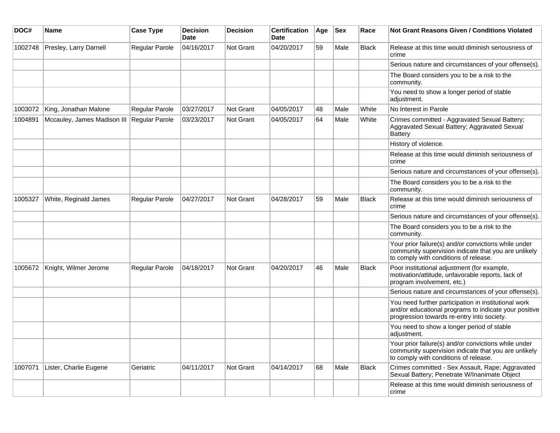| DOC#    | <b>Name</b>                 | <b>Case Type</b> | <b>Decision</b><br><b>Date</b> | <b>Decision</b>  | <b>Certification</b><br>Date | Age | <b>Sex</b> | Race         | <b>Not Grant Reasons Given / Conditions Violated</b>                                                                                                        |
|---------|-----------------------------|------------------|--------------------------------|------------------|------------------------------|-----|------------|--------------|-------------------------------------------------------------------------------------------------------------------------------------------------------------|
| 1002748 | Presley, Larry Darnell      | Regular Parole   | 04/16/2017                     | <b>Not Grant</b> | 04/20/2017                   | 59  | Male       | <b>Black</b> | Release at this time would diminish seriousness of<br>crime                                                                                                 |
|         |                             |                  |                                |                  |                              |     |            |              | Serious nature and circumstances of your offense(s).                                                                                                        |
|         |                             |                  |                                |                  |                              |     |            |              | The Board considers you to be a risk to the<br>community.                                                                                                   |
|         |                             |                  |                                |                  |                              |     |            |              | You need to show a longer period of stable<br>adjustment.                                                                                                   |
| 1003072 | King, Jonathan Malone       | Regular Parole   | 03/27/2017                     | Not Grant        | 04/05/2017                   | 48  | Male       | White        | No Interest in Parole                                                                                                                                       |
| 1004891 | Mccauley, James Madison III | Regular Parole   | 03/23/2017                     | <b>Not Grant</b> | 04/05/2017                   | 64  | Male       | White        | Crimes committed - Aggravated Sexual Battery;<br>Aggravated Sexual Battery; Aggravated Sexual<br>Battery                                                    |
|         |                             |                  |                                |                  |                              |     |            |              | History of violence.                                                                                                                                        |
|         |                             |                  |                                |                  |                              |     |            |              | Release at this time would diminish seriousness of<br>crime                                                                                                 |
|         |                             |                  |                                |                  |                              |     |            |              | Serious nature and circumstances of your offense(s).                                                                                                        |
|         |                             |                  |                                |                  |                              |     |            |              | The Board considers you to be a risk to the<br>community.                                                                                                   |
| 1005327 | White, Reginald James       | Regular Parole   | 04/27/2017                     | Not Grant        | 04/28/2017                   | 59  | Male       | <b>Black</b> | Release at this time would diminish seriousness of<br>crime                                                                                                 |
|         |                             |                  |                                |                  |                              |     |            |              | Serious nature and circumstances of your offense(s).                                                                                                        |
|         |                             |                  |                                |                  |                              |     |            |              | The Board considers you to be a risk to the<br>community.                                                                                                   |
|         |                             |                  |                                |                  |                              |     |            |              | Your prior failure(s) and/or convictions while under<br>community supervision indicate that you are unlikely<br>to comply with conditions of release.       |
| 1005672 | Knight, Wilmer Jerome       | Regular Parole   | 04/18/2017                     | <b>Not Grant</b> | 04/20/2017                   | 46  | Male       | <b>Black</b> | Poor institutional adjustment (for example,<br>motivation/attitude, unfavorable reports, lack of<br>program involvement, etc.)                              |
|         |                             |                  |                                |                  |                              |     |            |              | Serious nature and circumstances of your offense(s).                                                                                                        |
|         |                             |                  |                                |                  |                              |     |            |              | You need further participation in institutional work<br>and/or educational programs to indicate your positive<br>progression towards re-entry into society. |
|         |                             |                  |                                |                  |                              |     |            |              | You need to show a longer period of stable<br>adjustment.                                                                                                   |
|         |                             |                  |                                |                  |                              |     |            |              | Your prior failure(s) and/or convictions while under<br>community supervision indicate that you are unlikely<br>to comply with conditions of release.       |
| 1007071 | Lister, Charlie Eugene      | Geriatric        | 04/11/2017                     | <b>Not Grant</b> | 04/14/2017                   | 68  | Male       | Black        | Crimes committed - Sex Assault, Rape; Aggravated<br>Sexual Battery; Penetrate W/Inanimate Object                                                            |
|         |                             |                  |                                |                  |                              |     |            |              | Release at this time would diminish seriousness of<br>crime                                                                                                 |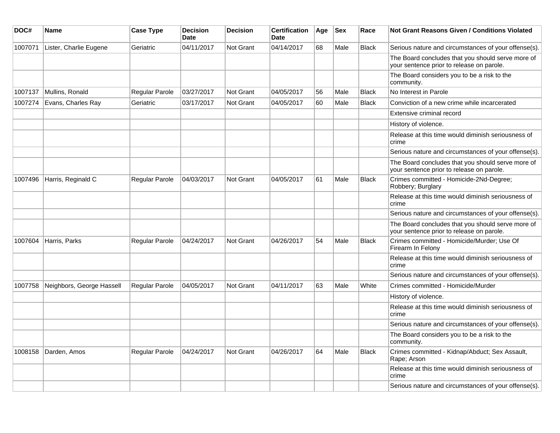| DOC#    | Name                      | <b>Case Type</b>      | <b>Decision</b><br><b>Date</b> | <b>Decision</b>  | <b>Certification</b><br><b>Date</b> | Age | <b>Sex</b> | Race         | Not Grant Reasons Given / Conditions Violated                                                  |
|---------|---------------------------|-----------------------|--------------------------------|------------------|-------------------------------------|-----|------------|--------------|------------------------------------------------------------------------------------------------|
| 1007071 | Lister, Charlie Eugene    | Geriatric             | 04/11/2017                     | Not Grant        | 04/14/2017                          | 68  | Male       | <b>Black</b> | Serious nature and circumstances of your offense(s).                                           |
|         |                           |                       |                                |                  |                                     |     |            |              | The Board concludes that you should serve more of<br>your sentence prior to release on parole. |
|         |                           |                       |                                |                  |                                     |     |            |              | The Board considers you to be a risk to the<br>community.                                      |
| 1007137 | Mullins, Ronald           | Regular Parole        | 03/27/2017                     | Not Grant        | 04/05/2017                          | 56  | Male       | <b>Black</b> | No Interest in Parole                                                                          |
| 1007274 | Evans, Charles Ray        | Geriatric             | 03/17/2017                     | <b>Not Grant</b> | 04/05/2017                          | 60  | Male       | <b>Black</b> | Conviction of a new crime while incarcerated                                                   |
|         |                           |                       |                                |                  |                                     |     |            |              | Extensive criminal record                                                                      |
|         |                           |                       |                                |                  |                                     |     |            |              | History of violence.                                                                           |
|         |                           |                       |                                |                  |                                     |     |            |              | Release at this time would diminish seriousness of<br>crime                                    |
|         |                           |                       |                                |                  |                                     |     |            |              | Serious nature and circumstances of your offense(s).                                           |
|         |                           |                       |                                |                  |                                     |     |            |              | The Board concludes that you should serve more of<br>your sentence prior to release on parole. |
| 1007496 | Harris, Reginald C        | Regular Parole        | 04/03/2017                     | Not Grant        | 04/05/2017                          | 61  | Male       | <b>Black</b> | Crimes committed - Homicide-2Nd-Degree;<br>Robbery; Burglary                                   |
|         |                           |                       |                                |                  |                                     |     |            |              | Release at this time would diminish seriousness of<br>crime                                    |
|         |                           |                       |                                |                  |                                     |     |            |              | Serious nature and circumstances of your offense(s).                                           |
|         |                           |                       |                                |                  |                                     |     |            |              | The Board concludes that you should serve more of<br>your sentence prior to release on parole. |
| 1007604 | Harris, Parks             | Regular Parole        | 04/24/2017                     | <b>Not Grant</b> | 04/26/2017                          | 54  | Male       | <b>Black</b> | Crimes committed - Homicide/Murder; Use Of<br>Firearm In Felony                                |
|         |                           |                       |                                |                  |                                     |     |            |              | Release at this time would diminish seriousness of<br>crime                                    |
|         |                           |                       |                                |                  |                                     |     |            |              | Serious nature and circumstances of your offense(s).                                           |
| 1007758 | Neighbors, George Hassell | Regular Parole        | 04/05/2017                     | <b>Not Grant</b> | 04/11/2017                          | 63  | Male       | White        | Crimes committed - Homicide/Murder                                                             |
|         |                           |                       |                                |                  |                                     |     |            |              | History of violence.                                                                           |
|         |                           |                       |                                |                  |                                     |     |            |              | Release at this time would diminish seriousness of<br>crime                                    |
|         |                           |                       |                                |                  |                                     |     |            |              | Serious nature and circumstances of your offense(s).                                           |
|         |                           |                       |                                |                  |                                     |     |            |              | The Board considers you to be a risk to the<br>community.                                      |
| 1008158 | Darden, Amos              | <b>Regular Parole</b> | 04/24/2017                     | Not Grant        | 04/26/2017                          | 64  | Male       | <b>Black</b> | Crimes committed - Kidnap/Abduct; Sex Assault,<br>Rape: Arson                                  |
|         |                           |                       |                                |                  |                                     |     |            |              | Release at this time would diminish seriousness of<br>crime                                    |
|         |                           |                       |                                |                  |                                     |     |            |              | Serious nature and circumstances of your offense(s).                                           |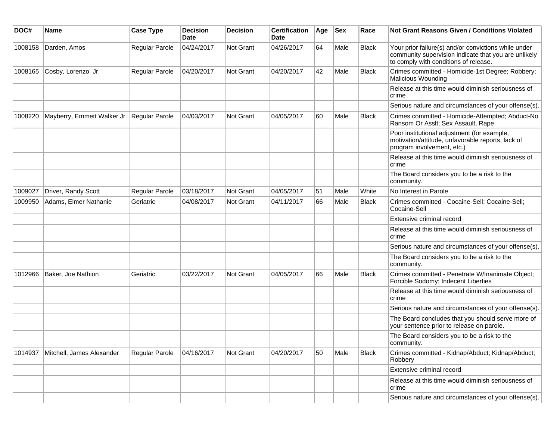| DOC#    | Name                                       | <b>Case Type</b> | <b>Decision</b><br><b>Date</b> | <b>Decision</b> | <b>Certification</b><br>Date | Age | <b>Sex</b> | Race         | <b>Not Grant Reasons Given / Conditions Violated</b>                                                                                                  |
|---------|--------------------------------------------|------------------|--------------------------------|-----------------|------------------------------|-----|------------|--------------|-------------------------------------------------------------------------------------------------------------------------------------------------------|
| 1008158 | Darden, Amos                               | Regular Parole   | 04/24/2017                     | Not Grant       | 04/26/2017                   | 64  | Male       | <b>Black</b> | Your prior failure(s) and/or convictions while under<br>community supervision indicate that you are unlikely<br>to comply with conditions of release. |
| 1008165 | Cosby, Lorenzo Jr.                         | Regular Parole   | 04/20/2017                     | Not Grant       | 04/20/2017                   | 42  | Male       | <b>Black</b> | Crimes committed - Homicide-1st Degree; Robbery;<br><b>Malicious Wounding</b>                                                                         |
|         |                                            |                  |                                |                 |                              |     |            |              | Release at this time would diminish seriousness of<br>crime                                                                                           |
|         |                                            |                  |                                |                 |                              |     |            |              | Serious nature and circumstances of your offense(s).                                                                                                  |
| 1008220 | Mayberry, Emmett Walker Jr. Regular Parole |                  | 04/03/2017                     | Not Grant       | 04/05/2017                   | 60  | Male       | <b>Black</b> | Crimes committed - Homicide-Attempted; Abduct-No<br>Ransom Or Asslt; Sex Assault, Rape                                                                |
|         |                                            |                  |                                |                 |                              |     |            |              | Poor institutional adjustment (for example,<br>motivation/attitude, unfavorable reports, lack of<br>program involvement, etc.)                        |
|         |                                            |                  |                                |                 |                              |     |            |              | Release at this time would diminish seriousness of<br>crime                                                                                           |
|         |                                            |                  |                                |                 |                              |     |            |              | The Board considers you to be a risk to the<br>community.                                                                                             |
| 1009027 | Driver, Randy Scott                        | Regular Parole   | 03/18/2017                     | Not Grant       | 04/05/2017                   | 51  | Male       | White        | No Interest in Parole                                                                                                                                 |
| 1009950 | Adams, Elmer Nathanie                      | Geriatric        | 04/08/2017                     | Not Grant       | 04/11/2017                   | 66  | Male       | <b>Black</b> | Crimes committed - Cocaine-Sell; Cocaine-Sell;<br>Cocaine-Sell                                                                                        |
|         |                                            |                  |                                |                 |                              |     |            |              | Extensive criminal record                                                                                                                             |
|         |                                            |                  |                                |                 |                              |     |            |              | Release at this time would diminish seriousness of<br>crime                                                                                           |
|         |                                            |                  |                                |                 |                              |     |            |              | Serious nature and circumstances of your offense(s).                                                                                                  |
|         |                                            |                  |                                |                 |                              |     |            |              | The Board considers you to be a risk to the<br>community.                                                                                             |
| 1012966 | Baker, Joe Nathion                         | Geriatric        | 03/22/2017                     | Not Grant       | 04/05/2017                   | 66  | Male       | <b>Black</b> | Crimes committed - Penetrate W/Inanimate Object;<br>Forcible Sodomy; Indecent Liberties                                                               |
|         |                                            |                  |                                |                 |                              |     |            |              | Release at this time would diminish seriousness of<br>crime                                                                                           |
|         |                                            |                  |                                |                 |                              |     |            |              | Serious nature and circumstances of your offense(s).                                                                                                  |
|         |                                            |                  |                                |                 |                              |     |            |              | The Board concludes that you should serve more of<br>your sentence prior to release on parole.                                                        |
|         |                                            |                  |                                |                 |                              |     |            |              | The Board considers you to be a risk to the<br>community.                                                                                             |
| 1014937 | Mitchell, James Alexander                  | Regular Parole   | 04/16/2017                     | Not Grant       | 04/20/2017                   | 50  | Male       | <b>Black</b> | Crimes committed - Kidnap/Abduct; Kidnap/Abduct;<br>Robbery                                                                                           |
|         |                                            |                  |                                |                 |                              |     |            |              | Extensive criminal record                                                                                                                             |
|         |                                            |                  |                                |                 |                              |     |            |              | Release at this time would diminish seriousness of<br>crime                                                                                           |
|         |                                            |                  |                                |                 |                              |     |            |              | Serious nature and circumstances of your offense(s).                                                                                                  |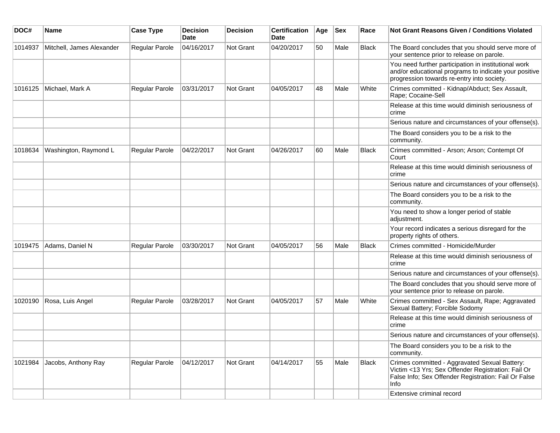| DOC#    | Name                      | <b>Case Type</b> | <b>Decision</b><br><b>Date</b> | <b>Decision</b>  | <b>Certification</b><br>Date | Age | <b>Sex</b> | Race         | <b>Not Grant Reasons Given / Conditions Violated</b>                                                                                                                       |
|---------|---------------------------|------------------|--------------------------------|------------------|------------------------------|-----|------------|--------------|----------------------------------------------------------------------------------------------------------------------------------------------------------------------------|
| 1014937 | Mitchell, James Alexander | Regular Parole   | 04/16/2017                     | Not Grant        | 04/20/2017                   | 50  | Male       | <b>Black</b> | The Board concludes that you should serve more of<br>your sentence prior to release on parole.                                                                             |
|         |                           |                  |                                |                  |                              |     |            |              | You need further participation in institutional work<br>and/or educational programs to indicate your positive<br>progression towards re-entry into society.                |
| 1016125 | Michael, Mark A           | Regular Parole   | 03/31/2017                     | <b>Not Grant</b> | 04/05/2017                   | 48  | Male       | White        | Crimes committed - Kidnap/Abduct; Sex Assault,<br>Rape; Cocaine-Sell                                                                                                       |
|         |                           |                  |                                |                  |                              |     |            |              | Release at this time would diminish seriousness of<br>crime                                                                                                                |
|         |                           |                  |                                |                  |                              |     |            |              | Serious nature and circumstances of your offense(s).                                                                                                                       |
|         |                           |                  |                                |                  |                              |     |            |              | The Board considers you to be a risk to the<br>community.                                                                                                                  |
| 1018634 | Washington, Raymond L     | Regular Parole   | 04/22/2017                     | Not Grant        | 04/26/2017                   | 60  | Male       | <b>Black</b> | Crimes committed - Arson; Arson; Contempt Of<br>Court                                                                                                                      |
|         |                           |                  |                                |                  |                              |     |            |              | Release at this time would diminish seriousness of<br>crime                                                                                                                |
|         |                           |                  |                                |                  |                              |     |            |              | Serious nature and circumstances of your offense(s).                                                                                                                       |
|         |                           |                  |                                |                  |                              |     |            |              | The Board considers you to be a risk to the<br>community.                                                                                                                  |
|         |                           |                  |                                |                  |                              |     |            |              | You need to show a longer period of stable<br>adjustment.                                                                                                                  |
|         |                           |                  |                                |                  |                              |     |            |              | Your record indicates a serious disregard for the<br>property rights of others.                                                                                            |
| 1019475 | Adams, Daniel N           | Regular Parole   | 03/30/2017                     | <b>Not Grant</b> | 04/05/2017                   | 56  | Male       | Black        | Crimes committed - Homicide/Murder                                                                                                                                         |
|         |                           |                  |                                |                  |                              |     |            |              | Release at this time would diminish seriousness of<br>crime                                                                                                                |
|         |                           |                  |                                |                  |                              |     |            |              | Serious nature and circumstances of your offense(s).                                                                                                                       |
|         |                           |                  |                                |                  |                              |     |            |              | The Board concludes that you should serve more of<br>your sentence prior to release on parole.                                                                             |
| 1020190 | Rosa, Luis Angel          | Regular Parole   | 03/28/2017                     | Not Grant        | 04/05/2017                   | 57  | Male       | White        | Crimes committed - Sex Assault, Rape; Aggravated<br>Sexual Battery; Forcible Sodomy                                                                                        |
|         |                           |                  |                                |                  |                              |     |            |              | Release at this time would diminish seriousness of<br>crime                                                                                                                |
|         |                           |                  |                                |                  |                              |     |            |              | Serious nature and circumstances of your offense(s).                                                                                                                       |
|         |                           |                  |                                |                  |                              |     |            |              | The Board considers you to be a risk to the<br>community.                                                                                                                  |
| 1021984 | Jacobs, Anthony Ray       | Regular Parole   | 04/12/2017                     | Not Grant        | 04/14/2017                   | 55  | Male       | <b>Black</b> | Crimes committed - Aggravated Sexual Battery:<br>Victim <13 Yrs; Sex Offender Registration: Fail Or<br>False Info; Sex Offender Registration: Fail Or False<br><b>Info</b> |
|         |                           |                  |                                |                  |                              |     |            |              | Extensive criminal record                                                                                                                                                  |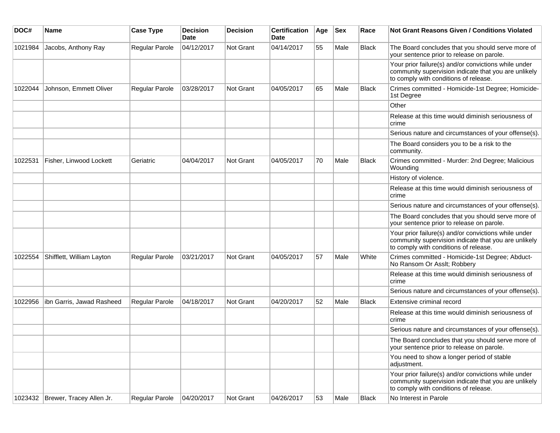| DOC#    | <b>Name</b>                        | <b>Case Type</b> | Decision<br><b>Date</b> | <b>Decision</b>  | <b>Certification</b><br>Date | Age | <b>Sex</b> | Race         | Not Grant Reasons Given / Conditions Violated                                                                                                         |
|---------|------------------------------------|------------------|-------------------------|------------------|------------------------------|-----|------------|--------------|-------------------------------------------------------------------------------------------------------------------------------------------------------|
| 1021984 | Jacobs, Anthony Ray                | Regular Parole   | 04/12/2017              | Not Grant        | 04/14/2017                   | 55  | Male       | Black        | The Board concludes that you should serve more of<br>your sentence prior to release on parole.                                                        |
|         |                                    |                  |                         |                  |                              |     |            |              | Your prior failure(s) and/or convictions while under<br>community supervision indicate that you are unlikely<br>to comply with conditions of release. |
| 1022044 | Johnson, Emmett Oliver             | Regular Parole   | 03/28/2017              | Not Grant        | 04/05/2017                   | 65  | Male       | <b>Black</b> | Crimes committed - Homicide-1st Degree; Homicide-<br>1st Degree                                                                                       |
|         |                                    |                  |                         |                  |                              |     |            |              | Other                                                                                                                                                 |
|         |                                    |                  |                         |                  |                              |     |            |              | Release at this time would diminish seriousness of<br>crime                                                                                           |
|         |                                    |                  |                         |                  |                              |     |            |              | Serious nature and circumstances of your offense(s).                                                                                                  |
|         |                                    |                  |                         |                  |                              |     |            |              | The Board considers you to be a risk to the<br>community.                                                                                             |
| 1022531 | Fisher, Linwood Lockett            | Geriatric        | 04/04/2017              | <b>Not Grant</b> | 04/05/2017                   | 70  | Male       | <b>Black</b> | Crimes committed - Murder: 2nd Degree; Malicious<br>Wounding                                                                                          |
|         |                                    |                  |                         |                  |                              |     |            |              | History of violence.                                                                                                                                  |
|         |                                    |                  |                         |                  |                              |     |            |              | Release at this time would diminish seriousness of<br>crime                                                                                           |
|         |                                    |                  |                         |                  |                              |     |            |              | Serious nature and circumstances of your offense(s).                                                                                                  |
|         |                                    |                  |                         |                  |                              |     |            |              | The Board concludes that you should serve more of<br>your sentence prior to release on parole.                                                        |
|         |                                    |                  |                         |                  |                              |     |            |              | Your prior failure(s) and/or convictions while under<br>community supervision indicate that you are unlikely<br>to comply with conditions of release. |
| 1022554 | Shifflett, William Layton          | Regular Parole   | 03/21/2017              | <b>Not Grant</b> | 04/05/2017                   | 57  | Male       | White        | Crimes committed - Homicide-1st Degree; Abduct-<br>No Ransom Or Asslt; Robbery                                                                        |
|         |                                    |                  |                         |                  |                              |     |            |              | Release at this time would diminish seriousness of<br>crime                                                                                           |
|         |                                    |                  |                         |                  |                              |     |            |              | Serious nature and circumstances of your offense(s).                                                                                                  |
| 1022956 | ibn Garris, Jawad Rasheed          | Regular Parole   | 04/18/2017              | Not Grant        | 04/20/2017                   | 52  | Male       | <b>Black</b> | Extensive criminal record                                                                                                                             |
|         |                                    |                  |                         |                  |                              |     |            |              | Release at this time would diminish seriousness of<br>crime                                                                                           |
|         |                                    |                  |                         |                  |                              |     |            |              | Serious nature and circumstances of your offense(s).                                                                                                  |
|         |                                    |                  |                         |                  |                              |     |            |              | The Board concludes that you should serve more of<br>your sentence prior to release on parole.                                                        |
|         |                                    |                  |                         |                  |                              |     |            |              | You need to show a longer period of stable<br>adjustment.                                                                                             |
|         |                                    |                  |                         |                  |                              |     |            |              | Your prior failure(s) and/or convictions while under<br>community supervision indicate that you are unlikely<br>to comply with conditions of release. |
|         | 1023432   Brewer, Tracey Allen Jr. | Regular Parole   | 04/20/2017              | Not Grant        | 04/26/2017                   | 53  | Male       | <b>Black</b> | No Interest in Parole                                                                                                                                 |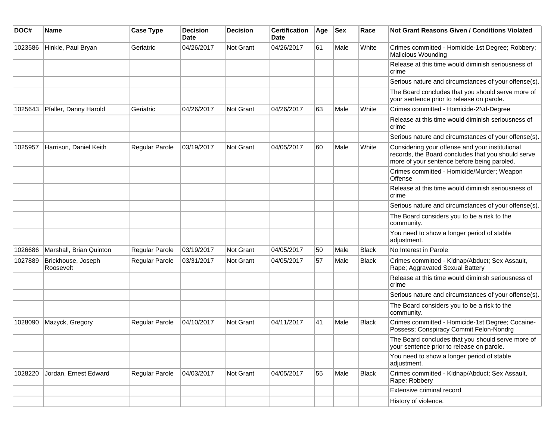| DOC#    | <b>Name</b>                     | <b>Case Type</b> | <b>Decision</b><br><b>Date</b> | <b>Decision</b> | <b>Certification</b><br>Date | Age | <b>Sex</b> | Race         | <b>Not Grant Reasons Given / Conditions Violated</b>                                                                                                 |
|---------|---------------------------------|------------------|--------------------------------|-----------------|------------------------------|-----|------------|--------------|------------------------------------------------------------------------------------------------------------------------------------------------------|
| 1023586 | Hinkle, Paul Bryan              | Geriatric        | 04/26/2017                     | Not Grant       | 04/26/2017                   | 61  | Male       | White        | Crimes committed - Homicide-1st Degree; Robbery;<br>Malicious Wounding                                                                               |
|         |                                 |                  |                                |                 |                              |     |            |              | Release at this time would diminish seriousness of<br>crime                                                                                          |
|         |                                 |                  |                                |                 |                              |     |            |              | Serious nature and circumstances of your offense(s).                                                                                                 |
|         |                                 |                  |                                |                 |                              |     |            |              | The Board concludes that you should serve more of<br>your sentence prior to release on parole.                                                       |
| 1025643 | Pfaller, Danny Harold           | Geriatric        | 04/26/2017                     | Not Grant       | 04/26/2017                   | 63  | Male       | White        | Crimes committed - Homicide-2Nd-Degree                                                                                                               |
|         |                                 |                  |                                |                 |                              |     |            |              | Release at this time would diminish seriousness of<br>crime                                                                                          |
|         |                                 |                  |                                |                 |                              |     |            |              | Serious nature and circumstances of your offense(s).                                                                                                 |
| 1025957 | Harrison, Daniel Keith          | Regular Parole   | 03/19/2017                     | Not Grant       | 04/05/2017                   | 60  | Male       | White        | Considering your offense and your institutional<br>records, the Board concludes that you should serve<br>more of your sentence before being paroled. |
|         |                                 |                  |                                |                 |                              |     |            |              | Crimes committed - Homicide/Murder; Weapon<br>Offense                                                                                                |
|         |                                 |                  |                                |                 |                              |     |            |              | Release at this time would diminish seriousness of<br>crime                                                                                          |
|         |                                 |                  |                                |                 |                              |     |            |              | Serious nature and circumstances of your offense(s).                                                                                                 |
|         |                                 |                  |                                |                 |                              |     |            |              | The Board considers you to be a risk to the<br>community.                                                                                            |
|         |                                 |                  |                                |                 |                              |     |            |              | You need to show a longer period of stable<br>adjustment.                                                                                            |
| 1026686 | Marshall, Brian Quinton         | Regular Parole   | 03/19/2017                     | Not Grant       | 04/05/2017                   | 50  | Male       | <b>Black</b> | No Interest in Parole                                                                                                                                |
| 1027889 | Brickhouse, Joseph<br>Roosevelt | Regular Parole   | 03/31/2017                     | Not Grant       | 04/05/2017                   | 57  | Male       | <b>Black</b> | Crimes committed - Kidnap/Abduct; Sex Assault,<br>Rape; Aggravated Sexual Battery                                                                    |
|         |                                 |                  |                                |                 |                              |     |            |              | Release at this time would diminish seriousness of<br>crime                                                                                          |
|         |                                 |                  |                                |                 |                              |     |            |              | Serious nature and circumstances of your offense(s).                                                                                                 |
|         |                                 |                  |                                |                 |                              |     |            |              | The Board considers you to be a risk to the<br>community.                                                                                            |
| 1028090 | Mazyck, Gregory                 | Regular Parole   | 04/10/2017                     | Not Grant       | 04/11/2017                   | 41  | Male       | Black        | Crimes committed - Homicide-1st Degree; Cocaine-<br>Possess; Conspiracy Commit Felon-Nondrg                                                          |
|         |                                 |                  |                                |                 |                              |     |            |              | The Board concludes that you should serve more of<br>your sentence prior to release on parole.                                                       |
|         |                                 |                  |                                |                 |                              |     |            |              | You need to show a longer period of stable<br>adjustment.                                                                                            |
| 1028220 | Jordan, Ernest Edward           | Regular Parole   | 04/03/2017                     | Not Grant       | 04/05/2017                   | 55  | Male       | Black        | Crimes committed - Kidnap/Abduct; Sex Assault,<br>Rape; Robbery                                                                                      |
|         |                                 |                  |                                |                 |                              |     |            |              | Extensive criminal record                                                                                                                            |
|         |                                 |                  |                                |                 |                              |     |            |              | History of violence.                                                                                                                                 |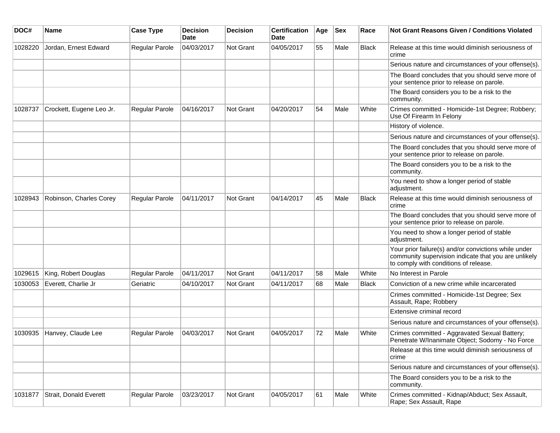| DOC#    | <b>Name</b>              | <b>Case Type</b>      | <b>Decision</b><br><b>Date</b> | <b>Decision</b>  | <b>Certification</b><br>Date | Age | <b>Sex</b> | Race         | Not Grant Reasons Given / Conditions Violated                                                                                                         |
|---------|--------------------------|-----------------------|--------------------------------|------------------|------------------------------|-----|------------|--------------|-------------------------------------------------------------------------------------------------------------------------------------------------------|
| 1028220 | Jordan, Ernest Edward    | Regular Parole        | 04/03/2017                     | <b>Not Grant</b> | 04/05/2017                   | 55  | Male       | Black        | Release at this time would diminish seriousness of<br>crime                                                                                           |
|         |                          |                       |                                |                  |                              |     |            |              | Serious nature and circumstances of your offense(s).                                                                                                  |
|         |                          |                       |                                |                  |                              |     |            |              | The Board concludes that you should serve more of<br>your sentence prior to release on parole.                                                        |
|         |                          |                       |                                |                  |                              |     |            |              | The Board considers you to be a risk to the<br>community.                                                                                             |
| 1028737 | Crockett, Eugene Leo Jr. | Regular Parole        | 04/16/2017                     | <b>Not Grant</b> | 04/20/2017                   | 54  | Male       | White        | Crimes committed - Homicide-1st Degree; Robbery;<br>Use Of Firearm In Felony                                                                          |
|         |                          |                       |                                |                  |                              |     |            |              | History of violence.                                                                                                                                  |
|         |                          |                       |                                |                  |                              |     |            |              | Serious nature and circumstances of your offense(s).                                                                                                  |
|         |                          |                       |                                |                  |                              |     |            |              | The Board concludes that you should serve more of<br>your sentence prior to release on parole.                                                        |
|         |                          |                       |                                |                  |                              |     |            |              | The Board considers you to be a risk to the<br>community.                                                                                             |
|         |                          |                       |                                |                  |                              |     |            |              | You need to show a longer period of stable<br>adjustment.                                                                                             |
| 1028943 | Robinson, Charles Corey  | <b>Regular Parole</b> | 04/11/2017                     | Not Grant        | 04/14/2017                   | 45  | Male       | <b>Black</b> | Release at this time would diminish seriousness of<br>crime                                                                                           |
|         |                          |                       |                                |                  |                              |     |            |              | The Board concludes that you should serve more of<br>your sentence prior to release on parole.                                                        |
|         |                          |                       |                                |                  |                              |     |            |              | You need to show a longer period of stable<br>adjustment.                                                                                             |
|         |                          |                       |                                |                  |                              |     |            |              | Your prior failure(s) and/or convictions while under<br>community supervision indicate that you are unlikely<br>to comply with conditions of release. |
| 1029615 | King, Robert Douglas     | <b>Regular Parole</b> | 04/11/2017                     | <b>Not Grant</b> | 04/11/2017                   | 58  | Male       | White        | No Interest in Parole                                                                                                                                 |
| 1030053 | Everett, Charlie Jr      | Geriatric             | 04/10/2017                     | <b>Not Grant</b> | 04/11/2017                   | 68  | Male       | <b>Black</b> | Conviction of a new crime while incarcerated                                                                                                          |
|         |                          |                       |                                |                  |                              |     |            |              | Crimes committed - Homicide-1st Degree; Sex<br>Assault, Rape; Robbery                                                                                 |
|         |                          |                       |                                |                  |                              |     |            |              | Extensive criminal record                                                                                                                             |
|         |                          |                       |                                |                  |                              |     |            |              | Serious nature and circumstances of your offense(s).                                                                                                  |
| 1030935 | Hanvey, Claude Lee       | <b>Regular Parole</b> | 04/03/2017                     | Not Grant        | 04/05/2017                   | 72  | Male       | White        | Crimes committed - Aggravated Sexual Battery;<br>Penetrate W/Inanimate Object; Sodomy - No Force                                                      |
|         |                          |                       |                                |                  |                              |     |            |              | Release at this time would diminish seriousness of<br>crime                                                                                           |
|         |                          |                       |                                |                  |                              |     |            |              | Serious nature and circumstances of your offense(s).                                                                                                  |
|         |                          |                       |                                |                  |                              |     |            |              | The Board considers you to be a risk to the<br>community.                                                                                             |
| 1031877 | Strait, Donald Everett   | Regular Parole        | 03/23/2017                     | Not Grant        | 04/05/2017                   | 61  | Male       | White        | Crimes committed - Kidnap/Abduct; Sex Assault,<br>Rape; Sex Assault, Rape                                                                             |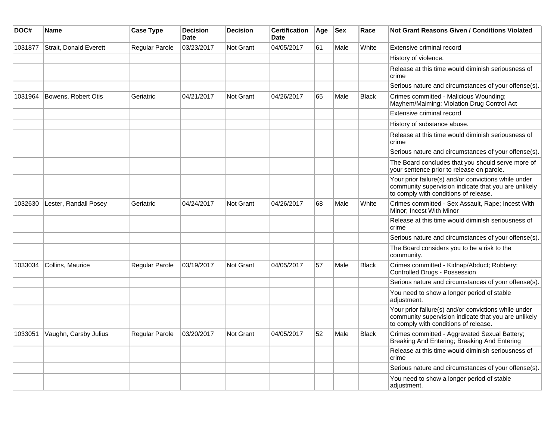| DOC#    | <b>Name</b>                   | <b>Case Type</b> | <b>Decision</b><br><b>Date</b> | <b>Decision</b>  | <b>Certification</b><br>Date | Age | <b>Sex</b> | Race         | Not Grant Reasons Given / Conditions Violated                                                                                                         |
|---------|-------------------------------|------------------|--------------------------------|------------------|------------------------------|-----|------------|--------------|-------------------------------------------------------------------------------------------------------------------------------------------------------|
| 1031877 | <b>Strait, Donald Everett</b> | Regular Parole   | 03/23/2017                     | Not Grant        | 04/05/2017                   | 61  | Male       | White        | Extensive criminal record                                                                                                                             |
|         |                               |                  |                                |                  |                              |     |            |              | History of violence.                                                                                                                                  |
|         |                               |                  |                                |                  |                              |     |            |              | Release at this time would diminish seriousness of<br>crime                                                                                           |
|         |                               |                  |                                |                  |                              |     |            |              | Serious nature and circumstances of your offense(s).                                                                                                  |
| 1031964 | Bowens, Robert Otis           | Geriatric        | 04/21/2017                     | Not Grant        | 04/26/2017                   | 65  | Male       | <b>Black</b> | Crimes committed - Malicious Wounding;<br>Mayhem/Maiming; Violation Drug Control Act                                                                  |
|         |                               |                  |                                |                  |                              |     |            |              | Extensive criminal record                                                                                                                             |
|         |                               |                  |                                |                  |                              |     |            |              | History of substance abuse.                                                                                                                           |
|         |                               |                  |                                |                  |                              |     |            |              | Release at this time would diminish seriousness of<br>crime                                                                                           |
|         |                               |                  |                                |                  |                              |     |            |              | Serious nature and circumstances of your offense(s).                                                                                                  |
|         |                               |                  |                                |                  |                              |     |            |              | The Board concludes that you should serve more of<br>your sentence prior to release on parole.                                                        |
|         |                               |                  |                                |                  |                              |     |            |              | Your prior failure(s) and/or convictions while under<br>community supervision indicate that you are unlikely<br>to comply with conditions of release. |
| 1032630 | Lester, Randall Posey         | Geriatric        | 04/24/2017                     | <b>Not Grant</b> | 04/26/2017                   | 68  | Male       | White        | Crimes committed - Sex Assault, Rape; Incest With<br>Minor: Incest With Minor                                                                         |
|         |                               |                  |                                |                  |                              |     |            |              | Release at this time would diminish seriousness of<br>crime                                                                                           |
|         |                               |                  |                                |                  |                              |     |            |              | Serious nature and circumstances of your offense(s).                                                                                                  |
|         |                               |                  |                                |                  |                              |     |            |              | The Board considers you to be a risk to the<br>community.                                                                                             |
| 1033034 | Collins, Maurice              | Regular Parole   | 03/19/2017                     | <b>Not Grant</b> | 04/05/2017                   | 57  | Male       | <b>Black</b> | Crimes committed - Kidnap/Abduct; Robbery;<br><b>Controlled Drugs - Possession</b>                                                                    |
|         |                               |                  |                                |                  |                              |     |            |              | Serious nature and circumstances of your offense(s).                                                                                                  |
|         |                               |                  |                                |                  |                              |     |            |              | You need to show a longer period of stable<br>adjustment.                                                                                             |
|         |                               |                  |                                |                  |                              |     |            |              | Your prior failure(s) and/or convictions while under<br>community supervision indicate that you are unlikely<br>to comply with conditions of release. |
| 1033051 | Vaughn, Carsby Julius         | Regular Parole   | 03/20/2017                     | <b>Not Grant</b> | 04/05/2017                   | 52  | Male       | <b>Black</b> | Crimes committed - Aggravated Sexual Battery;<br>Breaking And Entering; Breaking And Entering                                                         |
|         |                               |                  |                                |                  |                              |     |            |              | Release at this time would diminish seriousness of<br>crime                                                                                           |
|         |                               |                  |                                |                  |                              |     |            |              | Serious nature and circumstances of your offense(s).                                                                                                  |
|         |                               |                  |                                |                  |                              |     |            |              | You need to show a longer period of stable<br>adjustment.                                                                                             |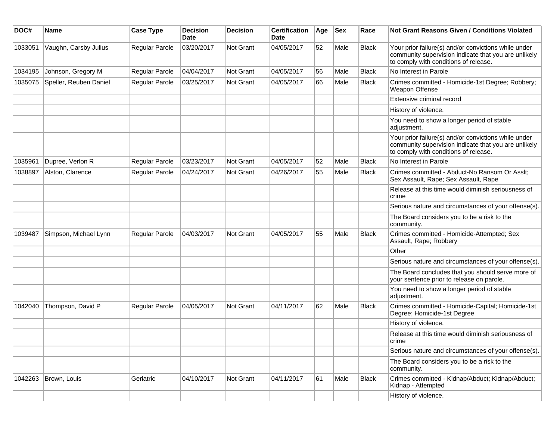| DOC#    | <b>Name</b>            | <b>Case Type</b> | <b>Decision</b><br>Date | <b>Decision</b> | <b>Certification</b><br>Date | Age | <b>Sex</b> | Race         | Not Grant Reasons Given / Conditions Violated                                                                                                         |
|---------|------------------------|------------------|-------------------------|-----------------|------------------------------|-----|------------|--------------|-------------------------------------------------------------------------------------------------------------------------------------------------------|
| 1033051 | Vaughn, Carsby Julius  | Regular Parole   | 03/20/2017              | Not Grant       | 04/05/2017                   | 52  | Male       | <b>Black</b> | Your prior failure(s) and/or convictions while under<br>community supervision indicate that you are unlikely<br>to comply with conditions of release. |
| 1034195 | Johnson, Gregory M     | Regular Parole   | 04/04/2017              | Not Grant       | 04/05/2017                   | 56  | Male       | <b>Black</b> | No Interest in Parole                                                                                                                                 |
| 1035075 | Speller, Reuben Daniel | Regular Parole   | 03/25/2017              | Not Grant       | 04/05/2017                   | 66  | Male       | <b>Black</b> | Crimes committed - Homicide-1st Degree; Robbery;<br>Weapon Offense                                                                                    |
|         |                        |                  |                         |                 |                              |     |            |              | Extensive criminal record                                                                                                                             |
|         |                        |                  |                         |                 |                              |     |            |              | History of violence.                                                                                                                                  |
|         |                        |                  |                         |                 |                              |     |            |              | You need to show a longer period of stable<br>adjustment.                                                                                             |
|         |                        |                  |                         |                 |                              |     |            |              | Your prior failure(s) and/or convictions while under<br>community supervision indicate that you are unlikely<br>to comply with conditions of release. |
| 1035961 | Dupree, Verlon R       | Regular Parole   | 03/23/2017              | Not Grant       | 04/05/2017                   | 52  | Male       | <b>Black</b> | No Interest in Parole                                                                                                                                 |
| 1038897 | Alston, Clarence       | Regular Parole   | 04/24/2017              | Not Grant       | 04/26/2017                   | 55  | Male       | <b>Black</b> | Crimes committed - Abduct-No Ransom Or Asslt;<br>Sex Assault, Rape; Sex Assault, Rape                                                                 |
|         |                        |                  |                         |                 |                              |     |            |              | Release at this time would diminish seriousness of<br>crime                                                                                           |
|         |                        |                  |                         |                 |                              |     |            |              | Serious nature and circumstances of your offense(s).                                                                                                  |
|         |                        |                  |                         |                 |                              |     |            |              | The Board considers you to be a risk to the<br>community.                                                                                             |
| 1039487 | Simpson, Michael Lynn  | Regular Parole   | 04/03/2017              | Not Grant       | 04/05/2017                   | 55  | Male       | Black        | Crimes committed - Homicide-Attempted; Sex<br>Assault, Rape; Robbery                                                                                  |
|         |                        |                  |                         |                 |                              |     |            |              | Other                                                                                                                                                 |
|         |                        |                  |                         |                 |                              |     |            |              | Serious nature and circumstances of your offense(s).                                                                                                  |
|         |                        |                  |                         |                 |                              |     |            |              | The Board concludes that you should serve more of<br>your sentence prior to release on parole.                                                        |
|         |                        |                  |                         |                 |                              |     |            |              | You need to show a longer period of stable<br>adjustment.                                                                                             |
| 1042040 | Thompson, David P      | Regular Parole   | 04/05/2017              | Not Grant       | 04/11/2017                   | 62  | Male       | <b>Black</b> | Crimes committed - Homicide-Capital; Homicide-1st<br>Degree; Homicide-1st Degree                                                                      |
|         |                        |                  |                         |                 |                              |     |            |              | History of violence.                                                                                                                                  |
|         |                        |                  |                         |                 |                              |     |            |              | Release at this time would diminish seriousness of<br>crime                                                                                           |
|         |                        |                  |                         |                 |                              |     |            |              | Serious nature and circumstances of your offense(s).                                                                                                  |
|         |                        |                  |                         |                 |                              |     |            |              | The Board considers you to be a risk to the<br>community.                                                                                             |
| 1042263 | Brown, Louis           | Geriatric        | 04/10/2017              | Not Grant       | 04/11/2017                   | 61  | Male       | <b>Black</b> | Crimes committed - Kidnap/Abduct; Kidnap/Abduct;<br>Kidnap - Attempted                                                                                |
|         |                        |                  |                         |                 |                              |     |            |              | History of violence.                                                                                                                                  |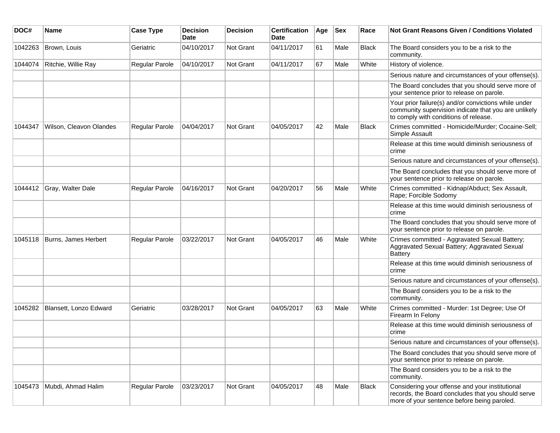| DOC#    | <b>Name</b>             | <b>Case Type</b> | <b>Decision</b><br><b>Date</b> | <b>Decision</b>  | <b>Certification</b><br>Date | Age | <b>Sex</b> | Race         | <b>Not Grant Reasons Given / Conditions Violated</b>                                                                                                  |
|---------|-------------------------|------------------|--------------------------------|------------------|------------------------------|-----|------------|--------------|-------------------------------------------------------------------------------------------------------------------------------------------------------|
| 1042263 | Brown, Louis            | Geriatric        | 04/10/2017                     | <b>Not Grant</b> | 04/11/2017                   | 61  | Male       | <b>Black</b> | The Board considers you to be a risk to the<br>community.                                                                                             |
| 1044074 | Ritchie, Willie Ray     | Regular Parole   | 04/10/2017                     | Not Grant        | 04/11/2017                   | 67  | Male       | White        | History of violence.                                                                                                                                  |
|         |                         |                  |                                |                  |                              |     |            |              | Serious nature and circumstances of your offense(s).                                                                                                  |
|         |                         |                  |                                |                  |                              |     |            |              | The Board concludes that you should serve more of<br>your sentence prior to release on parole.                                                        |
|         |                         |                  |                                |                  |                              |     |            |              | Your prior failure(s) and/or convictions while under<br>community supervision indicate that you are unlikely<br>to comply with conditions of release. |
| 1044347 | Wilson, Cleavon Olandes | Regular Parole   | 04/04/2017                     | <b>Not Grant</b> | 04/05/2017                   | 42  | Male       | Black        | Crimes committed - Homicide/Murder; Cocaine-Sell;<br>Simple Assault                                                                                   |
|         |                         |                  |                                |                  |                              |     |            |              | Release at this time would diminish seriousness of<br>crime                                                                                           |
|         |                         |                  |                                |                  |                              |     |            |              | Serious nature and circumstances of your offense(s).                                                                                                  |
|         |                         |                  |                                |                  |                              |     |            |              | The Board concludes that you should serve more of<br>your sentence prior to release on parole.                                                        |
| 1044412 | Gray, Walter Dale       | Regular Parole   | 04/16/2017                     | <b>Not Grant</b> | 04/20/2017                   | 56  | Male       | White        | Crimes committed - Kidnap/Abduct; Sex Assault,<br>Rape; Forcible Sodomy                                                                               |
|         |                         |                  |                                |                  |                              |     |            |              | Release at this time would diminish seriousness of<br><b>crime</b>                                                                                    |
|         |                         |                  |                                |                  |                              |     |            |              | The Board concludes that you should serve more of<br>your sentence prior to release on parole.                                                        |
| 1045118 | Burns, James Herbert    | Regular Parole   | 03/22/2017                     | <b>Not Grant</b> | 04/05/2017                   | 46  | Male       | White        | Crimes committed - Aggravated Sexual Battery;<br>Aggravated Sexual Battery; Aggravated Sexual<br><b>Battery</b>                                       |
|         |                         |                  |                                |                  |                              |     |            |              | Release at this time would diminish seriousness of<br>crime                                                                                           |
|         |                         |                  |                                |                  |                              |     |            |              | Serious nature and circumstances of your offense(s).                                                                                                  |
|         |                         |                  |                                |                  |                              |     |            |              | The Board considers you to be a risk to the<br>community.                                                                                             |
| 1045282 | Blansett, Lonzo Edward  | Geriatric        | 03/28/2017                     | Not Grant        | 04/05/2017                   | 63  | Male       | White        | Crimes committed - Murder: 1st Degree; Use Of<br>Firearm In Felony                                                                                    |
|         |                         |                  |                                |                  |                              |     |            |              | Release at this time would diminish seriousness of<br>crime                                                                                           |
|         |                         |                  |                                |                  |                              |     |            |              | Serious nature and circumstances of your offense(s).                                                                                                  |
|         |                         |                  |                                |                  |                              |     |            |              | The Board concludes that you should serve more of<br>your sentence prior to release on parole.                                                        |
|         |                         |                  |                                |                  |                              |     |            |              | The Board considers you to be a risk to the<br>community.                                                                                             |
| 1045473 | Mubdi, Ahmad Halim      | Regular Parole   | 03/23/2017                     | Not Grant        | 04/05/2017                   | 48  | Male       | Black        | Considering your offense and your institutional<br>records, the Board concludes that you should serve<br>more of your sentence before being paroled.  |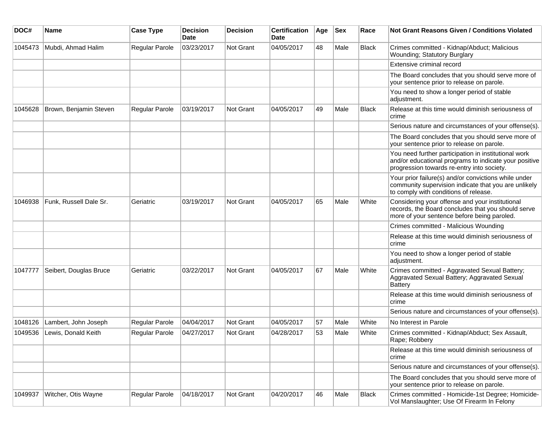| DOC#    | Name                   | <b>Case Type</b>      | <b>Decision</b><br>Date | <b>Decision</b> | <b>Certification</b><br>Date | Age | <b>Sex</b> | Race         | <b>Not Grant Reasons Given / Conditions Violated</b>                                                                                                        |
|---------|------------------------|-----------------------|-------------------------|-----------------|------------------------------|-----|------------|--------------|-------------------------------------------------------------------------------------------------------------------------------------------------------------|
| 1045473 | Mubdi, Ahmad Halim     | Regular Parole        | 03/23/2017              | Not Grant       | 04/05/2017                   | 48  | Male       | Black        | Crimes committed - Kidnap/Abduct; Malicious<br>Wounding; Statutory Burglary                                                                                 |
|         |                        |                       |                         |                 |                              |     |            |              | Extensive criminal record                                                                                                                                   |
|         |                        |                       |                         |                 |                              |     |            |              | The Board concludes that you should serve more of<br>your sentence prior to release on parole.                                                              |
|         |                        |                       |                         |                 |                              |     |            |              | You need to show a longer period of stable<br>adjustment.                                                                                                   |
| 1045628 | Brown, Benjamin Steven | <b>Regular Parole</b> | 03/19/2017              | Not Grant       | 04/05/2017                   | 49  | Male       | <b>Black</b> | Release at this time would diminish seriousness of<br>crime                                                                                                 |
|         |                        |                       |                         |                 |                              |     |            |              | Serious nature and circumstances of your offense(s).                                                                                                        |
|         |                        |                       |                         |                 |                              |     |            |              | The Board concludes that you should serve more of<br>your sentence prior to release on parole.                                                              |
|         |                        |                       |                         |                 |                              |     |            |              | You need further participation in institutional work<br>and/or educational programs to indicate your positive<br>progression towards re-entry into society. |
|         |                        |                       |                         |                 |                              |     |            |              | Your prior failure(s) and/or convictions while under<br>community supervision indicate that you are unlikely<br>to comply with conditions of release.       |
| 1046938 | Funk, Russell Dale Sr. | Geriatric             | 03/19/2017              | Not Grant       | 04/05/2017                   | 65  | Male       | White        | Considering your offense and your institutional<br>records, the Board concludes that you should serve<br>more of your sentence before being paroled.        |
|         |                        |                       |                         |                 |                              |     |            |              | Crimes committed - Malicious Wounding                                                                                                                       |
|         |                        |                       |                         |                 |                              |     |            |              | Release at this time would diminish seriousness of<br>crime                                                                                                 |
|         |                        |                       |                         |                 |                              |     |            |              | You need to show a longer period of stable<br>adjustment.                                                                                                   |
| 1047777 | Seibert, Douglas Bruce | Geriatric             | 03/22/2017              | Not Grant       | 04/05/2017                   | 67  | Male       | White        | Crimes committed - Aggravated Sexual Battery;<br>Aggravated Sexual Battery; Aggravated Sexual<br><b>Battery</b>                                             |
|         |                        |                       |                         |                 |                              |     |            |              | Release at this time would diminish seriousness of<br>crime                                                                                                 |
|         |                        |                       |                         |                 |                              |     |            |              | Serious nature and circumstances of your offense(s).                                                                                                        |
| 1048126 | Lambert, John Joseph   | Regular Parole        | 04/04/2017              | Not Grant       | 04/05/2017                   | 57  | Male       | White        | No Interest in Parole                                                                                                                                       |
| 1049536 | Lewis, Donald Keith    | Regular Parole        | 04/27/2017              | Not Grant       | 04/28/2017                   | 53  | Male       | White        | Crimes committed - Kidnap/Abduct; Sex Assault,<br>Rape; Robbery                                                                                             |
|         |                        |                       |                         |                 |                              |     |            |              | Release at this time would diminish seriousness of<br>crime                                                                                                 |
|         |                        |                       |                         |                 |                              |     |            |              | Serious nature and circumstances of your offense(s).                                                                                                        |
|         |                        |                       |                         |                 |                              |     |            |              | The Board concludes that you should serve more of<br>your sentence prior to release on parole.                                                              |
| 1049937 | Witcher, Otis Wayne    | Regular Parole        | 04/18/2017              | Not Grant       | 04/20/2017                   | 46  | Male       | Black        | Crimes committed - Homicide-1st Degree; Homicide-<br>Vol Manslaughter; Use Of Firearm In Felony                                                             |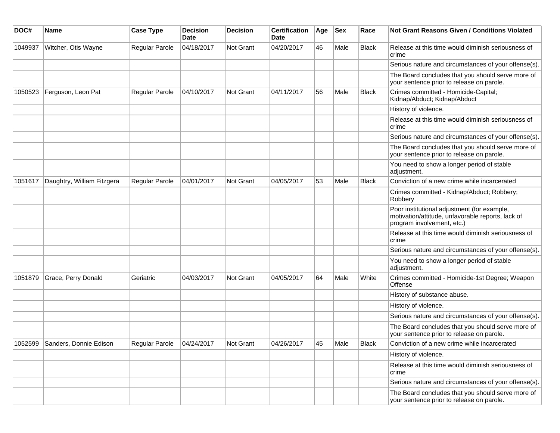| DOC#    | <b>Name</b>                    | <b>Case Type</b>      | <b>Decision</b><br><b>Date</b> | <b>Decision</b>  | <b>Certification</b><br>Date | Age | <b>Sex</b> | Race         | <b>Not Grant Reasons Given / Conditions Violated</b>                                                                           |
|---------|--------------------------------|-----------------------|--------------------------------|------------------|------------------------------|-----|------------|--------------|--------------------------------------------------------------------------------------------------------------------------------|
| 1049937 | Witcher, Otis Wayne            | Regular Parole        | 04/18/2017                     | <b>Not Grant</b> | 04/20/2017                   | 46  | Male       | <b>Black</b> | Release at this time would diminish seriousness of<br>crime                                                                    |
|         |                                |                       |                                |                  |                              |     |            |              | Serious nature and circumstances of your offense(s).                                                                           |
|         |                                |                       |                                |                  |                              |     |            |              | The Board concludes that you should serve more of<br>your sentence prior to release on parole.                                 |
| 1050523 | Ferguson, Leon Pat             | Regular Parole        | 04/10/2017                     | <b>Not Grant</b> | 04/11/2017                   | 56  | Male       | <b>Black</b> | Crimes committed - Homicide-Capital;<br>Kidnap/Abduct; Kidnap/Abduct                                                           |
|         |                                |                       |                                |                  |                              |     |            |              | History of violence.                                                                                                           |
|         |                                |                       |                                |                  |                              |     |            |              | Release at this time would diminish seriousness of<br>crime                                                                    |
|         |                                |                       |                                |                  |                              |     |            |              | Serious nature and circumstances of your offense(s).                                                                           |
|         |                                |                       |                                |                  |                              |     |            |              | The Board concludes that you should serve more of<br>your sentence prior to release on parole.                                 |
|         |                                |                       |                                |                  |                              |     |            |              | You need to show a longer period of stable<br>adjustment.                                                                      |
| 1051617 | Daughtry, William Fitzgera     | <b>Regular Parole</b> | 04/01/2017                     | Not Grant        | 04/05/2017                   | 53  | Male       | <b>Black</b> | Conviction of a new crime while incarcerated                                                                                   |
|         |                                |                       |                                |                  |                              |     |            |              | Crimes committed - Kidnap/Abduct; Robbery;<br>Robbery                                                                          |
|         |                                |                       |                                |                  |                              |     |            |              | Poor institutional adjustment (for example,<br>motivation/attitude, unfavorable reports, lack of<br>program involvement, etc.) |
|         |                                |                       |                                |                  |                              |     |            |              | Release at this time would diminish seriousness of<br>crime                                                                    |
|         |                                |                       |                                |                  |                              |     |            |              | Serious nature and circumstances of your offense(s).                                                                           |
|         |                                |                       |                                |                  |                              |     |            |              | You need to show a longer period of stable<br>adjustment.                                                                      |
| 1051879 | Grace, Perry Donald            | Geriatric             | 04/03/2017                     | Not Grant        | 04/05/2017                   | 64  | Male       | White        | Crimes committed - Homicide-1st Degree; Weapon<br>Offense                                                                      |
|         |                                |                       |                                |                  |                              |     |            |              | History of substance abuse.                                                                                                    |
|         |                                |                       |                                |                  |                              |     |            |              | History of violence.                                                                                                           |
|         |                                |                       |                                |                  |                              |     |            |              | Serious nature and circumstances of your offense(s).                                                                           |
|         |                                |                       |                                |                  |                              |     |            |              | The Board concludes that you should serve more of<br>your sentence prior to release on parole.                                 |
|         | 1052599 Sanders, Donnie Edison | Regular Parole        | 04/24/2017                     | Not Grant        | 04/26/2017                   | 45  | Male       | Black        | Conviction of a new crime while incarcerated                                                                                   |
|         |                                |                       |                                |                  |                              |     |            |              | History of violence.                                                                                                           |
|         |                                |                       |                                |                  |                              |     |            |              | Release at this time would diminish seriousness of<br>crime                                                                    |
|         |                                |                       |                                |                  |                              |     |            |              | Serious nature and circumstances of your offense(s).                                                                           |
|         |                                |                       |                                |                  |                              |     |            |              | The Board concludes that you should serve more of<br>your sentence prior to release on parole.                                 |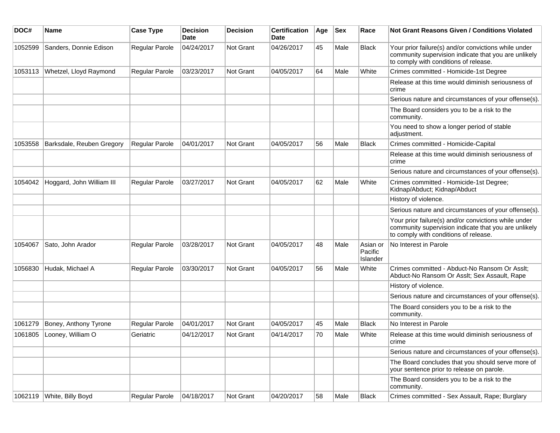| DOC#    | Name                      | <b>Case Type</b> | <b>Decision</b><br><b>Date</b> | <b>Decision</b>  | <b>Certification</b><br>Date | Age | Sex  | Race                            | Not Grant Reasons Given / Conditions Violated                                                                                                         |
|---------|---------------------------|------------------|--------------------------------|------------------|------------------------------|-----|------|---------------------------------|-------------------------------------------------------------------------------------------------------------------------------------------------------|
| 1052599 | Sanders, Donnie Edison    | Regular Parole   | 04/24/2017                     | Not Grant        | 04/26/2017                   | 45  | Male | <b>Black</b>                    | Your prior failure(s) and/or convictions while under<br>community supervision indicate that you are unlikely<br>to comply with conditions of release. |
| 1053113 | Whetzel, Lloyd Raymond    | Regular Parole   | 03/23/2017                     | Not Grant        | 04/05/2017                   | 64  | Male | White                           | Crimes committed - Homicide-1st Degree                                                                                                                |
|         |                           |                  |                                |                  |                              |     |      |                                 | Release at this time would diminish seriousness of<br>crime                                                                                           |
|         |                           |                  |                                |                  |                              |     |      |                                 | Serious nature and circumstances of your offense(s).                                                                                                  |
|         |                           |                  |                                |                  |                              |     |      |                                 | The Board considers you to be a risk to the<br>community.                                                                                             |
|         |                           |                  |                                |                  |                              |     |      |                                 | You need to show a longer period of stable<br>adjustment.                                                                                             |
| 1053558 | Barksdale, Reuben Gregory | Regular Parole   | 04/01/2017                     | Not Grant        | 04/05/2017                   | 56  | Male | <b>Black</b>                    | Crimes committed - Homicide-Capital                                                                                                                   |
|         |                           |                  |                                |                  |                              |     |      |                                 | Release at this time would diminish seriousness of<br>crime                                                                                           |
|         |                           |                  |                                |                  |                              |     |      |                                 | Serious nature and circumstances of your offense(s).                                                                                                  |
| 1054042 | Hoggard, John William III | Regular Parole   | 03/27/2017                     | Not Grant        | 04/05/2017                   | 62  | Male | White                           | Crimes committed - Homicide-1st Degree;<br>Kidnap/Abduct; Kidnap/Abduct                                                                               |
|         |                           |                  |                                |                  |                              |     |      |                                 | History of violence.                                                                                                                                  |
|         |                           |                  |                                |                  |                              |     |      |                                 | Serious nature and circumstances of your offense(s).                                                                                                  |
|         |                           |                  |                                |                  |                              |     |      |                                 | Your prior failure(s) and/or convictions while under<br>community supervision indicate that you are unlikely<br>to comply with conditions of release. |
| 1054067 | Sato, John Arador         | Regular Parole   | 03/28/2017                     | Not Grant        | 04/05/2017                   | 48  | Male | Asian or<br>Pacific<br>Islander | No Interest in Parole                                                                                                                                 |
| 1056830 | Hudak, Michael A          | Regular Parole   | 03/30/2017                     | Not Grant        | 04/05/2017                   | 56  | Male | White                           | Crimes committed - Abduct-No Ransom Or Asslt;<br>Abduct-No Ransom Or Asslt; Sex Assault, Rape                                                         |
|         |                           |                  |                                |                  |                              |     |      |                                 | History of violence.                                                                                                                                  |
|         |                           |                  |                                |                  |                              |     |      |                                 | Serious nature and circumstances of your offense(s).                                                                                                  |
|         |                           |                  |                                |                  |                              |     |      |                                 | The Board considers you to be a risk to the<br>community.                                                                                             |
| 1061279 | Boney, Anthony Tyrone     | Regular Parole   | 04/01/2017                     | Not Grant        | 04/05/2017                   | 45  | Male | <b>Black</b>                    | No Interest in Parole                                                                                                                                 |
| 1061805 | Looney, William O         | Geriatric        | 04/12/2017                     | <b>Not Grant</b> | 04/14/2017                   | 70  | Male | White                           | Release at this time would diminish seriousness of<br>crime                                                                                           |
|         |                           |                  |                                |                  |                              |     |      |                                 | Serious nature and circumstances of your offense(s).                                                                                                  |
|         |                           |                  |                                |                  |                              |     |      |                                 | The Board concludes that you should serve more of<br>your sentence prior to release on parole.                                                        |
|         |                           |                  |                                |                  |                              |     |      |                                 | The Board considers you to be a risk to the<br>community.                                                                                             |
| 1062119 | White, Billy Boyd         | Regular Parole   | 04/18/2017                     | Not Grant        | 04/20/2017                   | 58  | Male | <b>Black</b>                    | Crimes committed - Sex Assault, Rape; Burglary                                                                                                        |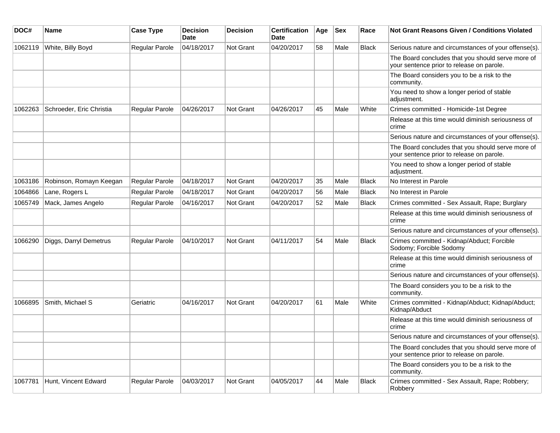| DOC#    | <b>Name</b>              | <b>Case Type</b>      | <b>Decision</b><br><b>Date</b> | <b>Decision</b>  | <b>Certification</b><br><b>Date</b> | Age | <b>Sex</b> | Race         | <b>Not Grant Reasons Given / Conditions Violated</b>                                           |
|---------|--------------------------|-----------------------|--------------------------------|------------------|-------------------------------------|-----|------------|--------------|------------------------------------------------------------------------------------------------|
| 1062119 | White, Billy Boyd        | Regular Parole        | 04/18/2017                     | <b>Not Grant</b> | 04/20/2017                          | 58  | Male       | <b>Black</b> | Serious nature and circumstances of your offense(s).                                           |
|         |                          |                       |                                |                  |                                     |     |            |              | The Board concludes that you should serve more of<br>your sentence prior to release on parole. |
|         |                          |                       |                                |                  |                                     |     |            |              | The Board considers you to be a risk to the<br>community.                                      |
|         |                          |                       |                                |                  |                                     |     |            |              | You need to show a longer period of stable<br>adjustment.                                      |
| 1062263 | Schroeder, Eric Christia | Regular Parole        | 04/26/2017                     | <b>Not Grant</b> | 04/26/2017                          | 45  | Male       | White        | Crimes committed - Homicide-1st Degree                                                         |
|         |                          |                       |                                |                  |                                     |     |            |              | Release at this time would diminish seriousness of<br>crime                                    |
|         |                          |                       |                                |                  |                                     |     |            |              | Serious nature and circumstances of your offense(s).                                           |
|         |                          |                       |                                |                  |                                     |     |            |              | The Board concludes that you should serve more of<br>your sentence prior to release on parole. |
|         |                          |                       |                                |                  |                                     |     |            |              | You need to show a longer period of stable<br>adjustment.                                      |
| 1063186 | Robinson, Romayn Keegan  | <b>Regular Parole</b> | 04/18/2017                     | Not Grant        | 04/20/2017                          | 35  | Male       | <b>Black</b> | No Interest in Parole                                                                          |
| 1064866 | Lane, Rogers L           | Regular Parole        | 04/18/2017                     | <b>Not Grant</b> | 04/20/2017                          | 56  | Male       | <b>Black</b> | No Interest in Parole                                                                          |
| 1065749 | Mack, James Angelo       | Regular Parole        | 04/16/2017                     | <b>Not Grant</b> | 04/20/2017                          | 52  | Male       | <b>Black</b> | Crimes committed - Sex Assault, Rape; Burglary                                                 |
|         |                          |                       |                                |                  |                                     |     |            |              | Release at this time would diminish seriousness of<br>crime                                    |
|         |                          |                       |                                |                  |                                     |     |            |              | Serious nature and circumstances of your offense(s).                                           |
| 1066290 | Diggs, Darryl Demetrus   | Regular Parole        | 04/10/2017                     | <b>Not Grant</b> | 04/11/2017                          | 54  | Male       | <b>Black</b> | Crimes committed - Kidnap/Abduct; Forcible<br>Sodomy; Forcible Sodomy                          |
|         |                          |                       |                                |                  |                                     |     |            |              | Release at this time would diminish seriousness of<br>crime                                    |
|         |                          |                       |                                |                  |                                     |     |            |              | Serious nature and circumstances of your offense(s).                                           |
|         |                          |                       |                                |                  |                                     |     |            |              | The Board considers you to be a risk to the<br>community.                                      |
| 1066895 | Smith, Michael S         | Geriatric             | 04/16/2017                     | <b>Not Grant</b> | 04/20/2017                          | 61  | Male       | White        | Crimes committed - Kidnap/Abduct; Kidnap/Abduct;<br>Kidnap/Abduct                              |
|         |                          |                       |                                |                  |                                     |     |            |              | Release at this time would diminish seriousness of<br>crime                                    |
|         |                          |                       |                                |                  |                                     |     |            |              | Serious nature and circumstances of your offense(s).                                           |
|         |                          |                       |                                |                  |                                     |     |            |              | The Board concludes that you should serve more of<br>your sentence prior to release on parole. |
|         |                          |                       |                                |                  |                                     |     |            |              | The Board considers you to be a risk to the<br>community.                                      |
| 1067781 | Hunt, Vincent Edward     | Regular Parole        | 04/03/2017                     | <b>Not Grant</b> | 04/05/2017                          | 44  | Male       | <b>Black</b> | Crimes committed - Sex Assault, Rape; Robbery;<br>Robbery                                      |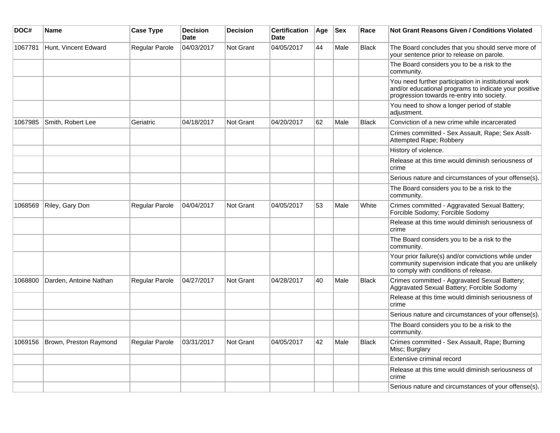| DOC#    | Name                   | <b>Case Type</b>      | <b>Decision</b><br><b>Date</b> | <b>Decision</b>  | <b>Certification</b><br><b>Date</b> | Age | <b>Sex</b> | Race         | <b>Not Grant Reasons Given / Conditions Violated</b>                                                                                                        |
|---------|------------------------|-----------------------|--------------------------------|------------------|-------------------------------------|-----|------------|--------------|-------------------------------------------------------------------------------------------------------------------------------------------------------------|
| 1067781 | Hunt, Vincent Edward   | <b>Regular Parole</b> | 04/03/2017                     | <b>Not Grant</b> | 04/05/2017                          | 44  | Male       | <b>Black</b> | The Board concludes that you should serve more of<br>your sentence prior to release on parole.                                                              |
|         |                        |                       |                                |                  |                                     |     |            |              | The Board considers you to be a risk to the<br>community.                                                                                                   |
|         |                        |                       |                                |                  |                                     |     |            |              | You need further participation in institutional work<br>and/or educational programs to indicate your positive<br>progression towards re-entry into society. |
|         |                        |                       |                                |                  |                                     |     |            |              | You need to show a longer period of stable<br>adjustment.                                                                                                   |
| 1067985 | Smith, Robert Lee      | Geriatric             | 04/18/2017                     | <b>Not Grant</b> | 04/20/2017                          | 62  | Male       | <b>Black</b> | Conviction of a new crime while incarcerated                                                                                                                |
|         |                        |                       |                                |                  |                                     |     |            |              | Crimes committed - Sex Assault, Rape; Sex Asslt-<br>Attempted Rape; Robbery                                                                                 |
|         |                        |                       |                                |                  |                                     |     |            |              | History of violence.                                                                                                                                        |
|         |                        |                       |                                |                  |                                     |     |            |              | Release at this time would diminish seriousness of<br>crime                                                                                                 |
|         |                        |                       |                                |                  |                                     |     |            |              | Serious nature and circumstances of your offense(s).                                                                                                        |
|         |                        |                       |                                |                  |                                     |     |            |              | The Board considers you to be a risk to the<br>community.                                                                                                   |
| 1068569 | Riley, Gary Don        | Regular Parole        | 04/04/2017                     | <b>Not Grant</b> | 04/05/2017                          | 53  | Male       | White        | Crimes committed - Aggravated Sexual Battery;<br>Forcible Sodomy; Forcible Sodomy                                                                           |
|         |                        |                       |                                |                  |                                     |     |            |              | Release at this time would diminish seriousness of<br>crime                                                                                                 |
|         |                        |                       |                                |                  |                                     |     |            |              | The Board considers you to be a risk to the<br>community.                                                                                                   |
|         |                        |                       |                                |                  |                                     |     |            |              | Your prior failure(s) and/or convictions while under<br>community supervision indicate that you are unlikely<br>to comply with conditions of release.       |
| 1068800 | Darden, Antoine Nathan | Regular Parole        | 04/27/2017                     | <b>Not Grant</b> | 04/28/2017                          | 40  | Male       | <b>Black</b> | Crimes committed - Aggravated Sexual Battery;<br>Aggravated Sexual Battery; Forcible Sodomy                                                                 |
|         |                        |                       |                                |                  |                                     |     |            |              | Release at this time would diminish seriousness of<br>crime                                                                                                 |
|         |                        |                       |                                |                  |                                     |     |            |              | Serious nature and circumstances of your offense(s).                                                                                                        |
|         |                        |                       |                                |                  |                                     |     |            |              | The Board considers you to be a risk to the<br>community.                                                                                                   |
| 1069156 | Brown, Preston Raymond | Regular Parole        | 03/31/2017                     | <b>Not Grant</b> | 04/05/2017                          | 42  | Male       | Black        | Crimes committed - Sex Assault, Rape; Burning<br>Misc; Burglary                                                                                             |
|         |                        |                       |                                |                  |                                     |     |            |              | Extensive criminal record                                                                                                                                   |
|         |                        |                       |                                |                  |                                     |     |            |              | Release at this time would diminish seriousness of<br>crime                                                                                                 |
|         |                        |                       |                                |                  |                                     |     |            |              | Serious nature and circumstances of your offense(s).                                                                                                        |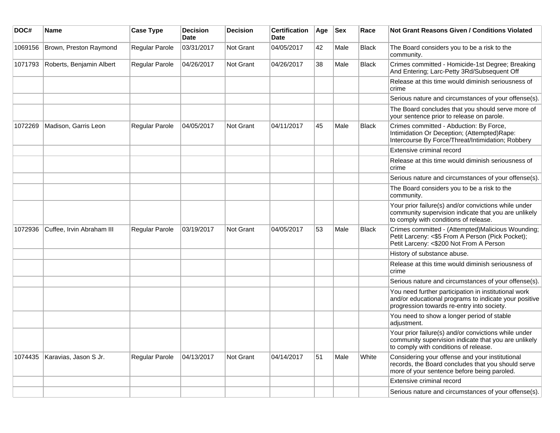| DOC#    | <b>Name</b>               | <b>Case Type</b> | <b>Decision</b><br><b>Date</b> | <b>Decision</b> | <b>Certification</b><br>Date | Age | <b>Sex</b> | Race         | Not Grant Reasons Given / Conditions Violated                                                                                                               |
|---------|---------------------------|------------------|--------------------------------|-----------------|------------------------------|-----|------------|--------------|-------------------------------------------------------------------------------------------------------------------------------------------------------------|
| 1069156 | Brown, Preston Raymond    | Regular Parole   | 03/31/2017                     | Not Grant       | 04/05/2017                   | 42  | Male       | <b>Black</b> | The Board considers you to be a risk to the<br>community.                                                                                                   |
| 1071793 | Roberts, Benjamin Albert  | Regular Parole   | 04/26/2017                     | Not Grant       | 04/26/2017                   | 38  | Male       | <b>Black</b> | Crimes committed - Homicide-1st Degree; Breaking<br>And Entering; Larc-Petty 3Rd/Subsequent Off                                                             |
|         |                           |                  |                                |                 |                              |     |            |              | Release at this time would diminish seriousness of<br>crime                                                                                                 |
|         |                           |                  |                                |                 |                              |     |            |              | Serious nature and circumstances of your offense(s).                                                                                                        |
|         |                           |                  |                                |                 |                              |     |            |              | The Board concludes that you should serve more of<br>your sentence prior to release on parole.                                                              |
| 1072269 | Madison, Garris Leon      | Regular Parole   | 04/05/2017                     | Not Grant       | 04/11/2017                   | 45  | Male       | <b>Black</b> | Crimes committed - Abduction: By Force,<br>Intimidation Or Deception; (Attempted)Rape:<br>Intercourse By Force/Threat/Intimidation; Robbery                 |
|         |                           |                  |                                |                 |                              |     |            |              | Extensive criminal record                                                                                                                                   |
|         |                           |                  |                                |                 |                              |     |            |              | Release at this time would diminish seriousness of<br>crime                                                                                                 |
|         |                           |                  |                                |                 |                              |     |            |              | Serious nature and circumstances of your offense(s).                                                                                                        |
|         |                           |                  |                                |                 |                              |     |            |              | The Board considers you to be a risk to the<br>community.                                                                                                   |
|         |                           |                  |                                |                 |                              |     |            |              | Your prior failure(s) and/or convictions while under<br>community supervision indicate that you are unlikely<br>to comply with conditions of release.       |
| 1072936 | Cuffee, Irvin Abraham III | Regular Parole   | 03/19/2017                     | Not Grant       | 04/05/2017                   | 53  | Male       | <b>Black</b> | Crimes committed - (Attempted)Malicious Wounding;<br>Petit Larceny: <\$5 From A Person (Pick Pocket);<br>Petit Larceny: <\$200 Not From A Person            |
|         |                           |                  |                                |                 |                              |     |            |              | History of substance abuse.                                                                                                                                 |
|         |                           |                  |                                |                 |                              |     |            |              | Release at this time would diminish seriousness of<br>crime                                                                                                 |
|         |                           |                  |                                |                 |                              |     |            |              | Serious nature and circumstances of your offense(s).                                                                                                        |
|         |                           |                  |                                |                 |                              |     |            |              | You need further participation in institutional work<br>and/or educational programs to indicate your positive<br>progression towards re-entry into society. |
|         |                           |                  |                                |                 |                              |     |            |              | You need to show a longer period of stable<br>adjustment.                                                                                                   |
|         |                           |                  |                                |                 |                              |     |            |              | Your prior failure(s) and/or convictions while under<br>community supervision indicate that you are unlikely<br>to comply with conditions of release.       |
| 1074435 | Karavias, Jason S Jr.     | Regular Parole   | 04/13/2017                     | Not Grant       | 04/14/2017                   | 51  | Male       | White        | Considering your offense and your institutional<br>records, the Board concludes that you should serve<br>more of your sentence before being paroled.        |
|         |                           |                  |                                |                 |                              |     |            |              | Extensive criminal record                                                                                                                                   |
|         |                           |                  |                                |                 |                              |     |            |              | Serious nature and circumstances of your offense(s).                                                                                                        |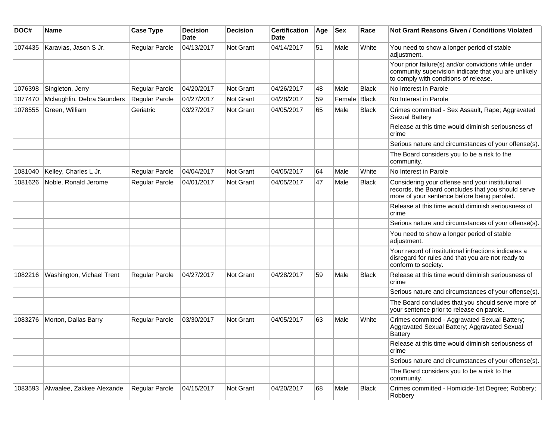| DOC#    | <b>Name</b>                | <b>Case Type</b>      | <b>Decision</b><br><b>Date</b> | <b>Decision</b>  | <b>Certification</b><br>Date | Age | <b>Sex</b> | Race         | <b>Not Grant Reasons Given / Conditions Violated</b>                                                                                                  |
|---------|----------------------------|-----------------------|--------------------------------|------------------|------------------------------|-----|------------|--------------|-------------------------------------------------------------------------------------------------------------------------------------------------------|
| 1074435 | Karavias, Jason S Jr.      | Regular Parole        | 04/13/2017                     | <b>Not Grant</b> | 04/14/2017                   | 51  | Male       | White        | You need to show a longer period of stable<br>adjustment.                                                                                             |
|         |                            |                       |                                |                  |                              |     |            |              | Your prior failure(s) and/or convictions while under<br>community supervision indicate that you are unlikely<br>to comply with conditions of release. |
| 1076398 | Singleton, Jerry           | Regular Parole        | 04/20/2017                     | <b>Not Grant</b> | 04/26/2017                   | 48  | Male       | Black        | No Interest in Parole                                                                                                                                 |
| 1077470 | Mclaughlin, Debra Saunders | Regular Parole        | 04/27/2017                     | <b>Not Grant</b> | 04/28/2017                   | 59  | Female     | Black        | No Interest in Parole                                                                                                                                 |
| 1078555 | Green, William             | Geriatric             | 03/27/2017                     | <b>Not Grant</b> | 04/05/2017                   | 65  | Male       | Black        | Crimes committed - Sex Assault, Rape; Aggravated<br><b>Sexual Battery</b>                                                                             |
|         |                            |                       |                                |                  |                              |     |            |              | Release at this time would diminish seriousness of<br>crime                                                                                           |
|         |                            |                       |                                |                  |                              |     |            |              | Serious nature and circumstances of your offense(s).                                                                                                  |
|         |                            |                       |                                |                  |                              |     |            |              | The Board considers you to be a risk to the<br>community.                                                                                             |
| 1081040 | Kelley, Charles L Jr.      | Regular Parole        | 04/04/2017                     | <b>Not Grant</b> | 04/05/2017                   | 64  | Male       | White        | No Interest in Parole                                                                                                                                 |
| 1081626 | Noble, Ronald Jerome       | Regular Parole        | 04/01/2017                     | <b>Not Grant</b> | 04/05/2017                   | 47  | Male       | <b>Black</b> | Considering your offense and your institutional<br>records, the Board concludes that you should serve<br>more of your sentence before being paroled.  |
|         |                            |                       |                                |                  |                              |     |            |              | Release at this time would diminish seriousness of<br>crime                                                                                           |
|         |                            |                       |                                |                  |                              |     |            |              | Serious nature and circumstances of your offense(s).                                                                                                  |
|         |                            |                       |                                |                  |                              |     |            |              | You need to show a longer period of stable<br>adjustment.                                                                                             |
|         |                            |                       |                                |                  |                              |     |            |              | Your record of institutional infractions indicates a<br>disregard for rules and that you are not ready to<br>conform to society.                      |
| 1082216 | Washington, Vichael Trent  | <b>Regular Parole</b> | 04/27/2017                     | Not Grant        | 04/28/2017                   | 59  | Male       | <b>Black</b> | Release at this time would diminish seriousness of<br>crime                                                                                           |
|         |                            |                       |                                |                  |                              |     |            |              | Serious nature and circumstances of your offense(s).                                                                                                  |
|         |                            |                       |                                |                  |                              |     |            |              | The Board concludes that you should serve more of<br>your sentence prior to release on parole.                                                        |
| 1083276 | Morton, Dallas Barry       | <b>Regular Parole</b> | 03/30/2017                     | <b>Not Grant</b> | 04/05/2017                   | 63  | Male       | White        | Crimes committed - Aggravated Sexual Battery;<br>Aggravated Sexual Battery; Aggravated Sexual<br>Battery                                              |
|         |                            |                       |                                |                  |                              |     |            |              | Release at this time would diminish seriousness of<br>crime                                                                                           |
|         |                            |                       |                                |                  |                              |     |            |              | Serious nature and circumstances of your offense(s).                                                                                                  |
|         |                            |                       |                                |                  |                              |     |            |              | The Board considers you to be a risk to the<br>community.                                                                                             |
| 1083593 | Alwaalee, Zakkee Alexande  | Regular Parole        | 04/15/2017                     | Not Grant        | 04/20/2017                   | 68  | Male       | <b>Black</b> | Crimes committed - Homicide-1st Degree; Robbery;<br>Robbery                                                                                           |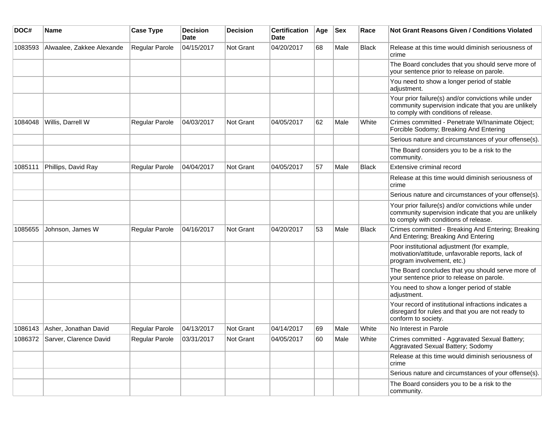| DOC#    | <b>Name</b>                    | <b>Case Type</b>      | <b>Decision</b><br>Date | <b>Decision</b>  | <b>Certification</b><br><b>Date</b> | Age | <b>Sex</b> | Race         | Not Grant Reasons Given / Conditions Violated                                                                                                         |
|---------|--------------------------------|-----------------------|-------------------------|------------------|-------------------------------------|-----|------------|--------------|-------------------------------------------------------------------------------------------------------------------------------------------------------|
| 1083593 | Alwaalee, Zakkee Alexande      | Regular Parole        | 04/15/2017              | Not Grant        | 04/20/2017                          | 68  | Male       | <b>Black</b> | Release at this time would diminish seriousness of<br>crime                                                                                           |
|         |                                |                       |                         |                  |                                     |     |            |              | The Board concludes that you should serve more of<br>your sentence prior to release on parole.                                                        |
|         |                                |                       |                         |                  |                                     |     |            |              | You need to show a longer period of stable<br>adjustment.                                                                                             |
|         |                                |                       |                         |                  |                                     |     |            |              | Your prior failure(s) and/or convictions while under<br>community supervision indicate that you are unlikely<br>to comply with conditions of release. |
| 1084048 | Willis, Darrell W              | Regular Parole        | 04/03/2017              | Not Grant        | 04/05/2017                          | 62  | Male       | White        | Crimes committed - Penetrate W/Inanimate Object;<br>Forcible Sodomy; Breaking And Entering                                                            |
|         |                                |                       |                         |                  |                                     |     |            |              | Serious nature and circumstances of your offense(s).                                                                                                  |
|         |                                |                       |                         |                  |                                     |     |            |              | The Board considers you to be a risk to the<br>community.                                                                                             |
| 1085111 | Phillips, David Ray            | Regular Parole        | 04/04/2017              | <b>Not Grant</b> | 04/05/2017                          | 57  | Male       | <b>Black</b> | Extensive criminal record                                                                                                                             |
|         |                                |                       |                         |                  |                                     |     |            |              | Release at this time would diminish seriousness of<br>crime                                                                                           |
|         |                                |                       |                         |                  |                                     |     |            |              | Serious nature and circumstances of your offense(s).                                                                                                  |
|         |                                |                       |                         |                  |                                     |     |            |              | Your prior failure(s) and/or convictions while under<br>community supervision indicate that you are unlikely<br>to comply with conditions of release. |
| 1085655 | Johnson, James W               | <b>Regular Parole</b> | 04/16/2017              | Not Grant        | 04/20/2017                          | 53  | Male       | <b>Black</b> | Crimes committed - Breaking And Entering; Breaking<br>And Entering; Breaking And Entering                                                             |
|         |                                |                       |                         |                  |                                     |     |            |              | Poor institutional adjustment (for example,<br>motivation/attitude, unfavorable reports, lack of<br>program involvement, etc.)                        |
|         |                                |                       |                         |                  |                                     |     |            |              | The Board concludes that you should serve more of<br>your sentence prior to release on parole.                                                        |
|         |                                |                       |                         |                  |                                     |     |            |              | You need to show a longer period of stable<br>adjustment.                                                                                             |
|         |                                |                       |                         |                  |                                     |     |            |              | Your record of institutional infractions indicates a<br>disregard for rules and that you are not ready to<br>conform to society.                      |
| 1086143 | Asher, Jonathan David          | Regular Parole        | 04/13/2017              | Not Grant        | 04/14/2017                          | 69  | Male       | White        | No Interest in Parole                                                                                                                                 |
|         | 1086372 Sarver, Clarence David | <b>Regular Parole</b> | 03/31/2017              | Not Grant        | 04/05/2017                          | 60  | Male       | White        | Crimes committed - Aggravated Sexual Battery;<br>Aggravated Sexual Battery; Sodomy                                                                    |
|         |                                |                       |                         |                  |                                     |     |            |              | Release at this time would diminish seriousness of<br>crime                                                                                           |
|         |                                |                       |                         |                  |                                     |     |            |              | Serious nature and circumstances of your offense(s).                                                                                                  |
|         |                                |                       |                         |                  |                                     |     |            |              | The Board considers you to be a risk to the<br>community.                                                                                             |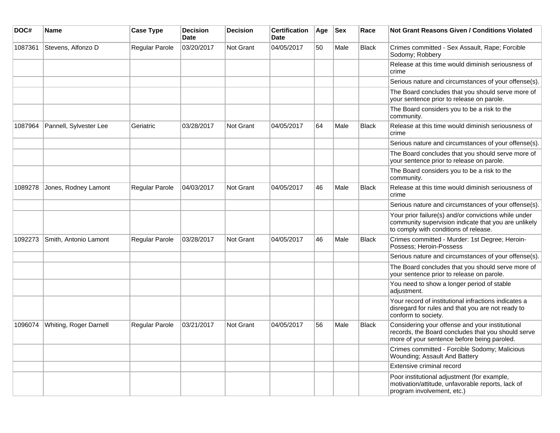| DOC#    | Name                   | <b>Case Type</b>      | <b>Decision</b><br><b>Date</b> | <b>Decision</b>  | <b>Certification</b><br>Date | Age | <b>Sex</b> | Race         | <b>Not Grant Reasons Given / Conditions Violated</b>                                                                                                  |
|---------|------------------------|-----------------------|--------------------------------|------------------|------------------------------|-----|------------|--------------|-------------------------------------------------------------------------------------------------------------------------------------------------------|
| 1087361 | Stevens, Alfonzo D     | Regular Parole        | 03/20/2017                     | Not Grant        | 04/05/2017                   | 50  | Male       | <b>Black</b> | Crimes committed - Sex Assault, Rape; Forcible<br>Sodomy; Robbery                                                                                     |
|         |                        |                       |                                |                  |                              |     |            |              | Release at this time would diminish seriousness of<br>crime                                                                                           |
|         |                        |                       |                                |                  |                              |     |            |              | Serious nature and circumstances of your offense(s).                                                                                                  |
|         |                        |                       |                                |                  |                              |     |            |              | The Board concludes that you should serve more of<br>your sentence prior to release on parole.                                                        |
|         |                        |                       |                                |                  |                              |     |            |              | The Board considers you to be a risk to the<br>community.                                                                                             |
| 1087964 | Pannell, Sylvester Lee | Geriatric             | 03/28/2017                     | <b>Not Grant</b> | 04/05/2017                   | 64  | Male       | <b>Black</b> | Release at this time would diminish seriousness of<br>crime                                                                                           |
|         |                        |                       |                                |                  |                              |     |            |              | Serious nature and circumstances of your offense(s).                                                                                                  |
|         |                        |                       |                                |                  |                              |     |            |              | The Board concludes that you should serve more of<br>your sentence prior to release on parole.                                                        |
|         |                        |                       |                                |                  |                              |     |            |              | The Board considers you to be a risk to the<br>community.                                                                                             |
| 1089278 | Jones, Rodney Lamont   | Regular Parole        | 04/03/2017                     | Not Grant        | 04/05/2017                   | 46  | Male       | <b>Black</b> | Release at this time would diminish seriousness of<br>crime                                                                                           |
|         |                        |                       |                                |                  |                              |     |            |              | Serious nature and circumstances of your offense(s).                                                                                                  |
|         |                        |                       |                                |                  |                              |     |            |              | Your prior failure(s) and/or convictions while under<br>community supervision indicate that you are unlikely<br>to comply with conditions of release. |
| 1092273 | Smith, Antonio Lamont  | <b>Regular Parole</b> | 03/28/2017                     | Not Grant        | 04/05/2017                   | 46  | Male       | <b>Black</b> | Crimes committed - Murder: 1st Degree; Heroin-<br>Possess; Heroin-Possess                                                                             |
|         |                        |                       |                                |                  |                              |     |            |              | Serious nature and circumstances of your offense(s).                                                                                                  |
|         |                        |                       |                                |                  |                              |     |            |              | The Board concludes that you should serve more of<br>your sentence prior to release on parole.                                                        |
|         |                        |                       |                                |                  |                              |     |            |              | You need to show a longer period of stable<br>adjustment.                                                                                             |
|         |                        |                       |                                |                  |                              |     |            |              | Your record of institutional infractions indicates a<br>disregard for rules and that you are not ready to<br>conform to society.                      |
| 1096074 | Whiting, Roger Darnell | <b>Regular Parole</b> | 03/21/2017                     | <b>Not Grant</b> | 04/05/2017                   | 56  | Male       | <b>Black</b> | Considering your offense and your institutional<br>records, the Board concludes that you should serve<br>more of your sentence before being paroled.  |
|         |                        |                       |                                |                  |                              |     |            |              | Crimes committed - Forcible Sodomy; Malicious<br>Wounding; Assault And Battery                                                                        |
|         |                        |                       |                                |                  |                              |     |            |              | Extensive criminal record                                                                                                                             |
|         |                        |                       |                                |                  |                              |     |            |              | Poor institutional adjustment (for example,<br>motivation/attitude, unfavorable reports, lack of<br>program involvement, etc.)                        |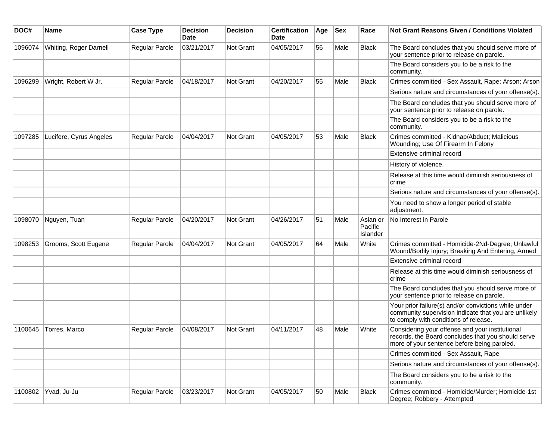| DOC#    | <b>Name</b>             | <b>Case Type</b> | <b>Decision</b><br>Date | <b>Decision</b> | <b>Certification</b><br>Date | Age | <b>Sex</b> | Race                            | <b>Not Grant Reasons Given / Conditions Violated</b>                                                                                                  |
|---------|-------------------------|------------------|-------------------------|-----------------|------------------------------|-----|------------|---------------------------------|-------------------------------------------------------------------------------------------------------------------------------------------------------|
| 1096074 | Whiting, Roger Darnell  | Regular Parole   | 03/21/2017              | Not Grant       | 04/05/2017                   | 56  | Male       | <b>Black</b>                    | The Board concludes that you should serve more of<br>your sentence prior to release on parole.                                                        |
|         |                         |                  |                         |                 |                              |     |            |                                 | The Board considers you to be a risk to the<br>community.                                                                                             |
| 1096299 | Wright, Robert W Jr.    | Regular Parole   | 04/18/2017              | Not Grant       | 04/20/2017                   | 55  | Male       | <b>Black</b>                    | Crimes committed - Sex Assault, Rape; Arson; Arson                                                                                                    |
|         |                         |                  |                         |                 |                              |     |            |                                 | Serious nature and circumstances of your offense(s).                                                                                                  |
|         |                         |                  |                         |                 |                              |     |            |                                 | The Board concludes that you should serve more of<br>your sentence prior to release on parole.                                                        |
|         |                         |                  |                         |                 |                              |     |            |                                 | The Board considers you to be a risk to the<br>community.                                                                                             |
| 1097285 | Lucifere, Cyrus Angeles | Regular Parole   | 04/04/2017              | Not Grant       | 04/05/2017                   | 53  | Male       | <b>Black</b>                    | Crimes committed - Kidnap/Abduct; Malicious<br>Wounding; Use Of Firearm In Felony                                                                     |
|         |                         |                  |                         |                 |                              |     |            |                                 | Extensive criminal record                                                                                                                             |
|         |                         |                  |                         |                 |                              |     |            |                                 | History of violence.                                                                                                                                  |
|         |                         |                  |                         |                 |                              |     |            |                                 | Release at this time would diminish seriousness of<br>crime                                                                                           |
|         |                         |                  |                         |                 |                              |     |            |                                 | Serious nature and circumstances of your offense(s).                                                                                                  |
|         |                         |                  |                         |                 |                              |     |            |                                 | You need to show a longer period of stable<br>adjustment.                                                                                             |
| 1098070 | Nguyen, Tuan            | Regular Parole   | 04/20/2017              | Not Grant       | 04/26/2017                   | 51  | Male       | Asian or<br>Pacific<br>Islander | No Interest in Parole                                                                                                                                 |
| 1098253 | Grooms, Scott Eugene    | Regular Parole   | 04/04/2017              | Not Grant       | 04/05/2017                   | 64  | Male       | White                           | Crimes committed - Homicide-2Nd-Degree; Unlawful<br>Wound/Bodily Injury; Breaking And Entering, Armed                                                 |
|         |                         |                  |                         |                 |                              |     |            |                                 | Extensive criminal record                                                                                                                             |
|         |                         |                  |                         |                 |                              |     |            |                                 | Release at this time would diminish seriousness of<br>crime                                                                                           |
|         |                         |                  |                         |                 |                              |     |            |                                 | The Board concludes that you should serve more of<br>your sentence prior to release on parole.                                                        |
|         |                         |                  |                         |                 |                              |     |            |                                 | Your prior failure(s) and/or convictions while under<br>community supervision indicate that you are unlikely<br>to comply with conditions of release. |
| 1100645 | Torres, Marco           | Regular Parole   | 04/08/2017              | Not Grant       | 04/11/2017                   | 48  | Male       | White                           | Considering your offense and your institutional<br>records, the Board concludes that you should serve<br>more of your sentence before being paroled.  |
|         |                         |                  |                         |                 |                              |     |            |                                 | Crimes committed - Sex Assault, Rape                                                                                                                  |
|         |                         |                  |                         |                 |                              |     |            |                                 | Serious nature and circumstances of your offense(s).                                                                                                  |
|         |                         |                  |                         |                 |                              |     |            |                                 | The Board considers you to be a risk to the<br>community.                                                                                             |
| 1100802 | Yvad, Ju-Ju             | Regular Parole   | 03/23/2017              | Not Grant       | 04/05/2017                   | 50  | Male       | Black                           | Crimes committed - Homicide/Murder; Homicide-1st<br>Degree; Robbery - Attempted                                                                       |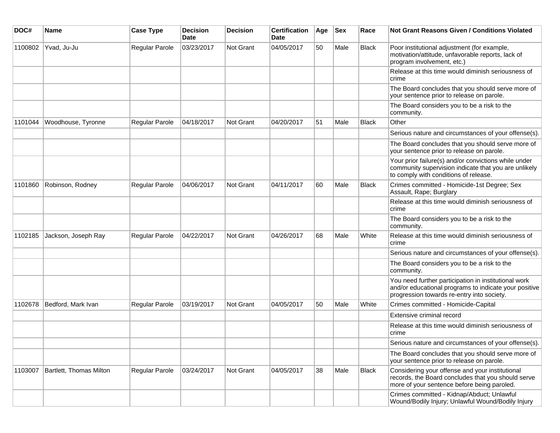| DOC#    | <b>Name</b>             | <b>Case Type</b>      | <b>Decision</b><br><b>Date</b> | <b>Decision</b> | <b>Certification</b><br>Date | Age | <b>Sex</b> | Race         | <b>Not Grant Reasons Given / Conditions Violated</b>                                                                                                        |
|---------|-------------------------|-----------------------|--------------------------------|-----------------|------------------------------|-----|------------|--------------|-------------------------------------------------------------------------------------------------------------------------------------------------------------|
| 1100802 | Yvad, Ju-Ju             | Regular Parole        | 03/23/2017                     | Not Grant       | 04/05/2017                   | 50  | Male       | Black        | Poor institutional adjustment (for example,<br>motivation/attitude, unfavorable reports, lack of<br>program involvement, etc.)                              |
|         |                         |                       |                                |                 |                              |     |            |              | Release at this time would diminish seriousness of<br>crime                                                                                                 |
|         |                         |                       |                                |                 |                              |     |            |              | The Board concludes that you should serve more of<br>your sentence prior to release on parole.                                                              |
|         |                         |                       |                                |                 |                              |     |            |              | The Board considers you to be a risk to the<br>community.                                                                                                   |
| 1101044 | Woodhouse, Tyronne      | Regular Parole        | 04/18/2017                     | Not Grant       | 04/20/2017                   | 51  | Male       | Black        | Other                                                                                                                                                       |
|         |                         |                       |                                |                 |                              |     |            |              | Serious nature and circumstances of your offense(s).                                                                                                        |
|         |                         |                       |                                |                 |                              |     |            |              | The Board concludes that you should serve more of<br>your sentence prior to release on parole.                                                              |
|         |                         |                       |                                |                 |                              |     |            |              | Your prior failure(s) and/or convictions while under<br>community supervision indicate that you are unlikely<br>to comply with conditions of release.       |
| 1101860 | Robinson, Rodney        | Regular Parole        | 04/06/2017                     | Not Grant       | 04/11/2017                   | 60  | Male       | <b>Black</b> | Crimes committed - Homicide-1st Degree; Sex<br>Assault, Rape; Burglary                                                                                      |
|         |                         |                       |                                |                 |                              |     |            |              | Release at this time would diminish seriousness of<br>crime                                                                                                 |
|         |                         |                       |                                |                 |                              |     |            |              | The Board considers you to be a risk to the<br>community.                                                                                                   |
| 1102185 | Jackson, Joseph Ray     | Regular Parole        | 04/22/2017                     | Not Grant       | 04/26/2017                   | 68  | Male       | White        | Release at this time would diminish seriousness of<br>crime                                                                                                 |
|         |                         |                       |                                |                 |                              |     |            |              | Serious nature and circumstances of your offense(s).                                                                                                        |
|         |                         |                       |                                |                 |                              |     |            |              | The Board considers you to be a risk to the<br>community.                                                                                                   |
|         |                         |                       |                                |                 |                              |     |            |              | You need further participation in institutional work<br>and/or educational programs to indicate your positive<br>progression towards re-entry into society. |
| 1102678 | Bedford, Mark Ivan      | <b>Regular Parole</b> | 03/19/2017                     | Not Grant       | 04/05/2017                   | 50  | Male       | White        | Crimes committed - Homicide-Capital                                                                                                                         |
|         |                         |                       |                                |                 |                              |     |            |              | Extensive criminal record                                                                                                                                   |
|         |                         |                       |                                |                 |                              |     |            |              | Release at this time would diminish seriousness of<br>crime                                                                                                 |
|         |                         |                       |                                |                 |                              |     |            |              | Serious nature and circumstances of your offense(s).                                                                                                        |
|         |                         |                       |                                |                 |                              |     |            |              | The Board concludes that you should serve more of<br>your sentence prior to release on parole.                                                              |
| 1103007 | Bartlett, Thomas Milton | Regular Parole        | 03/24/2017                     | Not Grant       | 04/05/2017                   | 38  | Male       | Black        | Considering your offense and your institutional<br>records, the Board concludes that you should serve<br>more of your sentence before being paroled.        |
|         |                         |                       |                                |                 |                              |     |            |              | Crimes committed - Kidnap/Abduct; Unlawful<br>Wound/Bodily Injury; Unlawful Wound/Bodily Injury                                                             |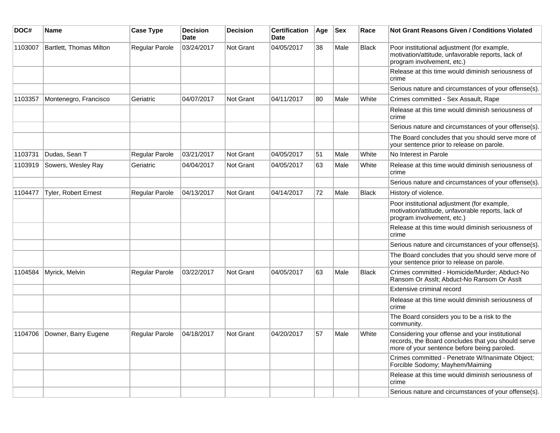| DOC#    | Name                        | <b>Case Type</b>      | <b>Decision</b><br>Date | <b>Decision</b>  | <b>Certification</b><br>Date | Age | <b>Sex</b> | Race         | <b>Not Grant Reasons Given / Conditions Violated</b>                                                                                                 |
|---------|-----------------------------|-----------------------|-------------------------|------------------|------------------------------|-----|------------|--------------|------------------------------------------------------------------------------------------------------------------------------------------------------|
| 1103007 | Bartlett, Thomas Milton     | Regular Parole        | 03/24/2017              | Not Grant        | 04/05/2017                   | 38  | Male       | <b>Black</b> | Poor institutional adjustment (for example,<br>motivation/attitude, unfavorable reports, lack of<br>program involvement, etc.)                       |
|         |                             |                       |                         |                  |                              |     |            |              | Release at this time would diminish seriousness of<br>crime                                                                                          |
|         |                             |                       |                         |                  |                              |     |            |              | Serious nature and circumstances of your offense(s).                                                                                                 |
| 1103357 | Montenegro, Francisco       | Geriatric             | 04/07/2017              | <b>Not Grant</b> | 04/11/2017                   | 80  | Male       | White        | Crimes committed - Sex Assault, Rape                                                                                                                 |
|         |                             |                       |                         |                  |                              |     |            |              | Release at this time would diminish seriousness of<br>crime                                                                                          |
|         |                             |                       |                         |                  |                              |     |            |              | Serious nature and circumstances of your offense(s).                                                                                                 |
|         |                             |                       |                         |                  |                              |     |            |              | The Board concludes that you should serve more of<br>your sentence prior to release on parole.                                                       |
| 1103731 | Dudas, Sean T               | Regular Parole        | 03/21/2017              | <b>Not Grant</b> | 04/05/2017                   | 51  | Male       | White        | No Interest in Parole                                                                                                                                |
| 1103919 | Sowers, Wesley Ray          | Geriatric             | 04/04/2017              | <b>Not Grant</b> | 04/05/2017                   | 63  | Male       | White        | Release at this time would diminish seriousness of<br>crime                                                                                          |
|         |                             |                       |                         |                  |                              |     |            |              | Serious nature and circumstances of your offense(s).                                                                                                 |
| 1104477 | <b>Tyler, Robert Ernest</b> | Regular Parole        | 04/13/2017              | Not Grant        | 04/14/2017                   | 72  | Male       | <b>Black</b> | History of violence.                                                                                                                                 |
|         |                             |                       |                         |                  |                              |     |            |              | Poor institutional adjustment (for example,<br>motivation/attitude, unfavorable reports, lack of<br>program involvement, etc.)                       |
|         |                             |                       |                         |                  |                              |     |            |              | Release at this time would diminish seriousness of<br>crime                                                                                          |
|         |                             |                       |                         |                  |                              |     |            |              | Serious nature and circumstances of your offense(s).                                                                                                 |
|         |                             |                       |                         |                  |                              |     |            |              | The Board concludes that you should serve more of<br>your sentence prior to release on parole.                                                       |
| 1104584 | Myrick, Melvin              | <b>Regular Parole</b> | 03/22/2017              | Not Grant        | 04/05/2017                   | 63  | Male       | <b>Black</b> | Crimes committed - Homicide/Murder; Abduct-No<br>Ransom Or Asslt; Abduct-No Ransom Or Asslt                                                          |
|         |                             |                       |                         |                  |                              |     |            |              | Extensive criminal record                                                                                                                            |
|         |                             |                       |                         |                  |                              |     |            |              | Release at this time would diminish seriousness of<br>crime                                                                                          |
|         |                             |                       |                         |                  |                              |     |            |              | The Board considers you to be a risk to the<br>community.                                                                                            |
| 1104706 | Downer, Barry Eugene        | Regular Parole        | 04/18/2017              | Not Grant        | 04/20/2017                   | 57  | Male       | White        | Considering your offense and your institutional<br>records, the Board concludes that you should serve<br>more of your sentence before being paroled. |
|         |                             |                       |                         |                  |                              |     |            |              | Crimes committed - Penetrate W/Inanimate Object;<br>Forcible Sodomy; Mayhem/Maiming                                                                  |
|         |                             |                       |                         |                  |                              |     |            |              | Release at this time would diminish seriousness of<br>crime                                                                                          |
|         |                             |                       |                         |                  |                              |     |            |              | Serious nature and circumstances of your offense(s).                                                                                                 |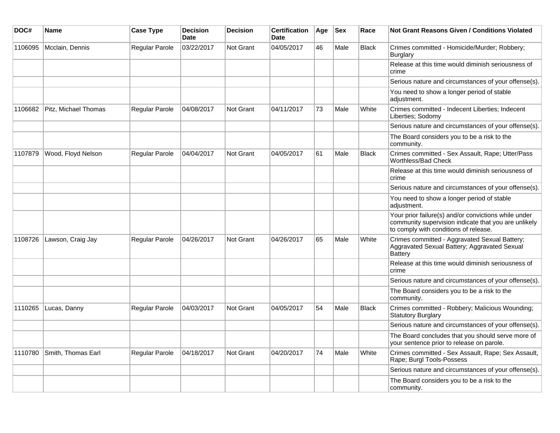| DOC#    | Name                 | <b>Case Type</b> | <b>Decision</b><br><b>Date</b> | <b>Decision</b>  | <b>Certification</b><br><b>Date</b> | Age | <b>Sex</b> | Race         | <b>Not Grant Reasons Given / Conditions Violated</b>                                                                                                  |
|---------|----------------------|------------------|--------------------------------|------------------|-------------------------------------|-----|------------|--------------|-------------------------------------------------------------------------------------------------------------------------------------------------------|
| 1106095 | Mcclain, Dennis      | Regular Parole   | 03/22/2017                     | Not Grant        | 04/05/2017                          | 46  | Male       | <b>Black</b> | Crimes committed - Homicide/Murder; Robbery;<br><b>Burglary</b>                                                                                       |
|         |                      |                  |                                |                  |                                     |     |            |              | Release at this time would diminish seriousness of<br>crime                                                                                           |
|         |                      |                  |                                |                  |                                     |     |            |              | Serious nature and circumstances of your offense(s).                                                                                                  |
|         |                      |                  |                                |                  |                                     |     |            |              | You need to show a longer period of stable<br>adjustment.                                                                                             |
| 1106682 | Pitz, Michael Thomas | Regular Parole   | 04/08/2017                     | <b>Not Grant</b> | 04/11/2017                          | 73  | Male       | White        | Crimes committed - Indecent Liberties; Indecent<br>Liberties; Sodomy                                                                                  |
|         |                      |                  |                                |                  |                                     |     |            |              | Serious nature and circumstances of your offense(s).                                                                                                  |
|         |                      |                  |                                |                  |                                     |     |            |              | The Board considers you to be a risk to the<br>community.                                                                                             |
| 1107879 | Wood, Floyd Nelson   | Regular Parole   | 04/04/2017                     | <b>Not Grant</b> | 04/05/2017                          | 61  | Male       | Black        | Crimes committed - Sex Assault, Rape; Utter/Pass<br>Worthless/Bad Check                                                                               |
|         |                      |                  |                                |                  |                                     |     |            |              | Release at this time would diminish seriousness of<br>crime                                                                                           |
|         |                      |                  |                                |                  |                                     |     |            |              | Serious nature and circumstances of your offense(s).                                                                                                  |
|         |                      |                  |                                |                  |                                     |     |            |              | You need to show a longer period of stable<br>adjustment.                                                                                             |
|         |                      |                  |                                |                  |                                     |     |            |              | Your prior failure(s) and/or convictions while under<br>community supervision indicate that you are unlikely<br>to comply with conditions of release. |
| 1108726 | Lawson, Craig Jay    | Regular Parole   | 04/26/2017                     | <b>Not Grant</b> | 04/26/2017                          | 65  | Male       | White        | Crimes committed - Aggravated Sexual Battery;<br>Aggravated Sexual Battery; Aggravated Sexual<br><b>Battery</b>                                       |
|         |                      |                  |                                |                  |                                     |     |            |              | Release at this time would diminish seriousness of<br>crime                                                                                           |
|         |                      |                  |                                |                  |                                     |     |            |              | Serious nature and circumstances of your offense(s).                                                                                                  |
|         |                      |                  |                                |                  |                                     |     |            |              | The Board considers you to be a risk to the<br>community.                                                                                             |
| 1110265 | Lucas, Danny         | Regular Parole   | 04/03/2017                     | Not Grant        | 04/05/2017                          | 54  | Male       | <b>Black</b> | Crimes committed - Robbery; Malicious Wounding;<br><b>Statutory Burglary</b>                                                                          |
|         |                      |                  |                                |                  |                                     |     |            |              | Serious nature and circumstances of your offense(s).                                                                                                  |
|         |                      |                  |                                |                  |                                     |     |            |              | The Board concludes that you should serve more of<br>your sentence prior to release on parole.                                                        |
| 1110780 | Smith, Thomas Earl   | Regular Parole   | 04/18/2017                     | Not Grant        | 04/20/2017                          | 74  | Male       | White        | Crimes committed - Sex Assault, Rape; Sex Assault,<br>Rape; Burgl Tools-Possess                                                                       |
|         |                      |                  |                                |                  |                                     |     |            |              | Serious nature and circumstances of your offense(s).                                                                                                  |
|         |                      |                  |                                |                  |                                     |     |            |              | The Board considers you to be a risk to the<br>community.                                                                                             |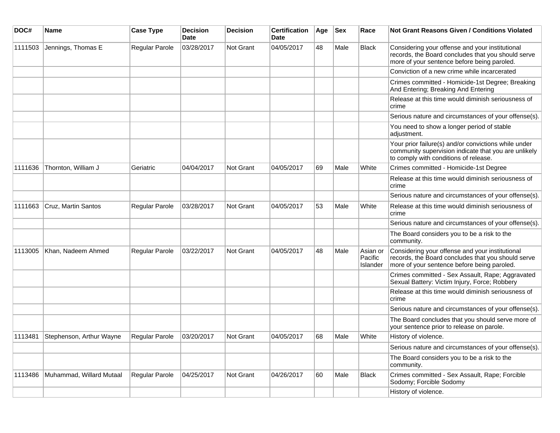| DOC#    | Name                     | <b>Case Type</b>      | <b>Decision</b><br><b>Date</b> | <b>Decision</b> | <b>Certification</b><br>Date | Age | <b>Sex</b> | Race                            | Not Grant Reasons Given / Conditions Violated                                                                                                         |
|---------|--------------------------|-----------------------|--------------------------------|-----------------|------------------------------|-----|------------|---------------------------------|-------------------------------------------------------------------------------------------------------------------------------------------------------|
| 1111503 | Jennings, Thomas E       | Regular Parole        | 03/28/2017                     | Not Grant       | 04/05/2017                   | 48  | Male       | <b>Black</b>                    | Considering your offense and your institutional<br>records, the Board concludes that you should serve<br>more of your sentence before being paroled.  |
|         |                          |                       |                                |                 |                              |     |            |                                 | Conviction of a new crime while incarcerated                                                                                                          |
|         |                          |                       |                                |                 |                              |     |            |                                 | Crimes committed - Homicide-1st Degree; Breaking<br>And Entering; Breaking And Entering                                                               |
|         |                          |                       |                                |                 |                              |     |            |                                 | Release at this time would diminish seriousness of<br>crime                                                                                           |
|         |                          |                       |                                |                 |                              |     |            |                                 | Serious nature and circumstances of your offense(s).                                                                                                  |
|         |                          |                       |                                |                 |                              |     |            |                                 | You need to show a longer period of stable<br>adjustment.                                                                                             |
|         |                          |                       |                                |                 |                              |     |            |                                 | Your prior failure(s) and/or convictions while under<br>community supervision indicate that you are unlikely<br>to comply with conditions of release. |
| 1111636 | Thornton, William J      | Geriatric             | 04/04/2017                     | Not Grant       | 04/05/2017                   | 69  | Male       | White                           | Crimes committed - Homicide-1st Degree                                                                                                                |
|         |                          |                       |                                |                 |                              |     |            |                                 | Release at this time would diminish seriousness of<br>crime                                                                                           |
|         |                          |                       |                                |                 |                              |     |            |                                 | Serious nature and circumstances of your offense(s).                                                                                                  |
| 1111663 | Cruz, Martin Santos      | Regular Parole        | 03/28/2017                     | Not Grant       | 04/05/2017                   | 53  | Male       | White                           | Release at this time would diminish seriousness of<br>crime                                                                                           |
|         |                          |                       |                                |                 |                              |     |            |                                 | Serious nature and circumstances of your offense(s).                                                                                                  |
|         |                          |                       |                                |                 |                              |     |            |                                 | The Board considers you to be a risk to the<br>community.                                                                                             |
| 1113005 | Khan, Nadeem Ahmed       | Regular Parole        | 03/22/2017                     | Not Grant       | 04/05/2017                   | 48  | Male       | Asian or<br>Pacific<br>Islander | Considering your offense and your institutional<br>records, the Board concludes that you should serve<br>more of your sentence before being paroled.  |
|         |                          |                       |                                |                 |                              |     |            |                                 | Crimes committed - Sex Assault, Rape; Aggravated<br>Sexual Battery: Victim Injury, Force; Robbery                                                     |
|         |                          |                       |                                |                 |                              |     |            |                                 | Release at this time would diminish seriousness of<br>crime                                                                                           |
|         |                          |                       |                                |                 |                              |     |            |                                 | Serious nature and circumstances of your offense(s).                                                                                                  |
|         |                          |                       |                                |                 |                              |     |            |                                 | The Board concludes that you should serve more of<br>your sentence prior to release on parole.                                                        |
| 1113481 | Stephenson, Arthur Wayne | <b>Regular Parole</b> | 03/20/2017                     | Not Grant       | 04/05/2017                   | 68  | Male       | White                           | History of violence.                                                                                                                                  |
|         |                          |                       |                                |                 |                              |     |            |                                 | Serious nature and circumstances of your offense(s).                                                                                                  |
|         |                          |                       |                                |                 |                              |     |            |                                 | The Board considers you to be a risk to the<br>community.                                                                                             |
| 1113486 | Muhammad, Willard Mutaal | Regular Parole        | 04/25/2017                     | Not Grant       | 04/26/2017                   | 60  | Male       | Black                           | Crimes committed - Sex Assault, Rape; Forcible<br>Sodomy; Forcible Sodomy                                                                             |
|         |                          |                       |                                |                 |                              |     |            |                                 | History of violence.                                                                                                                                  |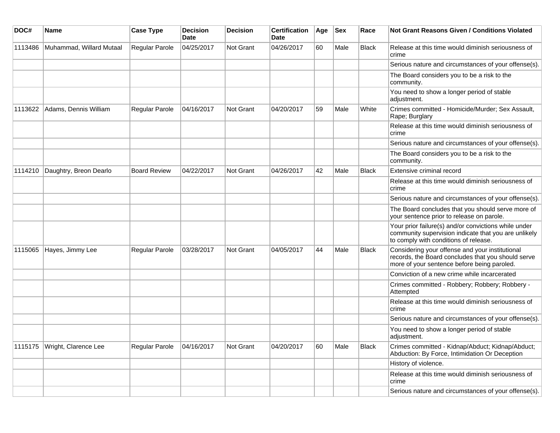| DOC#    | <b>Name</b>                    | <b>Case Type</b>    | <b>Decision</b><br><b>Date</b> | <b>Decision</b> | <b>Certification</b><br>Date | Age | <b>Sex</b> | Race         | <b>Not Grant Reasons Given / Conditions Violated</b>                                                                                                  |
|---------|--------------------------------|---------------------|--------------------------------|-----------------|------------------------------|-----|------------|--------------|-------------------------------------------------------------------------------------------------------------------------------------------------------|
| 1113486 | Muhammad, Willard Mutaal       | Regular Parole      | 04/25/2017                     | Not Grant       | 04/26/2017                   | 60  | Male       | Black        | Release at this time would diminish seriousness of<br>crime                                                                                           |
|         |                                |                     |                                |                 |                              |     |            |              | Serious nature and circumstances of your offense(s).                                                                                                  |
|         |                                |                     |                                |                 |                              |     |            |              | The Board considers you to be a risk to the<br>community.                                                                                             |
|         |                                |                     |                                |                 |                              |     |            |              | You need to show a longer period of stable<br>adjustment.                                                                                             |
| 1113622 | Adams, Dennis William          | Regular Parole      | 04/16/2017                     | Not Grant       | 04/20/2017                   | 59  | Male       | White        | Crimes committed - Homicide/Murder; Sex Assault,<br>Rape; Burglary                                                                                    |
|         |                                |                     |                                |                 |                              |     |            |              | Release at this time would diminish seriousness of<br>crime                                                                                           |
|         |                                |                     |                                |                 |                              |     |            |              | Serious nature and circumstances of your offense(s).                                                                                                  |
|         |                                |                     |                                |                 |                              |     |            |              | The Board considers you to be a risk to the<br>community.                                                                                             |
| 1114210 | Daughtry, Breon Dearlo         | <b>Board Review</b> | 04/22/2017                     | Not Grant       | 04/26/2017                   | 42  | Male       | <b>Black</b> | Extensive criminal record                                                                                                                             |
|         |                                |                     |                                |                 |                              |     |            |              | Release at this time would diminish seriousness of<br>crime                                                                                           |
|         |                                |                     |                                |                 |                              |     |            |              | Serious nature and circumstances of your offense(s).                                                                                                  |
|         |                                |                     |                                |                 |                              |     |            |              | The Board concludes that you should serve more of<br>your sentence prior to release on parole.                                                        |
|         |                                |                     |                                |                 |                              |     |            |              | Your prior failure(s) and/or convictions while under<br>community supervision indicate that you are unlikely<br>to comply with conditions of release. |
| 1115065 | Hayes, Jimmy Lee               | Regular Parole      | 03/28/2017                     | Not Grant       | 04/05/2017                   | 44  | Male       | <b>Black</b> | Considering your offense and your institutional<br>records, the Board concludes that you should serve<br>more of your sentence before being paroled.  |
|         |                                |                     |                                |                 |                              |     |            |              | Conviction of a new crime while incarcerated                                                                                                          |
|         |                                |                     |                                |                 |                              |     |            |              | Crimes committed - Robbery; Robbery; Robbery -<br>Attempted                                                                                           |
|         |                                |                     |                                |                 |                              |     |            |              | Release at this time would diminish seriousness of<br>crime                                                                                           |
|         |                                |                     |                                |                 |                              |     |            |              | Serious nature and circumstances of your offense(s).                                                                                                  |
|         |                                |                     |                                |                 |                              |     |            |              | You need to show a longer period of stable<br>adjustment.                                                                                             |
|         | 1115175   Wright, Clarence Lee | Regular Parole      | 04/16/2017                     | Not Grant       | 04/20/2017                   | 60  | Male       | Black        | Crimes committed - Kidnap/Abduct; Kidnap/Abduct;<br>Abduction: By Force, Intimidation Or Deception                                                    |
|         |                                |                     |                                |                 |                              |     |            |              | History of violence.                                                                                                                                  |
|         |                                |                     |                                |                 |                              |     |            |              | Release at this time would diminish seriousness of<br>crime                                                                                           |
|         |                                |                     |                                |                 |                              |     |            |              | Serious nature and circumstances of your offense(s).                                                                                                  |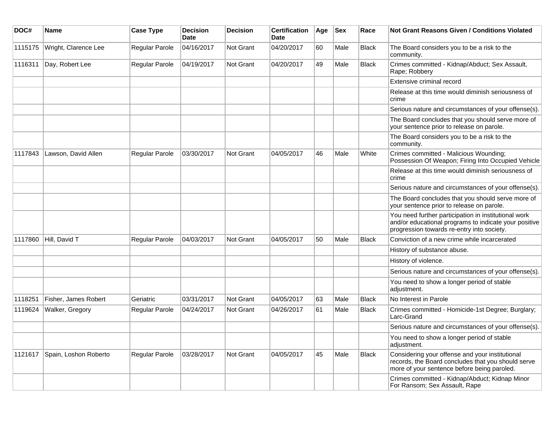| DOC#    | Name                  | <b>Case Type</b> | <b>Decision</b><br><b>Date</b> | <b>Decision</b>  | <b>Certification</b><br>Date | Age | <b>Sex</b> | Race         | <b>Not Grant Reasons Given / Conditions Violated</b>                                                                                                        |
|---------|-----------------------|------------------|--------------------------------|------------------|------------------------------|-----|------------|--------------|-------------------------------------------------------------------------------------------------------------------------------------------------------------|
| 1115175 | Wright, Clarence Lee  | Regular Parole   | 04/16/2017                     | <b>Not Grant</b> | 04/20/2017                   | 60  | Male       | <b>Black</b> | The Board considers you to be a risk to the<br>community.                                                                                                   |
| 1116311 | Day, Robert Lee       | Regular Parole   | 04/19/2017                     | <b>Not Grant</b> | 04/20/2017                   | 49  | Male       | <b>Black</b> | Crimes committed - Kidnap/Abduct; Sex Assault,<br>Rape; Robbery                                                                                             |
|         |                       |                  |                                |                  |                              |     |            |              | Extensive criminal record                                                                                                                                   |
|         |                       |                  |                                |                  |                              |     |            |              | Release at this time would diminish seriousness of<br>crime                                                                                                 |
|         |                       |                  |                                |                  |                              |     |            |              | Serious nature and circumstances of your offense(s).                                                                                                        |
|         |                       |                  |                                |                  |                              |     |            |              | The Board concludes that you should serve more of<br>your sentence prior to release on parole.                                                              |
|         |                       |                  |                                |                  |                              |     |            |              | The Board considers you to be a risk to the<br>community.                                                                                                   |
| 1117843 | Lawson, David Allen   | Regular Parole   | 03/30/2017                     | <b>Not Grant</b> | 04/05/2017                   | 46  | Male       | White        | Crimes committed - Malicious Wounding;<br>Possession Of Weapon; Firing Into Occupied Vehicle                                                                |
|         |                       |                  |                                |                  |                              |     |            |              | Release at this time would diminish seriousness of<br>crime                                                                                                 |
|         |                       |                  |                                |                  |                              |     |            |              | Serious nature and circumstances of your offense(s).                                                                                                        |
|         |                       |                  |                                |                  |                              |     |            |              | The Board concludes that you should serve more of<br>your sentence prior to release on parole.                                                              |
|         |                       |                  |                                |                  |                              |     |            |              | You need further participation in institutional work<br>and/or educational programs to indicate your positive<br>progression towards re-entry into society. |
| 1117860 | Hill, David T         | Regular Parole   | 04/03/2017                     | <b>Not Grant</b> | 04/05/2017                   | 50  | Male       | <b>Black</b> | Conviction of a new crime while incarcerated                                                                                                                |
|         |                       |                  |                                |                  |                              |     |            |              | History of substance abuse.                                                                                                                                 |
|         |                       |                  |                                |                  |                              |     |            |              | History of violence.                                                                                                                                        |
|         |                       |                  |                                |                  |                              |     |            |              | Serious nature and circumstances of your offense(s).                                                                                                        |
|         |                       |                  |                                |                  |                              |     |            |              | You need to show a longer period of stable<br>adjustment.                                                                                                   |
| 1118251 | Fisher, James Robert  | Geriatric        | 03/31/2017                     | <b>Not Grant</b> | 04/05/2017                   | 63  | Male       | <b>Black</b> | No Interest in Parole                                                                                                                                       |
| 1119624 | Walker, Gregory       | Regular Parole   | 04/24/2017                     | <b>Not Grant</b> | 04/26/2017                   | 61  | Male       | <b>Black</b> | Crimes committed - Homicide-1st Degree; Burglary;<br>Larc-Grand                                                                                             |
|         |                       |                  |                                |                  |                              |     |            |              | Serious nature and circumstances of your offense(s).                                                                                                        |
|         |                       |                  |                                |                  |                              |     |            |              | You need to show a longer period of stable<br>adjustment.                                                                                                   |
| 1121617 | Spain, Loshon Roberto | Regular Parole   | 03/28/2017                     | Not Grant        | 04/05/2017                   | 45  | Male       | <b>Black</b> | Considering your offense and your institutional<br>records, the Board concludes that you should serve<br>more of your sentence before being paroled.        |
|         |                       |                  |                                |                  |                              |     |            |              | Crimes committed - Kidnap/Abduct; Kidnap Minor<br>For Ransom; Sex Assault, Rape                                                                             |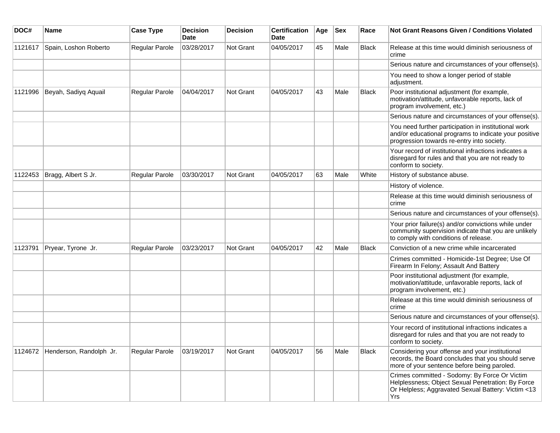| DOC#    | Name                            | <b>Case Type</b>      | <b>Decision</b><br><b>Date</b> | <b>Decision</b>  | <b>Certification</b><br>Date | Age | <b>Sex</b> | Race         | <b>Not Grant Reasons Given / Conditions Violated</b>                                                                                                            |
|---------|---------------------------------|-----------------------|--------------------------------|------------------|------------------------------|-----|------------|--------------|-----------------------------------------------------------------------------------------------------------------------------------------------------------------|
| 1121617 | Spain, Loshon Roberto           | Regular Parole        | 03/28/2017                     | <b>Not Grant</b> | 04/05/2017                   | 45  | Male       | Black        | Release at this time would diminish seriousness of<br>crime                                                                                                     |
|         |                                 |                       |                                |                  |                              |     |            |              | Serious nature and circumstances of your offense(s).                                                                                                            |
|         |                                 |                       |                                |                  |                              |     |            |              | You need to show a longer period of stable<br>adjustment.                                                                                                       |
| 1121996 | Beyah, Sadiyq Aquail            | Regular Parole        | 04/04/2017                     | <b>Not Grant</b> | 04/05/2017                   | 43  | Male       | Black        | Poor institutional adjustment (for example,<br>motivation/attitude, unfavorable reports, lack of<br>program involvement, etc.)                                  |
|         |                                 |                       |                                |                  |                              |     |            |              | Serious nature and circumstances of your offense(s).                                                                                                            |
|         |                                 |                       |                                |                  |                              |     |            |              | You need further participation in institutional work<br>and/or educational programs to indicate your positive<br>progression towards re-entry into society.     |
|         |                                 |                       |                                |                  |                              |     |            |              | Your record of institutional infractions indicates a<br>disregard for rules and that you are not ready to<br>conform to society.                                |
| 1122453 | Bragg, Albert S Jr.             | Regular Parole        | 03/30/2017                     | <b>Not Grant</b> | 04/05/2017                   | 63  | Male       | White        | History of substance abuse.                                                                                                                                     |
|         |                                 |                       |                                |                  |                              |     |            |              | History of violence.                                                                                                                                            |
|         |                                 |                       |                                |                  |                              |     |            |              | Release at this time would diminish seriousness of<br>crime                                                                                                     |
|         |                                 |                       |                                |                  |                              |     |            |              | Serious nature and circumstances of your offense(s).                                                                                                            |
|         |                                 |                       |                                |                  |                              |     |            |              | Your prior failure(s) and/or convictions while under<br>community supervision indicate that you are unlikely<br>to comply with conditions of release.           |
| 1123791 | Pryear, Tyrone Jr.              | Regular Parole        | 03/23/2017                     | <b>Not Grant</b> | 04/05/2017                   | 42  | Male       | <b>Black</b> | Conviction of a new crime while incarcerated                                                                                                                    |
|         |                                 |                       |                                |                  |                              |     |            |              | Crimes committed - Homicide-1st Degree; Use Of<br>Firearm In Felony; Assault And Battery                                                                        |
|         |                                 |                       |                                |                  |                              |     |            |              | Poor institutional adjustment (for example,<br>motivation/attitude, unfavorable reports, lack of<br>program involvement, etc.)                                  |
|         |                                 |                       |                                |                  |                              |     |            |              | Release at this time would diminish seriousness of<br>crime                                                                                                     |
|         |                                 |                       |                                |                  |                              |     |            |              | Serious nature and circumstances of your offense(s).                                                                                                            |
|         |                                 |                       |                                |                  |                              |     |            |              | Your record of institutional infractions indicates a<br>disregard for rules and that you are not ready to<br>conform to society.                                |
|         | 1124672 Henderson, Randolph Jr. | <b>Regular Parole</b> | 03/19/2017                     | Not Grant        | 04/05/2017                   | 56  | Male       | Black        | Considering your offense and your institutional<br>records, the Board concludes that you should serve<br>more of your sentence before being paroled.            |
|         |                                 |                       |                                |                  |                              |     |            |              | Crimes committed - Sodomy: By Force Or Victim<br>Helplessness; Object Sexual Penetration: By Force<br>Or Helpless; Aggravated Sexual Battery: Victim <13<br>Yrs |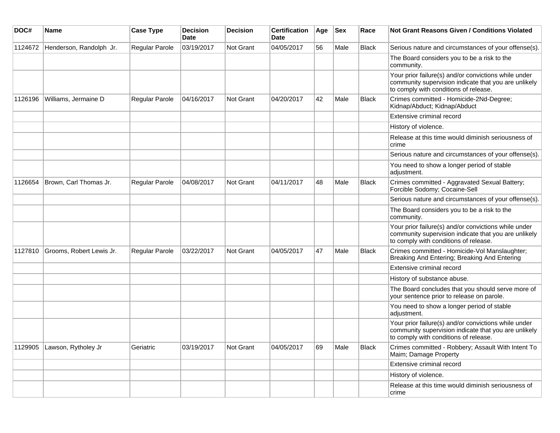| DOC#    | Name                        | <b>Case Type</b> | <b>Decision</b><br><b>Date</b> | <b>Decision</b> | <b>Certification</b><br>Date | Age | Sex  | Race         | Not Grant Reasons Given / Conditions Violated                                                                                                         |
|---------|-----------------------------|------------------|--------------------------------|-----------------|------------------------------|-----|------|--------------|-------------------------------------------------------------------------------------------------------------------------------------------------------|
| 1124672 | Henderson, Randolph Jr.     | Regular Parole   | 03/19/2017                     | Not Grant       | 04/05/2017                   | 56  | Male | <b>Black</b> | Serious nature and circumstances of your offense(s).                                                                                                  |
|         |                             |                  |                                |                 |                              |     |      |              | The Board considers you to be a risk to the<br>community.                                                                                             |
|         |                             |                  |                                |                 |                              |     |      |              | Your prior failure(s) and/or convictions while under<br>community supervision indicate that you are unlikely<br>to comply with conditions of release. |
| 1126196 | Williams, Jermaine D        | Regular Parole   | 04/16/2017                     | Not Grant       | 04/20/2017                   | 42  | Male | <b>Black</b> | Crimes committed - Homicide-2Nd-Degree;<br>Kidnap/Abduct; Kidnap/Abduct                                                                               |
|         |                             |                  |                                |                 |                              |     |      |              | Extensive criminal record                                                                                                                             |
|         |                             |                  |                                |                 |                              |     |      |              | History of violence.                                                                                                                                  |
|         |                             |                  |                                |                 |                              |     |      |              | Release at this time would diminish seriousness of<br>crime                                                                                           |
|         |                             |                  |                                |                 |                              |     |      |              | Serious nature and circumstances of your offense(s).                                                                                                  |
|         |                             |                  |                                |                 |                              |     |      |              | You need to show a longer period of stable<br>adjustment.                                                                                             |
| 1126654 | Brown, Carl Thomas Jr.      | Regular Parole   | 04/08/2017                     | Not Grant       | 04/11/2017                   | 48  | Male | <b>Black</b> | Crimes committed - Aggravated Sexual Battery;<br>Forcible Sodomy; Cocaine-Sell                                                                        |
|         |                             |                  |                                |                 |                              |     |      |              | Serious nature and circumstances of your offense(s).                                                                                                  |
|         |                             |                  |                                |                 |                              |     |      |              | The Board considers you to be a risk to the<br>community.                                                                                             |
|         |                             |                  |                                |                 |                              |     |      |              | Your prior failure(s) and/or convictions while under<br>community supervision indicate that you are unlikely<br>to comply with conditions of release. |
| 1127810 | Grooms, Robert Lewis Jr.    | Regular Parole   | 03/22/2017                     | Not Grant       | 04/05/2017                   | 47  | Male | <b>Black</b> | Crimes committed - Homicide-Vol Manslaughter;<br>Breaking And Entering; Breaking And Entering                                                         |
|         |                             |                  |                                |                 |                              |     |      |              | Extensive criminal record                                                                                                                             |
|         |                             |                  |                                |                 |                              |     |      |              | History of substance abuse.                                                                                                                           |
|         |                             |                  |                                |                 |                              |     |      |              | The Board concludes that you should serve more of<br>your sentence prior to release on parole.                                                        |
|         |                             |                  |                                |                 |                              |     |      |              | You need to show a longer period of stable<br>adjustment.                                                                                             |
|         |                             |                  |                                |                 |                              |     |      |              | Your prior failure(s) and/or convictions while under<br>community supervision indicate that you are unlikely<br>to comply with conditions of release. |
|         | 1129905 Lawson, Rytholey Jr | Geriatric        | 03/19/2017                     | Not Grant       | 04/05/2017                   | 69  | Male | Black        | Crimes committed - Robbery; Assault With Intent To<br>Maim; Damage Property                                                                           |
|         |                             |                  |                                |                 |                              |     |      |              | Extensive criminal record                                                                                                                             |
|         |                             |                  |                                |                 |                              |     |      |              | History of violence.                                                                                                                                  |
|         |                             |                  |                                |                 |                              |     |      |              | Release at this time would diminish seriousness of<br>crime                                                                                           |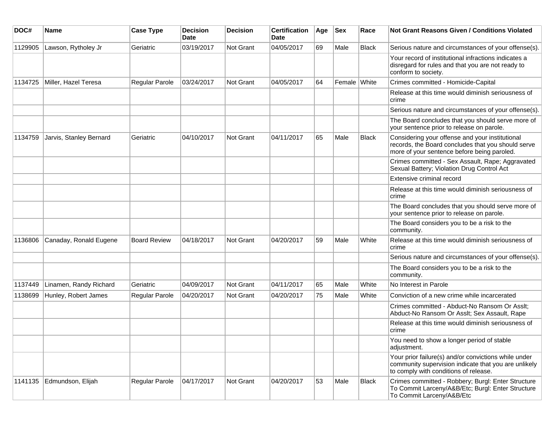| DOC#    | <b>Name</b>             | <b>Case Type</b>    | <b>Decision</b><br><b>Date</b> | <b>Decision</b>  | <b>Certification</b><br>Date | Age | <b>Sex</b>   | Race         | Not Grant Reasons Given / Conditions Violated                                                                                                         |
|---------|-------------------------|---------------------|--------------------------------|------------------|------------------------------|-----|--------------|--------------|-------------------------------------------------------------------------------------------------------------------------------------------------------|
| 1129905 | Lawson, Rytholey Jr     | Geriatric           | 03/19/2017                     | Not Grant        | 04/05/2017                   | 69  | Male         | Black        | Serious nature and circumstances of your offense(s).                                                                                                  |
|         |                         |                     |                                |                  |                              |     |              |              | Your record of institutional infractions indicates a<br>disregard for rules and that you are not ready to<br>conform to society.                      |
| 1134725 | Miller, Hazel Teresa    | Regular Parole      | 03/24/2017                     | <b>Not Grant</b> | 04/05/2017                   | 64  | Female White |              | Crimes committed - Homicide-Capital                                                                                                                   |
|         |                         |                     |                                |                  |                              |     |              |              | Release at this time would diminish seriousness of<br>crime                                                                                           |
|         |                         |                     |                                |                  |                              |     |              |              | Serious nature and circumstances of your offense(s).                                                                                                  |
|         |                         |                     |                                |                  |                              |     |              |              | The Board concludes that you should serve more of<br>your sentence prior to release on parole.                                                        |
| 1134759 | Jarvis, Stanley Bernard | Geriatric           | 04/10/2017                     | <b>Not Grant</b> | 04/11/2017                   | 65  | Male         | <b>Black</b> | Considering your offense and your institutional<br>records, the Board concludes that you should serve<br>more of your sentence before being paroled.  |
|         |                         |                     |                                |                  |                              |     |              |              | Crimes committed - Sex Assault, Rape; Aggravated<br>Sexual Battery; Violation Drug Control Act                                                        |
|         |                         |                     |                                |                  |                              |     |              |              | Extensive criminal record                                                                                                                             |
|         |                         |                     |                                |                  |                              |     |              |              | Release at this time would diminish seriousness of<br>crime                                                                                           |
|         |                         |                     |                                |                  |                              |     |              |              | The Board concludes that you should serve more of<br>your sentence prior to release on parole.                                                        |
|         |                         |                     |                                |                  |                              |     |              |              | The Board considers you to be a risk to the<br>community.                                                                                             |
| 1136806 | Canaday, Ronald Eugene  | <b>Board Review</b> | 04/18/2017                     | Not Grant        | 04/20/2017                   | 59  | Male         | White        | Release at this time would diminish seriousness of<br>crime                                                                                           |
|         |                         |                     |                                |                  |                              |     |              |              | Serious nature and circumstances of your offense(s).                                                                                                  |
|         |                         |                     |                                |                  |                              |     |              |              | The Board considers you to be a risk to the<br>community.                                                                                             |
| 1137449 | Linamen, Randy Richard  | Geriatric           | 04/09/2017                     | Not Grant        | 04/11/2017                   | 65  | Male         | White        | No Interest in Parole                                                                                                                                 |
| 1138699 | Hunley, Robert James    | Regular Parole      | 04/20/2017                     | Not Grant        | 04/20/2017                   | 75  | Male         | White        | Conviction of a new crime while incarcerated                                                                                                          |
|         |                         |                     |                                |                  |                              |     |              |              | Crimes committed - Abduct-No Ransom Or Asslt;<br>Abduct-No Ransom Or Asslt; Sex Assault, Rape                                                         |
|         |                         |                     |                                |                  |                              |     |              |              | Release at this time would diminish seriousness of<br>crime                                                                                           |
|         |                         |                     |                                |                  |                              |     |              |              | You need to show a longer period of stable<br>adjustment.                                                                                             |
|         |                         |                     |                                |                  |                              |     |              |              | Your prior failure(s) and/or convictions while under<br>community supervision indicate that you are unlikely<br>to comply with conditions of release. |
| 1141135 | Edmundson, Elijah       | Regular Parole      | 04/17/2017                     | Not Grant        | 04/20/2017                   | 53  | Male         | Black        | Crimes committed - Robbery; Burgl: Enter Structure<br>To Commit Larceny/A&B/Etc; Burgl: Enter Structure<br>To Commit Larceny/A&B/Etc                  |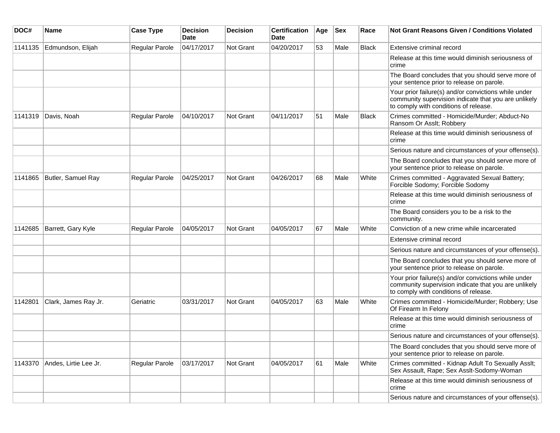| DOC#    | <b>Name</b>           | <b>Case Type</b> | <b>Decision</b><br>Date | <b>Decision</b> | <b>Certification</b><br>Date | Age | <b>Sex</b> | Race         | Not Grant Reasons Given / Conditions Violated                                                                                                         |
|---------|-----------------------|------------------|-------------------------|-----------------|------------------------------|-----|------------|--------------|-------------------------------------------------------------------------------------------------------------------------------------------------------|
| 1141135 | Edmundson, Elijah     | Regular Parole   | 04/17/2017              | Not Grant       | 04/20/2017                   | 53  | Male       | <b>Black</b> | Extensive criminal record                                                                                                                             |
|         |                       |                  |                         |                 |                              |     |            |              | Release at this time would diminish seriousness of<br>crime                                                                                           |
|         |                       |                  |                         |                 |                              |     |            |              | The Board concludes that you should serve more of<br>your sentence prior to release on parole.                                                        |
|         |                       |                  |                         |                 |                              |     |            |              | Your prior failure(s) and/or convictions while under<br>community supervision indicate that you are unlikely<br>to comply with conditions of release. |
| 1141319 | Davis, Noah           | Regular Parole   | 04/10/2017              | Not Grant       | 04/11/2017                   | 51  | Male       | <b>Black</b> | Crimes committed - Homicide/Murder; Abduct-No<br>Ransom Or Asslt; Robbery                                                                             |
|         |                       |                  |                         |                 |                              |     |            |              | Release at this time would diminish seriousness of<br>crime                                                                                           |
|         |                       |                  |                         |                 |                              |     |            |              | Serious nature and circumstances of your offense(s).                                                                                                  |
|         |                       |                  |                         |                 |                              |     |            |              | The Board concludes that you should serve more of<br>your sentence prior to release on parole.                                                        |
| 1141865 | Butler, Samuel Ray    | Regular Parole   | 04/25/2017              | Not Grant       | 04/26/2017                   | 68  | Male       | White        | Crimes committed - Aggravated Sexual Battery;<br>Forcible Sodomy; Forcible Sodomy                                                                     |
|         |                       |                  |                         |                 |                              |     |            |              | Release at this time would diminish seriousness of<br>crime                                                                                           |
|         |                       |                  |                         |                 |                              |     |            |              | The Board considers you to be a risk to the<br>community.                                                                                             |
| 1142685 | Barrett, Gary Kyle    | Regular Parole   | 04/05/2017              | Not Grant       | 04/05/2017                   | 67  | Male       | White        | Conviction of a new crime while incarcerated                                                                                                          |
|         |                       |                  |                         |                 |                              |     |            |              | Extensive criminal record                                                                                                                             |
|         |                       |                  |                         |                 |                              |     |            |              | Serious nature and circumstances of your offense(s).                                                                                                  |
|         |                       |                  |                         |                 |                              |     |            |              | The Board concludes that you should serve more of<br>your sentence prior to release on parole.                                                        |
|         |                       |                  |                         |                 |                              |     |            |              | Your prior failure(s) and/or convictions while under<br>community supervision indicate that you are unlikely<br>to comply with conditions of release. |
| 1142801 | Clark, James Ray Jr.  | Geriatric        | 03/31/2017              | Not Grant       | 04/05/2017                   | 63  | Male       | White        | Crimes committed - Homicide/Murder; Robbery; Use<br>Of Firearm In Felony                                                                              |
|         |                       |                  |                         |                 |                              |     |            |              | Release at this time would diminish seriousness of<br>crime                                                                                           |
|         |                       |                  |                         |                 |                              |     |            |              | Serious nature and circumstances of your offense(s).                                                                                                  |
|         |                       |                  |                         |                 |                              |     |            |              | The Board concludes that you should serve more of<br>your sentence prior to release on parole.                                                        |
| 1143370 | Andes, Lirtie Lee Jr. | Regular Parole   | 03/17/2017              | Not Grant       | 04/05/2017                   | 61  | Male       | White        | Crimes committed - Kidnap Adult To Sexually Asslt;<br>Sex Assault, Rape; Sex Asslt-Sodomy-Woman                                                       |
|         |                       |                  |                         |                 |                              |     |            |              | Release at this time would diminish seriousness of<br>crime                                                                                           |
|         |                       |                  |                         |                 |                              |     |            |              | Serious nature and circumstances of your offense(s).                                                                                                  |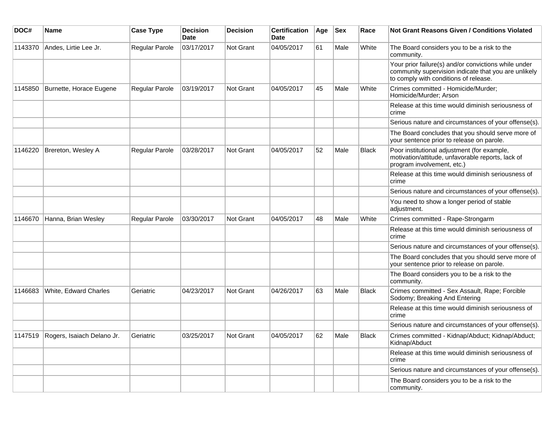| DOC#    | Name                       | <b>Case Type</b>      | <b>Decision</b><br><b>Date</b> | <b>Decision</b>  | <b>Certification</b><br><b>Date</b> | Age | <b>Sex</b> | Race         | <b>Not Grant Reasons Given / Conditions Violated</b>                                                                                                  |
|---------|----------------------------|-----------------------|--------------------------------|------------------|-------------------------------------|-----|------------|--------------|-------------------------------------------------------------------------------------------------------------------------------------------------------|
| 1143370 | Andes, Lirtie Lee Jr.      | <b>Regular Parole</b> | 03/17/2017                     | Not Grant        | 04/05/2017                          | 61  | Male       | White        | The Board considers you to be a risk to the<br>community.                                                                                             |
|         |                            |                       |                                |                  |                                     |     |            |              | Your prior failure(s) and/or convictions while under<br>community supervision indicate that you are unlikely<br>to comply with conditions of release. |
| 1145850 | Burnette, Horace Eugene    | Regular Parole        | 03/19/2017                     | Not Grant        | 04/05/2017                          | 45  | Male       | White        | Crimes committed - Homicide/Murder;<br>Homicide/Murder: Arson                                                                                         |
|         |                            |                       |                                |                  |                                     |     |            |              | Release at this time would diminish seriousness of<br>crime                                                                                           |
|         |                            |                       |                                |                  |                                     |     |            |              | Serious nature and circumstances of your offense(s).                                                                                                  |
|         |                            |                       |                                |                  |                                     |     |            |              | The Board concludes that you should serve more of<br>your sentence prior to release on parole.                                                        |
| 1146220 | Brereton, Wesley A         | Regular Parole        | 03/28/2017                     | Not Grant        | 04/05/2017                          | 52  | Male       | <b>Black</b> | Poor institutional adjustment (for example,<br>motivation/attitude, unfavorable reports, lack of<br>program involvement, etc.)                        |
|         |                            |                       |                                |                  |                                     |     |            |              | Release at this time would diminish seriousness of<br>crime                                                                                           |
|         |                            |                       |                                |                  |                                     |     |            |              | Serious nature and circumstances of your offense(s).                                                                                                  |
|         |                            |                       |                                |                  |                                     |     |            |              | You need to show a longer period of stable<br>adjustment.                                                                                             |
| 1146670 | Hanna, Brian Wesley        | <b>Regular Parole</b> | 03/30/2017                     | Not Grant        | 04/05/2017                          | 48  | Male       | White        | Crimes committed - Rape-Strongarm                                                                                                                     |
|         |                            |                       |                                |                  |                                     |     |            |              | Release at this time would diminish seriousness of<br>crime                                                                                           |
|         |                            |                       |                                |                  |                                     |     |            |              | Serious nature and circumstances of your offense(s).                                                                                                  |
|         |                            |                       |                                |                  |                                     |     |            |              | The Board concludes that you should serve more of<br>your sentence prior to release on parole.                                                        |
|         |                            |                       |                                |                  |                                     |     |            |              | The Board considers you to be a risk to the<br>community.                                                                                             |
| 1146683 | White, Edward Charles      | Geriatric             | 04/23/2017                     | <b>Not Grant</b> | 04/26/2017                          | 63  | Male       | <b>Black</b> | Crimes committed - Sex Assault, Rape; Forcible<br>Sodomy; Breaking And Entering                                                                       |
|         |                            |                       |                                |                  |                                     |     |            |              | Release at this time would diminish seriousness of<br>crime                                                                                           |
|         |                            |                       |                                |                  |                                     |     |            |              | Serious nature and circumstances of your offense(s).                                                                                                  |
| 1147519 | Rogers, Isaiach Delano Jr. | Geriatric             | 03/25/2017                     | Not Grant        | 04/05/2017                          | 62  | Male       | <b>Black</b> | Crimes committed - Kidnap/Abduct; Kidnap/Abduct;<br>Kidnap/Abduct                                                                                     |
|         |                            |                       |                                |                  |                                     |     |            |              | Release at this time would diminish seriousness of<br>crime                                                                                           |
|         |                            |                       |                                |                  |                                     |     |            |              | Serious nature and circumstances of your offense(s).                                                                                                  |
|         |                            |                       |                                |                  |                                     |     |            |              | The Board considers you to be a risk to the<br>community.                                                                                             |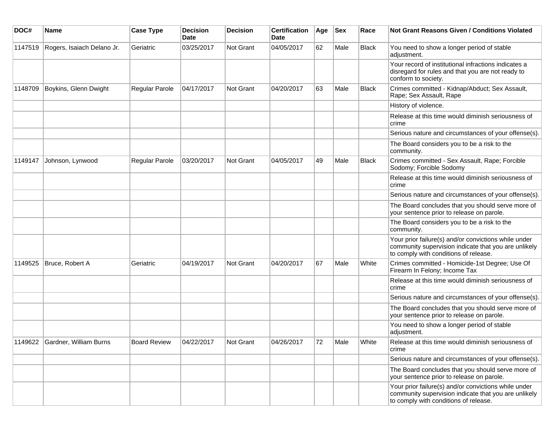| DOC#    | <b>Name</b>                    | <b>Case Type</b>    | <b>Decision</b><br><b>Date</b> | Decision         | <b>Certification</b><br>Date | Age | <b>Sex</b> | Race  | Not Grant Reasons Given / Conditions Violated                                                                                                         |
|---------|--------------------------------|---------------------|--------------------------------|------------------|------------------------------|-----|------------|-------|-------------------------------------------------------------------------------------------------------------------------------------------------------|
| 1147519 | Rogers, Isaiach Delano Jr.     | Geriatric           | 03/25/2017                     | Not Grant        | 04/05/2017                   | 62  | Male       | Black | You need to show a longer period of stable<br>adjustment.                                                                                             |
|         |                                |                     |                                |                  |                              |     |            |       | Your record of institutional infractions indicates a<br>disregard for rules and that you are not ready to<br>conform to society.                      |
| 1148709 | Boykins, Glenn Dwight          | Regular Parole      | 04/17/2017                     | Not Grant        | 04/20/2017                   | 63  | Male       | Black | Crimes committed - Kidnap/Abduct; Sex Assault,<br>Rape; Sex Assault, Rape                                                                             |
|         |                                |                     |                                |                  |                              |     |            |       | History of violence.                                                                                                                                  |
|         |                                |                     |                                |                  |                              |     |            |       | Release at this time would diminish seriousness of<br>crime                                                                                           |
|         |                                |                     |                                |                  |                              |     |            |       | Serious nature and circumstances of your offense(s).                                                                                                  |
|         |                                |                     |                                |                  |                              |     |            |       | The Board considers you to be a risk to the<br>community.                                                                                             |
| 1149147 | Johnson, Lynwood               | Regular Parole      | 03/20/2017                     | <b>Not Grant</b> | 04/05/2017                   | 49  | Male       | Black | Crimes committed - Sex Assault, Rape; Forcible<br>Sodomy; Forcible Sodomy                                                                             |
|         |                                |                     |                                |                  |                              |     |            |       | Release at this time would diminish seriousness of<br>crime                                                                                           |
|         |                                |                     |                                |                  |                              |     |            |       | Serious nature and circumstances of your offense(s).                                                                                                  |
|         |                                |                     |                                |                  |                              |     |            |       | The Board concludes that you should serve more of<br>your sentence prior to release on parole.                                                        |
|         |                                |                     |                                |                  |                              |     |            |       | The Board considers you to be a risk to the<br>community.                                                                                             |
|         |                                |                     |                                |                  |                              |     |            |       | Your prior failure(s) and/or convictions while under<br>community supervision indicate that you are unlikely<br>to comply with conditions of release. |
| 1149525 | Bruce, Robert A                | Geriatric           | 04/19/2017                     | Not Grant        | 04/20/2017                   | 67  | Male       | White | Crimes committed - Homicide-1st Degree; Use Of<br>Firearm In Felony; Income Tax                                                                       |
|         |                                |                     |                                |                  |                              |     |            |       | Release at this time would diminish seriousness of<br>crime                                                                                           |
|         |                                |                     |                                |                  |                              |     |            |       | Serious nature and circumstances of your offense(s).                                                                                                  |
|         |                                |                     |                                |                  |                              |     |            |       | The Board concludes that you should serve more of<br>your sentence prior to release on parole.                                                        |
|         |                                |                     |                                |                  |                              |     |            |       | You need to show a longer period of stable<br>adjustment.                                                                                             |
|         | 1149622 Gardner, William Burns | <b>Board Review</b> | 04/22/2017                     | Not Grant        | 04/26/2017                   | 72  | Male       | White | Release at this time would diminish seriousness of<br>crime                                                                                           |
|         |                                |                     |                                |                  |                              |     |            |       | Serious nature and circumstances of your offense(s).                                                                                                  |
|         |                                |                     |                                |                  |                              |     |            |       | The Board concludes that you should serve more of<br>your sentence prior to release on parole.                                                        |
|         |                                |                     |                                |                  |                              |     |            |       | Your prior failure(s) and/or convictions while under<br>community supervision indicate that you are unlikely<br>to comply with conditions of release. |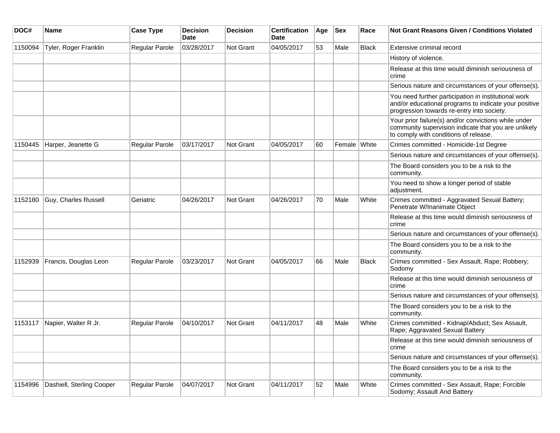| DOC#    | <b>Name</b>               | <b>Case Type</b>      | <b>Decision</b><br><b>Date</b> | <b>Decision</b> | <b>Certification</b><br><b>Date</b> | Age | <b>Sex</b>   | Race         | Not Grant Reasons Given / Conditions Violated                                                                                                               |
|---------|---------------------------|-----------------------|--------------------------------|-----------------|-------------------------------------|-----|--------------|--------------|-------------------------------------------------------------------------------------------------------------------------------------------------------------|
| 1150094 | Tyler, Roger Franklin     | Regular Parole        | 03/28/2017                     | Not Grant       | 04/05/2017                          | 53  | Male         | <b>Black</b> | Extensive criminal record                                                                                                                                   |
|         |                           |                       |                                |                 |                                     |     |              |              | History of violence.                                                                                                                                        |
|         |                           |                       |                                |                 |                                     |     |              |              | Release at this time would diminish seriousness of<br>crime                                                                                                 |
|         |                           |                       |                                |                 |                                     |     |              |              | Serious nature and circumstances of your offense(s).                                                                                                        |
|         |                           |                       |                                |                 |                                     |     |              |              | You need further participation in institutional work<br>and/or educational programs to indicate your positive<br>progression towards re-entry into society. |
|         |                           |                       |                                |                 |                                     |     |              |              | Your prior failure(s) and/or convictions while under<br>community supervision indicate that you are unlikely<br>to comply with conditions of release.       |
| 1150445 | Harper, Jeanette G        | <b>Regular Parole</b> | 03/17/2017                     | Not Grant       | 04/05/2017                          | 60  | Female White |              | Crimes committed - Homicide-1st Degree                                                                                                                      |
|         |                           |                       |                                |                 |                                     |     |              |              | Serious nature and circumstances of your offense(s).                                                                                                        |
|         |                           |                       |                                |                 |                                     |     |              |              | The Board considers you to be a risk to the<br>community.                                                                                                   |
|         |                           |                       |                                |                 |                                     |     |              |              | You need to show a longer period of stable<br>adjustment.                                                                                                   |
| 1152180 | Guy, Charles Russell      | Geriatric             | 04/26/2017                     | Not Grant       | 04/26/2017                          | 70  | Male         | White        | Crimes committed - Aggravated Sexual Battery;<br>Penetrate W/Inanimate Object                                                                               |
|         |                           |                       |                                |                 |                                     |     |              |              | Release at this time would diminish seriousness of<br>crime                                                                                                 |
|         |                           |                       |                                |                 |                                     |     |              |              | Serious nature and circumstances of your offense(s).                                                                                                        |
|         |                           |                       |                                |                 |                                     |     |              |              | The Board considers you to be a risk to the<br>community.                                                                                                   |
| 1152939 | Francis, Douglas Leon     | <b>Regular Parole</b> | 03/23/2017                     | Not Grant       | 04/05/2017                          | 66  | Male         | <b>Black</b> | Crimes committed - Sex Assault, Rape; Robbery;<br>Sodomy                                                                                                    |
|         |                           |                       |                                |                 |                                     |     |              |              | Release at this time would diminish seriousness of<br>crime                                                                                                 |
|         |                           |                       |                                |                 |                                     |     |              |              | Serious nature and circumstances of your offense(s).                                                                                                        |
|         |                           |                       |                                |                 |                                     |     |              |              | The Board considers you to be a risk to the<br>community.                                                                                                   |
| 1153117 | Napier, Walter R Jr.      | <b>Regular Parole</b> | 04/10/2017                     | Not Grant       | 04/11/2017                          | 48  | Male         | White        | Crimes committed - Kidnap/Abduct; Sex Assault,<br>Rape; Aggravated Sexual Battery                                                                           |
|         |                           |                       |                                |                 |                                     |     |              |              | Release at this time would diminish seriousness of<br>crime                                                                                                 |
|         |                           |                       |                                |                 |                                     |     |              |              | Serious nature and circumstances of your offense(s).                                                                                                        |
|         |                           |                       |                                |                 |                                     |     |              |              | The Board considers you to be a risk to the<br>community.                                                                                                   |
| 1154996 | Dashiell, Sterling Cooper | Regular Parole        | 04/07/2017                     | Not Grant       | 04/11/2017                          | 52  | Male         | White        | Crimes committed - Sex Assault, Rape; Forcible<br>Sodomy; Assault And Battery                                                                               |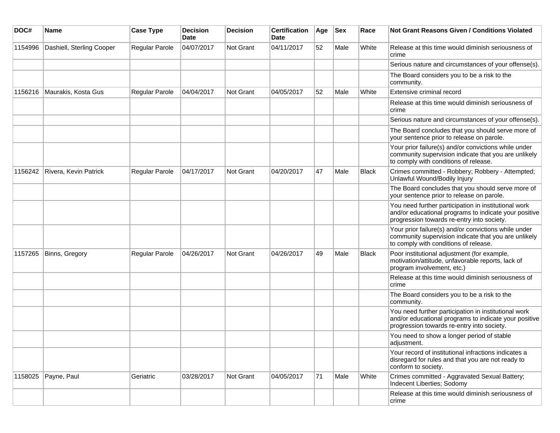| DOC#    | <b>Name</b>               | <b>Case Type</b> | <b>Decision</b><br><b>Date</b> | <b>Decision</b> | <b>Certification</b><br><b>Date</b> | Age | <b>Sex</b> | Race         | <b>Not Grant Reasons Given / Conditions Violated</b>                                                                                                        |
|---------|---------------------------|------------------|--------------------------------|-----------------|-------------------------------------|-----|------------|--------------|-------------------------------------------------------------------------------------------------------------------------------------------------------------|
| 1154996 | Dashiell, Sterling Cooper | Regular Parole   | 04/07/2017                     | Not Grant       | 04/11/2017                          | 52  | Male       | White        | Release at this time would diminish seriousness of<br>crime                                                                                                 |
|         |                           |                  |                                |                 |                                     |     |            |              | Serious nature and circumstances of your offense(s).                                                                                                        |
|         |                           |                  |                                |                 |                                     |     |            |              | The Board considers you to be a risk to the<br>community.                                                                                                   |
| 1156216 | Maurakis, Kosta Gus       | Regular Parole   | 04/04/2017                     | Not Grant       | 04/05/2017                          | 52  | Male       | White        | Extensive criminal record                                                                                                                                   |
|         |                           |                  |                                |                 |                                     |     |            |              | Release at this time would diminish seriousness of<br>crime                                                                                                 |
|         |                           |                  |                                |                 |                                     |     |            |              | Serious nature and circumstances of your offense(s).                                                                                                        |
|         |                           |                  |                                |                 |                                     |     |            |              | The Board concludes that you should serve more of<br>your sentence prior to release on parole.                                                              |
|         |                           |                  |                                |                 |                                     |     |            |              | Your prior failure(s) and/or convictions while under<br>community supervision indicate that you are unlikely<br>to comply with conditions of release.       |
| 1156242 | Rivera, Kevin Patrick     | Regular Parole   | 04/17/2017                     | Not Grant       | 04/20/2017                          | 47  | Male       | Black        | Crimes committed - Robbery; Robbery - Attempted;<br>Unlawful Wound/Bodily Injury                                                                            |
|         |                           |                  |                                |                 |                                     |     |            |              | The Board concludes that you should serve more of<br>your sentence prior to release on parole.                                                              |
|         |                           |                  |                                |                 |                                     |     |            |              | You need further participation in institutional work<br>and/or educational programs to indicate your positive<br>progression towards re-entry into society. |
|         |                           |                  |                                |                 |                                     |     |            |              | Your prior failure(s) and/or convictions while under<br>community supervision indicate that you are unlikely<br>to comply with conditions of release.       |
| 1157265 | Binns, Gregory            | Regular Parole   | 04/26/2017                     | Not Grant       | 04/26/2017                          | 49  | Male       | <b>Black</b> | Poor institutional adjustment (for example,<br>motivation/attitude, unfavorable reports, lack of<br>program involvement, etc.)                              |
|         |                           |                  |                                |                 |                                     |     |            |              | Release at this time would diminish seriousness of<br>crime                                                                                                 |
|         |                           |                  |                                |                 |                                     |     |            |              | The Board considers you to be a risk to the<br>community.                                                                                                   |
|         |                           |                  |                                |                 |                                     |     |            |              | You need further participation in institutional work<br>and/or educational programs to indicate your positive<br>progression towards re-entry into society. |
|         |                           |                  |                                |                 |                                     |     |            |              | You need to show a longer period of stable<br>adjustment.                                                                                                   |
|         |                           |                  |                                |                 |                                     |     |            |              | Your record of institutional infractions indicates a<br>disregard for rules and that you are not ready to<br>conform to society.                            |
| 1158025 | Payne, Paul               | Geriatric        | 03/28/2017                     | Not Grant       | 04/05/2017                          | 71  | Male       | White        | Crimes committed - Aggravated Sexual Battery;<br>Indecent Liberties; Sodomy                                                                                 |
|         |                           |                  |                                |                 |                                     |     |            |              | Release at this time would diminish seriousness of<br>crime                                                                                                 |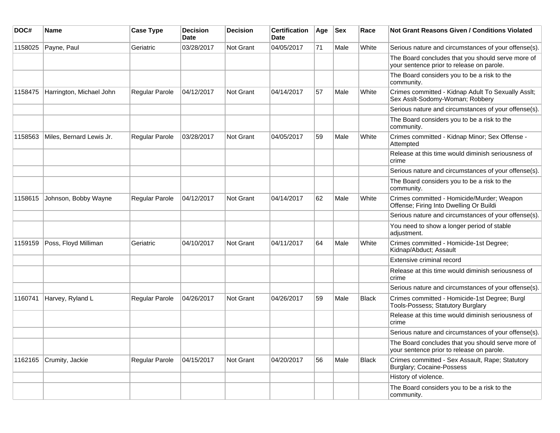| DOC#    | <b>Name</b>              | <b>Case Type</b>      | <b>Decision</b><br>Date | <b>Decision</b>  | <b>Certification</b><br><b>Date</b> | Age | <b>Sex</b> | Race         | Not Grant Reasons Given / Conditions Violated                                                  |
|---------|--------------------------|-----------------------|-------------------------|------------------|-------------------------------------|-----|------------|--------------|------------------------------------------------------------------------------------------------|
| 1158025 | Payne, Paul              | Geriatric             | 03/28/2017              | Not Grant        | 04/05/2017                          | 71  | Male       | White        | Serious nature and circumstances of your offense(s).                                           |
|         |                          |                       |                         |                  |                                     |     |            |              | The Board concludes that you should serve more of<br>your sentence prior to release on parole. |
|         |                          |                       |                         |                  |                                     |     |            |              | The Board considers you to be a risk to the<br>community.                                      |
| 1158475 | Harrington, Michael John | Regular Parole        | 04/12/2017              | Not Grant        | 04/14/2017                          | 57  | Male       | White        | Crimes committed - Kidnap Adult To Sexually Asslt;<br>Sex Asslt-Sodomy-Woman; Robbery          |
|         |                          |                       |                         |                  |                                     |     |            |              | Serious nature and circumstances of your offense(s).                                           |
|         |                          |                       |                         |                  |                                     |     |            |              | The Board considers you to be a risk to the<br>community.                                      |
| 1158563 | Miles, Bernard Lewis Jr. | Regular Parole        | 03/28/2017              | <b>Not Grant</b> | 04/05/2017                          | 59  | Male       | White        | Crimes committed - Kidnap Minor; Sex Offense -<br>Attempted                                    |
|         |                          |                       |                         |                  |                                     |     |            |              | Release at this time would diminish seriousness of<br>crime                                    |
|         |                          |                       |                         |                  |                                     |     |            |              | Serious nature and circumstances of your offense(s).                                           |
|         |                          |                       |                         |                  |                                     |     |            |              | The Board considers you to be a risk to the<br>community.                                      |
| 1158615 | Johnson, Bobby Wayne     | <b>Regular Parole</b> | 04/12/2017              | Not Grant        | 04/14/2017                          | 62  | Male       | White        | Crimes committed - Homicide/Murder; Weapon<br>Offense; Firing Into Dwelling Or Buildi          |
|         |                          |                       |                         |                  |                                     |     |            |              | Serious nature and circumstances of your offense(s).                                           |
|         |                          |                       |                         |                  |                                     |     |            |              | You need to show a longer period of stable<br>adjustment.                                      |
| 1159159 | Poss, Floyd Milliman     | Geriatric             | 04/10/2017              | Not Grant        | 04/11/2017                          | 64  | Male       | White        | Crimes committed - Homicide-1st Degree;<br>Kidnap/Abduct; Assault                              |
|         |                          |                       |                         |                  |                                     |     |            |              | Extensive criminal record                                                                      |
|         |                          |                       |                         |                  |                                     |     |            |              | Release at this time would diminish seriousness of<br>crime                                    |
|         |                          |                       |                         |                  |                                     |     |            |              | Serious nature and circumstances of your offense(s).                                           |
| 1160741 | Harvey, Ryland L         | Regular Parole        | 04/26/2017              | Not Grant        | 04/26/2017                          | 59  | Male       | <b>Black</b> | Crimes committed - Homicide-1st Degree; Burgl<br>Tools-Possess; Statutory Burglary             |
|         |                          |                       |                         |                  |                                     |     |            |              | Release at this time would diminish seriousness of<br>crime                                    |
|         |                          |                       |                         |                  |                                     |     |            |              | Serious nature and circumstances of your offense(s).                                           |
|         |                          |                       |                         |                  |                                     |     |            |              | The Board concludes that you should serve more of<br>your sentence prior to release on parole. |
| 1162165 | Crumity, Jackie          | Regular Parole        | 04/15/2017              | Not Grant        | 04/20/2017                          | 56  | Male       | Black        | Crimes committed - Sex Assault, Rape; Statutory<br><b>Burglary; Cocaine-Possess</b>            |
|         |                          |                       |                         |                  |                                     |     |            |              | History of violence.                                                                           |
|         |                          |                       |                         |                  |                                     |     |            |              | The Board considers you to be a risk to the<br>community.                                      |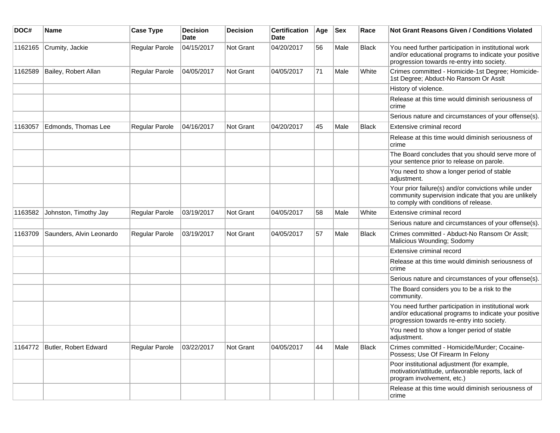| DOC#    | Name                          | <b>Case Type</b>      | <b>Decision</b><br><b>Date</b> | <b>Decision</b>  | <b>Certification</b><br>Date | Age | <b>Sex</b> | Race         | Not Grant Reasons Given / Conditions Violated                                                                                                               |
|---------|-------------------------------|-----------------------|--------------------------------|------------------|------------------------------|-----|------------|--------------|-------------------------------------------------------------------------------------------------------------------------------------------------------------|
| 1162165 | Crumity, Jackie               | Regular Parole        | 04/15/2017                     | Not Grant        | 04/20/2017                   | 56  | Male       | <b>Black</b> | You need further participation in institutional work<br>and/or educational programs to indicate your positive<br>progression towards re-entry into society. |
| 1162589 | Bailey, Robert Allan          | Regular Parole        | 04/05/2017                     | <b>Not Grant</b> | 04/05/2017                   | 71  | Male       | White        | Crimes committed - Homicide-1st Degree; Homicide-<br>1st Degree; Abduct-No Ransom Or Asslt                                                                  |
|         |                               |                       |                                |                  |                              |     |            |              | History of violence.                                                                                                                                        |
|         |                               |                       |                                |                  |                              |     |            |              | Release at this time would diminish seriousness of<br>crime                                                                                                 |
|         |                               |                       |                                |                  |                              |     |            |              | Serious nature and circumstances of your offense(s).                                                                                                        |
| 1163057 | Edmonds, Thomas Lee           | Regular Parole        | 04/16/2017                     | <b>Not Grant</b> | 04/20/2017                   | 45  | Male       | <b>Black</b> | Extensive criminal record                                                                                                                                   |
|         |                               |                       |                                |                  |                              |     |            |              | Release at this time would diminish seriousness of<br>crime                                                                                                 |
|         |                               |                       |                                |                  |                              |     |            |              | The Board concludes that you should serve more of<br>your sentence prior to release on parole.                                                              |
|         |                               |                       |                                |                  |                              |     |            |              | You need to show a longer period of stable<br>adjustment.                                                                                                   |
|         |                               |                       |                                |                  |                              |     |            |              | Your prior failure(s) and/or convictions while under<br>community supervision indicate that you are unlikely<br>to comply with conditions of release.       |
| 1163582 | Johnston, Timothy Jay         | <b>Regular Parole</b> | 03/19/2017                     | Not Grant        | 04/05/2017                   | 58  | Male       | White        | Extensive criminal record                                                                                                                                   |
|         |                               |                       |                                |                  |                              |     |            |              | Serious nature and circumstances of your offense(s).                                                                                                        |
| 1163709 | Saunders, Alvin Leonardo      | Regular Parole        | 03/19/2017                     | Not Grant        | 04/05/2017                   | 57  | Male       | <b>Black</b> | Crimes committed - Abduct-No Ransom Or Asslt;<br>Malicious Wounding; Sodomy                                                                                 |
|         |                               |                       |                                |                  |                              |     |            |              | Extensive criminal record                                                                                                                                   |
|         |                               |                       |                                |                  |                              |     |            |              | Release at this time would diminish seriousness of<br>crime                                                                                                 |
|         |                               |                       |                                |                  |                              |     |            |              | Serious nature and circumstances of your offense(s).                                                                                                        |
|         |                               |                       |                                |                  |                              |     |            |              | The Board considers you to be a risk to the<br>community.                                                                                                   |
|         |                               |                       |                                |                  |                              |     |            |              | You need further participation in institutional work<br>and/or educational programs to indicate your positive<br>progression towards re-entry into society. |
|         |                               |                       |                                |                  |                              |     |            |              | You need to show a longer period of stable<br>adjustment.                                                                                                   |
|         | 1164772 Butler, Robert Edward | Regular Parole        | 03/22/2017                     | Not Grant        | 04/05/2017                   | 44  | Male       | Black        | Crimes committed - Homicide/Murder; Cocaine-<br>Possess; Use Of Firearm In Felony                                                                           |
|         |                               |                       |                                |                  |                              |     |            |              | Poor institutional adjustment (for example,<br>motivation/attitude, unfavorable reports, lack of<br>program involvement, etc.)                              |
|         |                               |                       |                                |                  |                              |     |            |              | Release at this time would diminish seriousness of<br>crime                                                                                                 |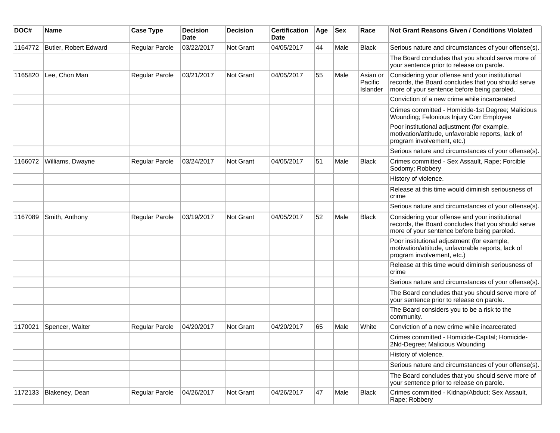| DOC#    | Name                  | <b>Case Type</b> | <b>Decision</b><br><b>Date</b> | <b>Decision</b>  | <b>Certification</b><br>Date | Age | <b>Sex</b> | Race                            | Not Grant Reasons Given / Conditions Violated                                                                                                        |
|---------|-----------------------|------------------|--------------------------------|------------------|------------------------------|-----|------------|---------------------------------|------------------------------------------------------------------------------------------------------------------------------------------------------|
| 1164772 | Butler, Robert Edward | Regular Parole   | 03/22/2017                     | Not Grant        | 04/05/2017                   | 44  | Male       | <b>Black</b>                    | Serious nature and circumstances of your offense(s).                                                                                                 |
|         |                       |                  |                                |                  |                              |     |            |                                 | The Board concludes that you should serve more of<br>your sentence prior to release on parole.                                                       |
| 1165820 | Lee, Chon Man         | Regular Parole   | 03/21/2017                     | Not Grant        | 04/05/2017                   | 55  | Male       | Asian or<br>Pacific<br>Islander | Considering your offense and your institutional<br>records, the Board concludes that you should serve<br>more of your sentence before being paroled. |
|         |                       |                  |                                |                  |                              |     |            |                                 | Conviction of a new crime while incarcerated                                                                                                         |
|         |                       |                  |                                |                  |                              |     |            |                                 | Crimes committed - Homicide-1st Degree; Malicious<br>Wounding; Felonious Injury Corr Employee                                                        |
|         |                       |                  |                                |                  |                              |     |            |                                 | Poor institutional adjustment (for example,<br>motivation/attitude, unfavorable reports, lack of<br>program involvement, etc.)                       |
|         |                       |                  |                                |                  |                              |     |            |                                 | Serious nature and circumstances of your offense(s).                                                                                                 |
| 1166072 | Williams, Dwayne      | Regular Parole   | 03/24/2017                     | <b>Not Grant</b> | 04/05/2017                   | 51  | Male       | <b>Black</b>                    | Crimes committed - Sex Assault, Rape; Forcible<br>Sodomy; Robbery                                                                                    |
|         |                       |                  |                                |                  |                              |     |            |                                 | History of violence.                                                                                                                                 |
|         |                       |                  |                                |                  |                              |     |            |                                 | Release at this time would diminish seriousness of<br>crime                                                                                          |
|         |                       |                  |                                |                  |                              |     |            |                                 | Serious nature and circumstances of your offense(s).                                                                                                 |
| 1167089 | Smith, Anthony        | Regular Parole   | 03/19/2017                     | Not Grant        | 04/05/2017                   | 52  | Male       | Black                           | Considering your offense and your institutional<br>records, the Board concludes that you should serve<br>more of your sentence before being paroled. |
|         |                       |                  |                                |                  |                              |     |            |                                 | Poor institutional adjustment (for example,<br>motivation/attitude, unfavorable reports, lack of<br>program involvement, etc.)                       |
|         |                       |                  |                                |                  |                              |     |            |                                 | Release at this time would diminish seriousness of<br>crime                                                                                          |
|         |                       |                  |                                |                  |                              |     |            |                                 | Serious nature and circumstances of your offense(s).                                                                                                 |
|         |                       |                  |                                |                  |                              |     |            |                                 | The Board concludes that you should serve more of<br>your sentence prior to release on parole.                                                       |
|         |                       |                  |                                |                  |                              |     |            |                                 | The Board considers you to be a risk to the<br>community.                                                                                            |
| 1170021 | Spencer, Walter       | Regular Parole   | 04/20/2017                     | Not Grant        | 04/20/2017                   | 65  | Male       | White                           | Conviction of a new crime while incarcerated                                                                                                         |
|         |                       |                  |                                |                  |                              |     |            |                                 | Crimes committed - Homicide-Capital; Homicide-<br>2Nd-Degree; Malicious Wounding                                                                     |
|         |                       |                  |                                |                  |                              |     |            |                                 | History of violence.                                                                                                                                 |
|         |                       |                  |                                |                  |                              |     |            |                                 | Serious nature and circumstances of your offense(s).                                                                                                 |
|         |                       |                  |                                |                  |                              |     |            |                                 | The Board concludes that you should serve more of<br>your sentence prior to release on parole.                                                       |
| 1172133 | Blakeney, Dean        | Regular Parole   | 04/26/2017                     | Not Grant        | 04/26/2017                   | 47  | Male       | Black                           | Crimes committed - Kidnap/Abduct; Sex Assault,<br>Rape; Robbery                                                                                      |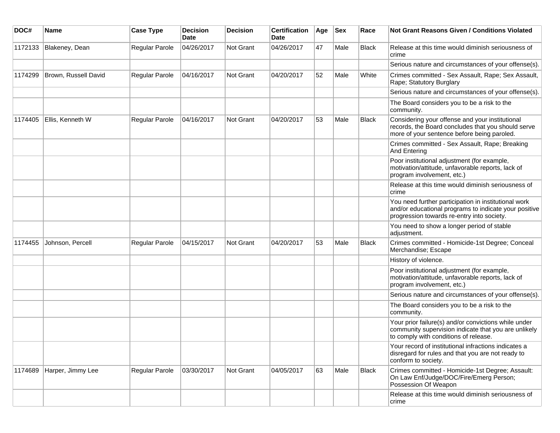| DOC#    | <b>Name</b>          | <b>Case Type</b> | <b>Decision</b><br><b>Date</b> | <b>Decision</b> | <b>Certification</b><br>Date | Age | <b>Sex</b> | Race         | Not Grant Reasons Given / Conditions Violated                                                                                                               |
|---------|----------------------|------------------|--------------------------------|-----------------|------------------------------|-----|------------|--------------|-------------------------------------------------------------------------------------------------------------------------------------------------------------|
| 1172133 | Blakeney, Dean       | Regular Parole   | 04/26/2017                     | Not Grant       | 04/26/2017                   | 47  | Male       | Black        | Release at this time would diminish seriousness of<br>crime                                                                                                 |
|         |                      |                  |                                |                 |                              |     |            |              | Serious nature and circumstances of your offense(s).                                                                                                        |
| 1174299 | Brown, Russell David | Regular Parole   | 04/16/2017                     | Not Grant       | 04/20/2017                   | 52  | Male       | White        | Crimes committed - Sex Assault, Rape; Sex Assault,<br>Rape; Statutory Burglary                                                                              |
|         |                      |                  |                                |                 |                              |     |            |              | Serious nature and circumstances of your offense(s).                                                                                                        |
|         |                      |                  |                                |                 |                              |     |            |              | The Board considers you to be a risk to the<br>community.                                                                                                   |
| 1174405 | Ellis, Kenneth W     | Regular Parole   | 04/16/2017                     | Not Grant       | 04/20/2017                   | 53  | Male       | <b>Black</b> | Considering your offense and your institutional<br>records, the Board concludes that you should serve<br>more of your sentence before being paroled.        |
|         |                      |                  |                                |                 |                              |     |            |              | Crimes committed - Sex Assault, Rape; Breaking<br>And Entering                                                                                              |
|         |                      |                  |                                |                 |                              |     |            |              | Poor institutional adjustment (for example,<br>motivation/attitude, unfavorable reports, lack of<br>program involvement, etc.)                              |
|         |                      |                  |                                |                 |                              |     |            |              | Release at this time would diminish seriousness of<br>crime                                                                                                 |
|         |                      |                  |                                |                 |                              |     |            |              | You need further participation in institutional work<br>and/or educational programs to indicate your positive<br>progression towards re-entry into society. |
|         |                      |                  |                                |                 |                              |     |            |              | You need to show a longer period of stable<br>adjustment.                                                                                                   |
| 1174455 | Johnson, Percell     | Regular Parole   | 04/15/2017                     | Not Grant       | 04/20/2017                   | 53  | Male       | <b>Black</b> | Crimes committed - Homicide-1st Degree; Conceal<br>Merchandise; Escape                                                                                      |
|         |                      |                  |                                |                 |                              |     |            |              | History of violence.                                                                                                                                        |
|         |                      |                  |                                |                 |                              |     |            |              | Poor institutional adjustment (for example,<br>motivation/attitude, unfavorable reports, lack of<br>program involvement, etc.)                              |
|         |                      |                  |                                |                 |                              |     |            |              | Serious nature and circumstances of your offense(s).                                                                                                        |
|         |                      |                  |                                |                 |                              |     |            |              | The Board considers you to be a risk to the<br>community.                                                                                                   |
|         |                      |                  |                                |                 |                              |     |            |              | Your prior failure(s) and/or convictions while under<br>community supervision indicate that you are unlikely<br>to comply with conditions of release.       |
|         |                      |                  |                                |                 |                              |     |            |              | Your record of institutional infractions indicates a<br>disregard for rules and that you are not ready to<br>conform to society.                            |
| 1174689 | Harper, Jimmy Lee    | Regular Parole   | 03/30/2017                     | Not Grant       | 04/05/2017                   | 63  | Male       | <b>Black</b> | Crimes committed - Homicide-1st Degree; Assault:<br>On Law Enf/Judge/DOC/Fire/Emerg Person;<br>Possession Of Weapon                                         |
|         |                      |                  |                                |                 |                              |     |            |              | Release at this time would diminish seriousness of<br>crime                                                                                                 |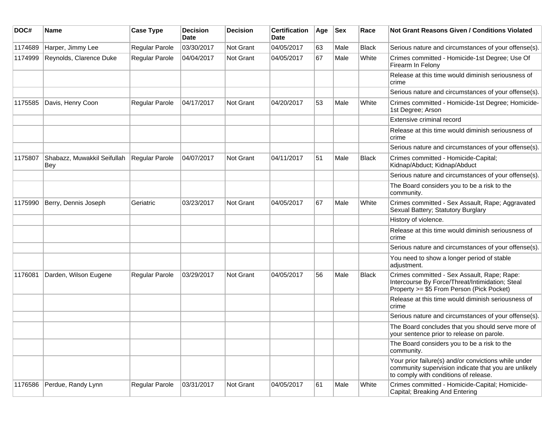| DOC#    | <b>Name</b>                        | <b>Case Type</b>      | <b>Decision</b><br>Date | <b>Decision</b>  | <b>Certification</b><br>Date | Age | <b>Sex</b> | Race         | <b>Not Grant Reasons Given / Conditions Violated</b>                                                                                                  |
|---------|------------------------------------|-----------------------|-------------------------|------------------|------------------------------|-----|------------|--------------|-------------------------------------------------------------------------------------------------------------------------------------------------------|
| 1174689 | Harper, Jimmy Lee                  | Regular Parole        | 03/30/2017              | Not Grant        | 04/05/2017                   | 63  | Male       | <b>Black</b> | Serious nature and circumstances of your offense(s).                                                                                                  |
| 1174999 | Reynolds, Clarence Duke            | Regular Parole        | 04/04/2017              | <b>Not Grant</b> | 04/05/2017                   | 67  | Male       | White        | Crimes committed - Homicide-1st Degree; Use Of<br>Firearm In Felony                                                                                   |
|         |                                    |                       |                         |                  |                              |     |            |              | Release at this time would diminish seriousness of<br>crime                                                                                           |
|         |                                    |                       |                         |                  |                              |     |            |              | Serious nature and circumstances of your offense(s).                                                                                                  |
| 1175585 | Davis, Henry Coon                  | Regular Parole        | 04/17/2017              | Not Grant        | 04/20/2017                   | 53  | Male       | White        | Crimes committed - Homicide-1st Degree; Homicide-<br>1st Degree; Arson                                                                                |
|         |                                    |                       |                         |                  |                              |     |            |              | Extensive criminal record                                                                                                                             |
|         |                                    |                       |                         |                  |                              |     |            |              | Release at this time would diminish seriousness of<br>crime                                                                                           |
|         |                                    |                       |                         |                  |                              |     |            |              | Serious nature and circumstances of your offense(s).                                                                                                  |
| 1175807 | Shabazz, Muwakkil Seifullah<br>Bey | <b>Regular Parole</b> | 04/07/2017              | Not Grant        | 04/11/2017                   | 51  | Male       | <b>Black</b> | Crimes committed - Homicide-Capital;<br>Kidnap/Abduct; Kidnap/Abduct                                                                                  |
|         |                                    |                       |                         |                  |                              |     |            |              | Serious nature and circumstances of your offense(s).                                                                                                  |
|         |                                    |                       |                         |                  |                              |     |            |              | The Board considers you to be a risk to the<br>community.                                                                                             |
| 1175990 | Berry, Dennis Joseph               | Geriatric             | 03/23/2017              | Not Grant        | 04/05/2017                   | 67  | Male       | White        | Crimes committed - Sex Assault, Rape; Aggravated<br>Sexual Battery; Statutory Burglary                                                                |
|         |                                    |                       |                         |                  |                              |     |            |              | History of violence.                                                                                                                                  |
|         |                                    |                       |                         |                  |                              |     |            |              | Release at this time would diminish seriousness of<br>crime                                                                                           |
|         |                                    |                       |                         |                  |                              |     |            |              | Serious nature and circumstances of your offense(s).                                                                                                  |
|         |                                    |                       |                         |                  |                              |     |            |              | You need to show a longer period of stable<br>adjustment.                                                                                             |
| 1176081 | Darden, Wilson Eugene              | Regular Parole        | 03/29/2017              | Not Grant        | 04/05/2017                   | 56  | Male       | <b>Black</b> | Crimes committed - Sex Assault, Rape; Rape:<br>Intercourse By Force/Threat/Intimidation; Steal<br>Property >= \$5 From Person (Pick Pocket)           |
|         |                                    |                       |                         |                  |                              |     |            |              | Release at this time would diminish seriousness of<br>crime                                                                                           |
|         |                                    |                       |                         |                  |                              |     |            |              | Serious nature and circumstances of your offense(s).                                                                                                  |
|         |                                    |                       |                         |                  |                              |     |            |              | The Board concludes that you should serve more of<br>your sentence prior to release on parole.                                                        |
|         |                                    |                       |                         |                  |                              |     |            |              | The Board considers you to be a risk to the<br>community.                                                                                             |
|         |                                    |                       |                         |                  |                              |     |            |              | Your prior failure(s) and/or convictions while under<br>community supervision indicate that you are unlikely<br>to comply with conditions of release. |
| 1176586 | Perdue, Randy Lynn                 | Regular Parole        | 03/31/2017              | Not Grant        | 04/05/2017                   | 61  | Male       | White        | Crimes committed - Homicide-Capital; Homicide-<br>Capital; Breaking And Entering                                                                      |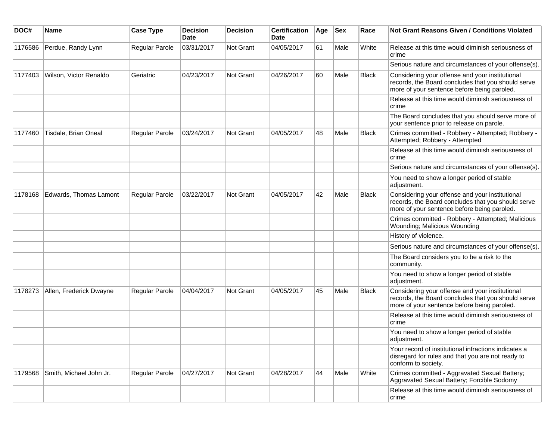| DOC#    | <b>Name</b>             | <b>Case Type</b>      | <b>Decision</b><br>Date | <b>Decision</b> | <b>Certification</b><br>Date | Age | <b>Sex</b> | Race         | Not Grant Reasons Given / Conditions Violated                                                                                                        |
|---------|-------------------------|-----------------------|-------------------------|-----------------|------------------------------|-----|------------|--------------|------------------------------------------------------------------------------------------------------------------------------------------------------|
| 1176586 | Perdue, Randy Lynn      | <b>Regular Parole</b> | 03/31/2017              | Not Grant       | 04/05/2017                   | 61  | Male       | White        | Release at this time would diminish seriousness of<br>crime                                                                                          |
|         |                         |                       |                         |                 |                              |     |            |              | Serious nature and circumstances of your offense(s).                                                                                                 |
| 1177403 | Wilson, Victor Renaldo  | Geriatric             | 04/23/2017              | Not Grant       | 04/26/2017                   | 60  | Male       | <b>Black</b> | Considering your offense and your institutional<br>records, the Board concludes that you should serve<br>more of your sentence before being paroled. |
|         |                         |                       |                         |                 |                              |     |            |              | Release at this time would diminish seriousness of<br>crime                                                                                          |
|         |                         |                       |                         |                 |                              |     |            |              | The Board concludes that you should serve more of<br>your sentence prior to release on parole.                                                       |
| 1177460 | Tisdale, Brian Oneal    | Regular Parole        | 03/24/2017              | Not Grant       | 04/05/2017                   | 48  | Male       | <b>Black</b> | Crimes committed - Robbery - Attempted; Robbery -<br>Attempted; Robbery - Attempted                                                                  |
|         |                         |                       |                         |                 |                              |     |            |              | Release at this time would diminish seriousness of<br>crime                                                                                          |
|         |                         |                       |                         |                 |                              |     |            |              | Serious nature and circumstances of your offense(s).                                                                                                 |
|         |                         |                       |                         |                 |                              |     |            |              | You need to show a longer period of stable<br>adjustment.                                                                                            |
| 1178168 | Edwards, Thomas Lamont  | <b>Regular Parole</b> | 03/22/2017              | Not Grant       | 04/05/2017                   | 42  | Male       | <b>Black</b> | Considering your offense and your institutional<br>records, the Board concludes that you should serve<br>more of your sentence before being paroled. |
|         |                         |                       |                         |                 |                              |     |            |              | Crimes committed - Robbery - Attempted; Malicious<br><b>Wounding: Malicious Wounding</b>                                                             |
|         |                         |                       |                         |                 |                              |     |            |              | History of violence.                                                                                                                                 |
|         |                         |                       |                         |                 |                              |     |            |              | Serious nature and circumstances of your offense(s).                                                                                                 |
|         |                         |                       |                         |                 |                              |     |            |              | The Board considers you to be a risk to the<br>community.                                                                                            |
|         |                         |                       |                         |                 |                              |     |            |              | You need to show a longer period of stable<br>adjustment.                                                                                            |
| 1178273 | Allen, Frederick Dwayne | Regular Parole        | 04/04/2017              | Not Grant       | 04/05/2017                   | 45  | Male       | <b>Black</b> | Considering your offense and your institutional<br>records, the Board concludes that you should serve<br>more of your sentence before being paroled. |
|         |                         |                       |                         |                 |                              |     |            |              | Release at this time would diminish seriousness of<br>crime                                                                                          |
|         |                         |                       |                         |                 |                              |     |            |              | You need to show a longer period of stable<br>adjustment.                                                                                            |
|         |                         |                       |                         |                 |                              |     |            |              | Your record of institutional infractions indicates a<br>disregard for rules and that you are not ready to<br>conform to society.                     |
| 1179568 | Smith, Michael John Jr. | Regular Parole        | 04/27/2017              | Not Grant       | 04/28/2017                   | 44  | Male       | White        | Crimes committed - Aggravated Sexual Battery;<br>Aggravated Sexual Battery; Forcible Sodomy                                                          |
|         |                         |                       |                         |                 |                              |     |            |              | Release at this time would diminish seriousness of<br>crime                                                                                          |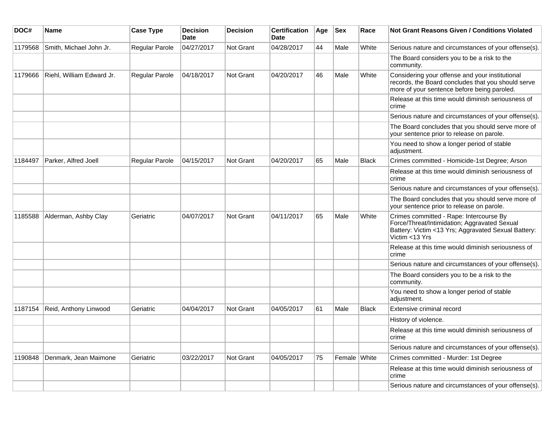| DOC#    | Name                      | <b>Case Type</b> | <b>Decision</b><br><b>Date</b> | <b>Decision</b>  | <b>Certification</b><br><b>Date</b> | Age | $ $ Sex      | Race         | Not Grant Reasons Given / Conditions Violated                                                                                                                    |
|---------|---------------------------|------------------|--------------------------------|------------------|-------------------------------------|-----|--------------|--------------|------------------------------------------------------------------------------------------------------------------------------------------------------------------|
| 1179568 | Smith, Michael John Jr.   | Regular Parole   | 04/27/2017                     | Not Grant        | 04/28/2017                          | 44  | Male         | White        | Serious nature and circumstances of your offense(s).                                                                                                             |
|         |                           |                  |                                |                  |                                     |     |              |              | The Board considers you to be a risk to the<br>community.                                                                                                        |
| 1179666 | Riehl, William Edward Jr. | Regular Parole   | 04/18/2017                     | <b>Not Grant</b> | 04/20/2017                          | 46  | Male         | White        | Considering your offense and your institutional<br>records, the Board concludes that you should serve<br>more of your sentence before being paroled.             |
|         |                           |                  |                                |                  |                                     |     |              |              | Release at this time would diminish seriousness of<br>crime                                                                                                      |
|         |                           |                  |                                |                  |                                     |     |              |              | Serious nature and circumstances of your offense(s).                                                                                                             |
|         |                           |                  |                                |                  |                                     |     |              |              | The Board concludes that you should serve more of<br>your sentence prior to release on parole.                                                                   |
|         |                           |                  |                                |                  |                                     |     |              |              | You need to show a longer period of stable<br>adjustment.                                                                                                        |
| 1184497 | Parker, Alfred Joell      | Regular Parole   | 04/15/2017                     | <b>Not Grant</b> | 04/20/2017                          | 65  | Male         | <b>Black</b> | Crimes committed - Homicide-1st Degree; Arson                                                                                                                    |
|         |                           |                  |                                |                  |                                     |     |              |              | Release at this time would diminish seriousness of<br>crime                                                                                                      |
|         |                           |                  |                                |                  |                                     |     |              |              | Serious nature and circumstances of your offense(s).                                                                                                             |
|         |                           |                  |                                |                  |                                     |     |              |              | The Board concludes that you should serve more of<br>your sentence prior to release on parole.                                                                   |
| 1185588 | Alderman, Ashby Clay      | Geriatric        | 04/07/2017                     | <b>Not Grant</b> | 04/11/2017                          | 65  | Male         | White        | Crimes committed - Rape: Intercourse By<br>Force/Threat/Intimidation; Aggravated Sexual<br>Battery: Victim <13 Yrs; Aggravated Sexual Battery:<br>Victim <13 Yrs |
|         |                           |                  |                                |                  |                                     |     |              |              | Release at this time would diminish seriousness of<br>crime                                                                                                      |
|         |                           |                  |                                |                  |                                     |     |              |              | Serious nature and circumstances of your offense(s).                                                                                                             |
|         |                           |                  |                                |                  |                                     |     |              |              | The Board considers you to be a risk to the<br>community.                                                                                                        |
|         |                           |                  |                                |                  |                                     |     |              |              | You need to show a longer period of stable<br>adjustment.                                                                                                        |
| 1187154 | Reid, Anthony Linwood     | Geriatric        | 04/04/2017                     | <b>Not Grant</b> | 04/05/2017                          | 61  | Male         | <b>Black</b> | Extensive criminal record                                                                                                                                        |
|         |                           |                  |                                |                  |                                     |     |              |              | History of violence.                                                                                                                                             |
|         |                           |                  |                                |                  |                                     |     |              |              | Release at this time would diminish seriousness of<br>crime                                                                                                      |
|         |                           |                  |                                |                  |                                     |     |              |              | Serious nature and circumstances of your offense(s).                                                                                                             |
| 1190848 | Denmark, Jean Maimone     | Geriatric        | 03/22/2017                     | Not Grant        | 04/05/2017                          | 75  | Female White |              | Crimes committed - Murder: 1st Degree                                                                                                                            |
|         |                           |                  |                                |                  |                                     |     |              |              | Release at this time would diminish seriousness of<br>crime                                                                                                      |
|         |                           |                  |                                |                  |                                     |     |              |              | Serious nature and circumstances of your offense(s).                                                                                                             |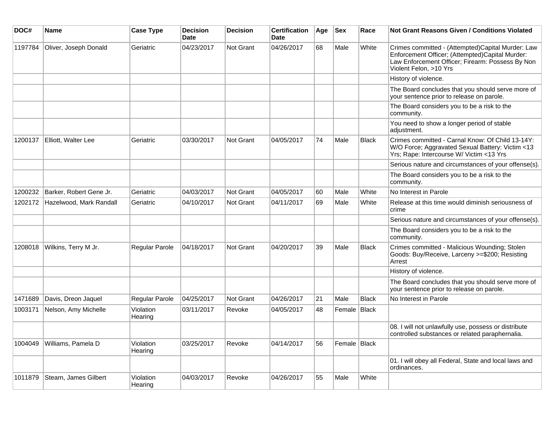| DOC#    | <b>Name</b>             | <b>Case Type</b>     | <b>Decision</b><br><b>Date</b> | <b>Decision</b> | <b>Certification</b><br><b>Date</b> | Age | <b>Sex</b>   | Race         | Not Grant Reasons Given / Conditions Violated                                                                                                                                      |
|---------|-------------------------|----------------------|--------------------------------|-----------------|-------------------------------------|-----|--------------|--------------|------------------------------------------------------------------------------------------------------------------------------------------------------------------------------------|
| 1197784 | Oliver, Joseph Donald   | Geriatric            | 04/23/2017                     | Not Grant       | 04/26/2017                          | 68  | Male         | White        | Crimes committed - (Attempted)Capital Murder: Law<br>Enforcement Officer; (Attempted)Capital Murder:<br>Law Enforcement Officer; Firearm: Possess By Non<br>Violent Felon, >10 Yrs |
|         |                         |                      |                                |                 |                                     |     |              |              | History of violence.                                                                                                                                                               |
|         |                         |                      |                                |                 |                                     |     |              |              | The Board concludes that you should serve more of<br>your sentence prior to release on parole.                                                                                     |
|         |                         |                      |                                |                 |                                     |     |              |              | The Board considers you to be a risk to the<br>community.                                                                                                                          |
|         |                         |                      |                                |                 |                                     |     |              |              | You need to show a longer period of stable<br>adjustment.                                                                                                                          |
| 1200137 | Elliott, Walter Lee     | Geriatric            | 03/30/2017                     | Not Grant       | 04/05/2017                          | 74  | Male         | <b>Black</b> | Crimes committed - Carnal Know: Of Child 13-14Y:<br>W/O Force; Aggravated Sexual Battery: Victim <13<br>Yrs; Rape: Intercourse W/ Victim <13 Yrs                                   |
|         |                         |                      |                                |                 |                                     |     |              |              | Serious nature and circumstances of your offense(s).                                                                                                                               |
|         |                         |                      |                                |                 |                                     |     |              |              | The Board considers you to be a risk to the<br>community.                                                                                                                          |
| 1200232 | Barker, Robert Gene Jr. | Geriatric            | 04/03/2017                     | Not Grant       | 04/05/2017                          | 60  | Male         | White        | No Interest in Parole                                                                                                                                                              |
| 1202172 | Hazelwood, Mark Randall | Geriatric            | 04/10/2017                     | Not Grant       | 04/11/2017                          | 69  | Male         | White        | Release at this time would diminish seriousness of<br>crime                                                                                                                        |
|         |                         |                      |                                |                 |                                     |     |              |              | Serious nature and circumstances of your offense(s).                                                                                                                               |
|         |                         |                      |                                |                 |                                     |     |              |              | The Board considers you to be a risk to the<br>community.                                                                                                                          |
| 1208018 | Wilkins, Terry M Jr.    | Regular Parole       | 04/18/2017                     | Not Grant       | 04/20/2017                          | 39  | Male         | <b>Black</b> | Crimes committed - Malicious Wounding; Stolen<br>Goods: Buy/Receive, Larceny >=\$200; Resisting<br>Arrest                                                                          |
|         |                         |                      |                                |                 |                                     |     |              |              | History of violence.                                                                                                                                                               |
|         |                         |                      |                                |                 |                                     |     |              |              | The Board concludes that you should serve more of<br>your sentence prior to release on parole.                                                                                     |
| 1471689 | Davis, Dreon Jaquel     | Regular Parole       | 04/25/2017                     | Not Grant       | 04/26/2017                          | 21  | Male         | <b>Black</b> | No Interest in Parole                                                                                                                                                              |
| 1003171 | Nelson, Amy Michelle    | Violation<br>Hearing | 03/11/2017                     | Revoke          | 04/05/2017                          | 48  | Female Black |              |                                                                                                                                                                                    |
|         |                         |                      |                                |                 |                                     |     |              |              | 08. I will not unlawfully use, possess or distribute<br>controlled substances or related paraphernalia.                                                                            |
| 1004049 | Williams, Pamela D      | Violation<br>Hearing | 03/25/2017                     | Revoke          | 04/14/2017                          | 56  | Female Black |              |                                                                                                                                                                                    |
|         |                         |                      |                                |                 |                                     |     |              |              | 01. I will obey all Federal, State and local laws and<br>ordinances.                                                                                                               |
| 1011879 | Stearn, James Gilbert   | Violation<br>Hearing | 04/03/2017                     | Revoke          | 04/26/2017                          | 55  | Male         | White        |                                                                                                                                                                                    |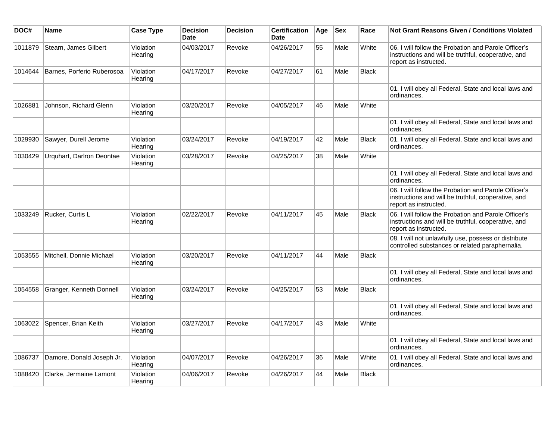| DOC#    | <b>Name</b>                | <b>Case Type</b>     | <b>Decision</b><br><b>Date</b> | <b>Decision</b> | <b>Certification</b><br><b>Date</b> | Age | <b>Sex</b> | Race         | <b>Not Grant Reasons Given / Conditions Violated</b>                                                                                 |
|---------|----------------------------|----------------------|--------------------------------|-----------------|-------------------------------------|-----|------------|--------------|--------------------------------------------------------------------------------------------------------------------------------------|
| 1011879 | Stearn, James Gilbert      | Violation<br>Hearing | 04/03/2017                     | Revoke          | 04/26/2017                          | 55  | Male       | White        | 06. I will follow the Probation and Parole Officer's<br>instructions and will be truthful, cooperative, and<br>report as instructed. |
| 1014644 | Barnes, Porferio Ruberosoa | Violation<br>Hearing | 04/17/2017                     | Revoke          | 04/27/2017                          | 61  | Male       | <b>Black</b> |                                                                                                                                      |
|         |                            |                      |                                |                 |                                     |     |            |              | 01. I will obey all Federal, State and local laws and<br>ordinances.                                                                 |
| 1026881 | Johnson, Richard Glenn     | Violation<br>Hearing | 03/20/2017                     | Revoke          | 04/05/2017                          | 46  | Male       | White        |                                                                                                                                      |
|         |                            |                      |                                |                 |                                     |     |            |              | 01. I will obey all Federal, State and local laws and<br>ordinances.                                                                 |
| 1029930 | Sawyer, Durell Jerome      | Violation<br>Hearing | 03/24/2017                     | Revoke          | 04/19/2017                          | 42  | Male       | <b>Black</b> | 01. I will obey all Federal, State and local laws and<br>ordinances.                                                                 |
| 1030429 | Urquhart, Darlron Deontae  | Violation<br>Hearing | 03/28/2017                     | Revoke          | 04/25/2017                          | 38  | Male       | White        |                                                                                                                                      |
|         |                            |                      |                                |                 |                                     |     |            |              | 01. I will obey all Federal, State and local laws and<br>ordinances.                                                                 |
|         |                            |                      |                                |                 |                                     |     |            |              | 06. I will follow the Probation and Parole Officer's<br>instructions and will be truthful, cooperative, and<br>report as instructed. |
| 1033249 | Rucker, Curtis L           | Violation<br>Hearing | 02/22/2017                     | Revoke          | 04/11/2017                          | 45  | Male       | <b>Black</b> | 06. I will follow the Probation and Parole Officer's<br>instructions and will be truthful, cooperative, and<br>report as instructed. |
|         |                            |                      |                                |                 |                                     |     |            |              | 08. I will not unlawfully use, possess or distribute<br>controlled substances or related paraphernalia.                              |
| 1053555 | Mitchell, Donnie Michael   | Violation<br>Hearing | 03/20/2017                     | Revoke          | 04/11/2017                          | 44  | Male       | <b>Black</b> |                                                                                                                                      |
|         |                            |                      |                                |                 |                                     |     |            |              | 01. I will obey all Federal, State and local laws and<br>ordinances.                                                                 |
| 1054558 | Granger, Kenneth Donnell   | Violation<br>Hearing | 03/24/2017                     | Revoke          | 04/25/2017                          | 53  | Male       | <b>Black</b> |                                                                                                                                      |
|         |                            |                      |                                |                 |                                     |     |            |              | 01. I will obey all Federal, State and local laws and<br>ordinances.                                                                 |
| 1063022 | Spencer, Brian Keith       | Violation<br>Hearing | 03/27/2017                     | Revoke          | 04/17/2017                          | 43  | Male       | White        |                                                                                                                                      |
|         |                            |                      |                                |                 |                                     |     |            |              | 01. I will obey all Federal, State and local laws and<br>ordinances.                                                                 |
| 1086737 | Damore, Donald Joseph Jr.  | Violation<br>Hearing | 04/07/2017                     | Revoke          | 04/26/2017                          | 36  | Male       | White        | 01. I will obey all Federal, State and local laws and<br>ordinances.                                                                 |
| 1088420 | Clarke, Jermaine Lamont    | Violation<br>Hearing | 04/06/2017                     | Revoke          | 04/26/2017                          | 44  | Male       | <b>Black</b> |                                                                                                                                      |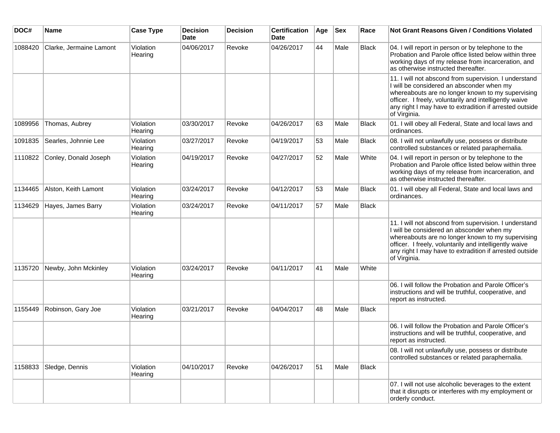| DOC#    | <b>Name</b>             | <b>Case Type</b>     | <b>Decision</b><br><b>Date</b> | <b>Decision</b> | <b>Certification</b><br><b>Date</b> | Age | <b>Sex</b> | Race         | <b>Not Grant Reasons Given / Conditions Violated</b>                                                                                                                                                                                                                                         |
|---------|-------------------------|----------------------|--------------------------------|-----------------|-------------------------------------|-----|------------|--------------|----------------------------------------------------------------------------------------------------------------------------------------------------------------------------------------------------------------------------------------------------------------------------------------------|
| 1088420 | Clarke, Jermaine Lamont | Violation<br>Hearing | 04/06/2017                     | Revoke          | 04/26/2017                          | 44  | Male       | Black        | 04. I will report in person or by telephone to the<br>Probation and Parole office listed below within three<br>working days of my release from incarceration, and<br>as otherwise instructed thereafter.                                                                                     |
|         |                         |                      |                                |                 |                                     |     |            |              | 11. I will not abscond from supervision. I understand<br>I will be considered an absconder when my<br>whereabouts are no longer known to my supervising<br>officer. I freely, voluntarily and intelligently waive<br>any right I may have to extradition if arrested outside<br>of Virginia. |
| 1089956 | Thomas, Aubrey          | Violation<br>Hearing | 03/30/2017                     | Revoke          | 04/26/2017                          | 63  | Male       | Black        | 01. I will obey all Federal, State and local laws and<br>ordinances.                                                                                                                                                                                                                         |
| 1091835 | Searles, Johnnie Lee    | Violation<br>Hearing | 03/27/2017                     | Revoke          | 04/19/2017                          | 53  | Male       | Black        | 08. I will not unlawfully use, possess or distribute<br>controlled substances or related paraphernalia.                                                                                                                                                                                      |
| 1110822 | Conley, Donald Joseph   | Violation<br>Hearing | 04/19/2017                     | Revoke          | 04/27/2017                          | 52  | Male       | White        | 04. I will report in person or by telephone to the<br>Probation and Parole office listed below within three<br>working days of my release from incarceration, and<br>as otherwise instructed thereafter.                                                                                     |
| 1134465 | Alston, Keith Lamont    | Violation<br>Hearing | 03/24/2017                     | Revoke          | 04/12/2017                          | 53  | Male       | <b>Black</b> | 01. I will obey all Federal, State and local laws and<br>ordinances.                                                                                                                                                                                                                         |
| 1134629 | Hayes, James Barry      | Violation<br>Hearing | 03/24/2017                     | Revoke          | 04/11/2017                          | 57  | Male       | <b>Black</b> |                                                                                                                                                                                                                                                                                              |
|         |                         |                      |                                |                 |                                     |     |            |              | 11. I will not abscond from supervision. I understand<br>I will be considered an absconder when my<br>whereabouts are no longer known to my supervising<br>officer. I freely, voluntarily and intelligently waive<br>any right I may have to extradition if arrested outside<br>of Virginia. |
| 1135720 | Newby, John Mckinley    | Violation<br>Hearing | 03/24/2017                     | Revoke          | 04/11/2017                          | 41  | Male       | White        |                                                                                                                                                                                                                                                                                              |
|         |                         |                      |                                |                 |                                     |     |            |              | 06. I will follow the Probation and Parole Officer's<br>instructions and will be truthful, cooperative, and<br>report as instructed.                                                                                                                                                         |
| 1155449 | Robinson, Gary Joe      | Violation<br>Hearing | 03/21/2017                     | Revoke          | 04/04/2017                          | 48  | Male       | Black        |                                                                                                                                                                                                                                                                                              |
|         |                         |                      |                                |                 |                                     |     |            |              | 06. I will follow the Probation and Parole Officer's<br>instructions and will be truthful, cooperative, and<br>report as instructed.                                                                                                                                                         |
|         |                         |                      |                                |                 |                                     |     |            |              | 08. I will not unlawfully use, possess or distribute<br>controlled substances or related paraphernalia.                                                                                                                                                                                      |
| 1158833 | Sledge, Dennis          | Violation<br>Hearing | 04/10/2017                     | Revoke          | 04/26/2017                          | 51  | Male       | Black        |                                                                                                                                                                                                                                                                                              |
|         |                         |                      |                                |                 |                                     |     |            |              | 07. I will not use alcoholic beverages to the extent<br>that it disrupts or interferes with my employment or<br>orderly conduct.                                                                                                                                                             |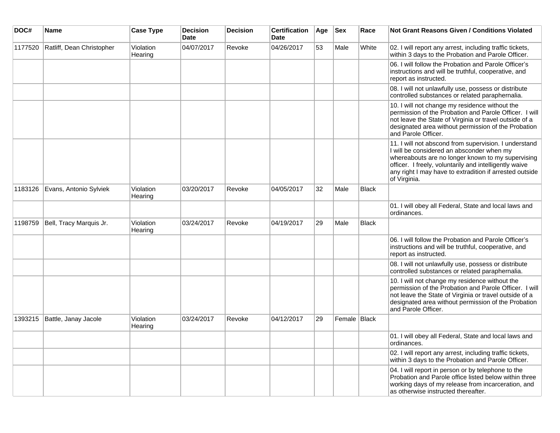| DOC#    | <b>Name</b>               | <b>Case Type</b>     | <b>Decision</b><br><b>Date</b> | <b>Decision</b> | <b>Certification</b><br>Date | Age | <b>Sex</b>   | Race  | <b>Not Grant Reasons Given / Conditions Violated</b>                                                                                                                                                                                                                                         |
|---------|---------------------------|----------------------|--------------------------------|-----------------|------------------------------|-----|--------------|-------|----------------------------------------------------------------------------------------------------------------------------------------------------------------------------------------------------------------------------------------------------------------------------------------------|
| 1177520 | Ratliff, Dean Christopher | Violation<br>Hearing | 04/07/2017                     | Revoke          | 04/26/2017                   | 53  | Male         | White | 02. I will report any arrest, including traffic tickets,<br>within 3 days to the Probation and Parole Officer.                                                                                                                                                                               |
|         |                           |                      |                                |                 |                              |     |              |       | 06. I will follow the Probation and Parole Officer's<br>instructions and will be truthful, cooperative, and<br>report as instructed.                                                                                                                                                         |
|         |                           |                      |                                |                 |                              |     |              |       | 08. I will not unlawfully use, possess or distribute<br>controlled substances or related paraphernalia.                                                                                                                                                                                      |
|         |                           |                      |                                |                 |                              |     |              |       | 10. I will not change my residence without the<br>permission of the Probation and Parole Officer. I will<br>not leave the State of Virginia or travel outside of a<br>designated area without permission of the Probation<br>and Parole Officer.                                             |
|         |                           |                      |                                |                 |                              |     |              |       | 11. I will not abscond from supervision. I understand<br>I will be considered an absconder when my<br>whereabouts are no longer known to my supervising<br>officer. I freely, voluntarily and intelligently waive<br>any right I may have to extradition if arrested outside<br>of Virginia. |
| 1183126 | Evans, Antonio Sylviek    | Violation<br>Hearing | 03/20/2017                     | Revoke          | 04/05/2017                   | 32  | Male         | Black |                                                                                                                                                                                                                                                                                              |
|         |                           |                      |                                |                 |                              |     |              |       | 01. I will obey all Federal, State and local laws and<br>ordinances.                                                                                                                                                                                                                         |
| 1198759 | Bell, Tracy Marquis Jr.   | Violation<br>Hearing | 03/24/2017                     | Revoke          | 04/19/2017                   | 29  | Male         | Black |                                                                                                                                                                                                                                                                                              |
|         |                           |                      |                                |                 |                              |     |              |       | 06. I will follow the Probation and Parole Officer's<br>instructions and will be truthful, cooperative, and<br>report as instructed.                                                                                                                                                         |
|         |                           |                      |                                |                 |                              |     |              |       | 08. I will not unlawfully use, possess or distribute<br>controlled substances or related paraphernalia.                                                                                                                                                                                      |
|         |                           |                      |                                |                 |                              |     |              |       | 10. I will not change my residence without the<br>permission of the Probation and Parole Officer. I will<br>not leave the State of Virginia or travel outside of a<br>designated area without permission of the Probation<br>and Parole Officer.                                             |
| 1393215 | Battle, Janay Jacole      | Violation<br>Hearing | 03/24/2017                     | Revoke          | 04/12/2017                   | 29  | Female Black |       |                                                                                                                                                                                                                                                                                              |
|         |                           |                      |                                |                 |                              |     |              |       | 01. I will obey all Federal, State and local laws and<br>ordinances.                                                                                                                                                                                                                         |
|         |                           |                      |                                |                 |                              |     |              |       | 02. I will report any arrest, including traffic tickets,<br>within 3 days to the Probation and Parole Officer.                                                                                                                                                                               |
|         |                           |                      |                                |                 |                              |     |              |       | 04. I will report in person or by telephone to the<br>Probation and Parole office listed below within three<br>working days of my release from incarceration, and<br>as otherwise instructed thereafter.                                                                                     |